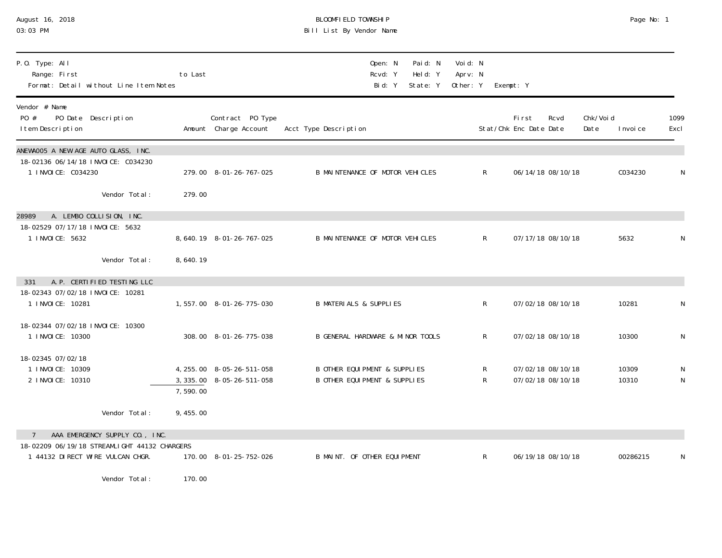| 03:03 PM                                                                                          |          |                                                        | Bill List By Vendor Name                                       |                                |                                 |           |                                 |                                        |                   |                |              |
|---------------------------------------------------------------------------------------------------|----------|--------------------------------------------------------|----------------------------------------------------------------|--------------------------------|---------------------------------|-----------|---------------------------------|----------------------------------------|-------------------|----------------|--------------|
| P.O. Type: All<br>Range: First<br>Format: Detail without Line Item Notes                          | to Last  |                                                        | Open: N<br>Rcvd: Y<br>Bid: Y                                   | Paid: N<br>Held: Y<br>State: Y | Voi d: N<br>Aprv: N<br>Other: Y | Exempt: Y |                                 |                                        |                   |                |              |
| Vendor # Name<br>PO #<br>PO Date Description<br>I tem Description                                 |          | Contract PO Type<br>Amount Charge Account              | Acct Type Description                                          |                                |                                 |           | First<br>Stat/Chk Enc Date Date | Rcvd                                   | Chk/Voi d<br>Date | I nvoi ce      | 1099<br>Excl |
| ANEWAOO5 A NEW AGE AUTO GLASS, INC.<br>18-02136 06/14/18 INVOICE: C034230<br>1 I NVOI CE: C034230 |          | 279.00 8-01-26-767-025                                 | B MAINTENANCE OF MOTOR VEHICLES                                |                                | R                               |           |                                 | 06/14/18 08/10/18                      |                   | C034230        | N            |
| Vendor Total:                                                                                     | 279.00   |                                                        |                                                                |                                |                                 |           |                                 |                                        |                   |                |              |
| A. LEMBO COLLISION, INC.<br>28989<br>18-02529 07/17/18 INVOICE: 5632<br>1 I NVOI CE: 5632         |          | 8, 640. 19 8-01-26-767-025                             | B MAINTENANCE OF MOTOR VEHICLES                                |                                | $\mathsf{R}$                    |           |                                 | 07/17/18 08/10/18                      |                   | 5632           |              |
| Vendor Total:                                                                                     | 8,640.19 |                                                        |                                                                |                                |                                 |           |                                 |                                        |                   |                |              |
| A. P. CERTIFIED TESTING LLC<br>331<br>18-02343 07/02/18 INVOICE: 10281<br>1 I NVOI CE: 10281      |          | 1,557.00 8-01-26-775-030                               | <b>B MATERIALS &amp; SUPPLIES</b>                              |                                | R                               |           |                                 | 07/02/18 08/10/18                      |                   | 10281          | N            |
| 18-02344 07/02/18 INVOICE: 10300<br>1 INVOICE: 10300                                              |          | 308.00 8-01-26-775-038                                 | <b>B GENERAL HARDWARE &amp; MINOR TOOLS</b>                    |                                | R                               |           |                                 | 07/02/18 08/10/18                      |                   | 10300          | N            |
| 18-02345 07/02/18<br>1 I NVOI CE: 10309<br>2 I NVOI CE: 10310                                     | 7,590.00 | 4, 255.00 8-05-26-511-058<br>3, 335.00 8-05-26-511-058 | B OTHER EQUI PMENT & SUPPLIES<br>B OTHER EQUI PMENT & SUPPLIES |                                | R<br>R                          |           |                                 | 07/02/18 08/10/18<br>07/02/18 08/10/18 |                   | 10309<br>10310 | N<br>N       |
| Vendor Total:                                                                                     | 9,455.00 |                                                        |                                                                |                                |                                 |           |                                 |                                        |                   |                |              |
| AAA EMERGENCY SUPPLY CO., INC.                                                                    |          |                                                        |                                                                |                                |                                 |           |                                 |                                        |                   |                |              |
| 18-02209 06/19/18 STREAMLIGHT 44132 CHARGERS<br>1 44132 DI RECT WI RE VULCAN CHGR.                |          | 170.00 8-01-25-752-026                                 | B MAINT. OF OTHER EQUIPMENT                                    |                                | R                               |           |                                 | 06/19/18 08/10/18                      |                   | 00286215       | N            |
| $M_{\odot}$ and $\sim$ $\pm$ $\sim$ $\pm$ $\sim$ $\pm$                                            | 170.00   |                                                        |                                                                |                                |                                 |           |                                 |                                        |                   |                |              |

August 16, 2018 BLOOMFIELD TOWNSHIP Page No: 1

Vendor Total: 170.00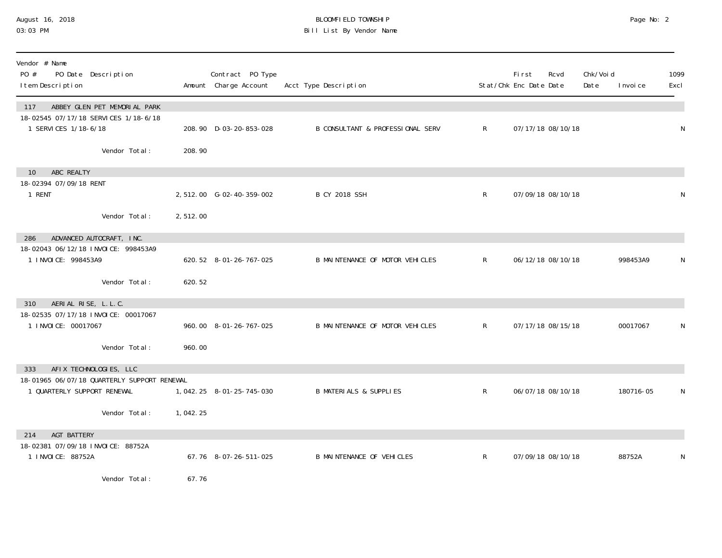### August 16, 2018 BLOOMFIELD TOWNSHIP Page No: 2 03:03 PM Bill List By Vendor Name

| Vendor # Name<br>PO #<br>PO Date Description<br>I tem Description                                   |          | Contract PO Type<br>Amount Charge Account | Acct Type Description                       |                | <b>First</b><br>Stat/Chk Enc Date Date | Rcvd              | Chk/Voi d<br>Date | I nvoi ce | 1099<br>Excl |
|-----------------------------------------------------------------------------------------------------|----------|-------------------------------------------|---------------------------------------------|----------------|----------------------------------------|-------------------|-------------------|-----------|--------------|
| ABBEY GLEN PET MEMORIAL PARK<br>117<br>18-02545 07/17/18 SERVICES 1/18-6/18<br>1 SERVICES 1/18-6/18 |          | 208.90 D-03-20-853-028                    | <b>B CONSULTANT &amp; PROFESSIONAL SERV</b> | $\mathsf{R}^-$ |                                        | 07/17/18 08/10/18 |                   |           | N            |
| Vendor Total:                                                                                       | 208.90   |                                           |                                             |                |                                        |                   |                   |           |              |
| ABC REALTY<br>10                                                                                    |          |                                           |                                             |                |                                        |                   |                   |           |              |
| 18-02394 07/09/18 RENT<br>1 RENT                                                                    |          | 2,512.00 G-02-40-359-002                  | <b>B CY 2018 SSH</b>                        | $\mathsf R$    |                                        | 07/09/18 08/10/18 |                   |           | N            |
| Vendor Total:                                                                                       | 2,512.00 |                                           |                                             |                |                                        |                   |                   |           |              |
| ADVANCED AUTOCRAFT, INC.<br>286                                                                     |          |                                           |                                             |                |                                        |                   |                   |           |              |
| 18-02043 06/12/18 INVOICE: 998453A9<br>1 INVOICE: 998453A9                                          |          | 620.52 8-01-26-767-025                    | B MAINTENANCE OF MOTOR VEHICLES             | $\mathsf{R}$   |                                        | 06/12/18 08/10/18 |                   | 998453A9  | N            |
| Vendor Total:                                                                                       | 620.52   |                                           |                                             |                |                                        |                   |                   |           |              |
| AERIAL RISE, L.L.C.<br>310<br>18-02535 07/17/18 INVOICE: 00017067                                   |          |                                           |                                             |                |                                        |                   |                   |           |              |
| 1 INVOICE: 00017067                                                                                 |          | 960.00 8-01-26-767-025                    | B MAINTENANCE OF MOTOR VEHICLES             | $\mathsf{R}^-$ |                                        | 07/17/18 08/15/18 |                   | 00017067  | N            |
| Vendor Total:                                                                                       | 960.00   |                                           |                                             |                |                                        |                   |                   |           |              |
| AFIX TECHNOLOGIES, LLC<br>333<br>18-01965 06/07/18 QUARTERLY SUPPORT RENEWAL                        |          |                                           |                                             |                |                                        |                   |                   |           |              |
| 1 QUARTERLY SUPPORT RENEWAL                                                                         |          | 1, 042. 25  8-01-25-745-030               | <b>B MATERIALS &amp; SUPPLIES</b>           | R              |                                        | 06/07/18 08/10/18 |                   | 180716-05 | N            |
| Vendor Total:                                                                                       | 1,042.25 |                                           |                                             |                |                                        |                   |                   |           |              |
| AGT BATTERY<br>214<br>18-02381 07/09/18 INVOICE: 88752A                                             |          |                                           |                                             |                |                                        |                   |                   |           |              |
| 1 I NVOI CE: 88752A                                                                                 |          | 67.76 8-07-26-511-025                     | <b>B MAINTENANCE OF VEHICLES</b>            | $\mathsf R$    |                                        | 07/09/18 08/10/18 |                   | 88752A    | N            |
| Vendor Total:                                                                                       | 67.76    |                                           |                                             |                |                                        |                   |                   |           |              |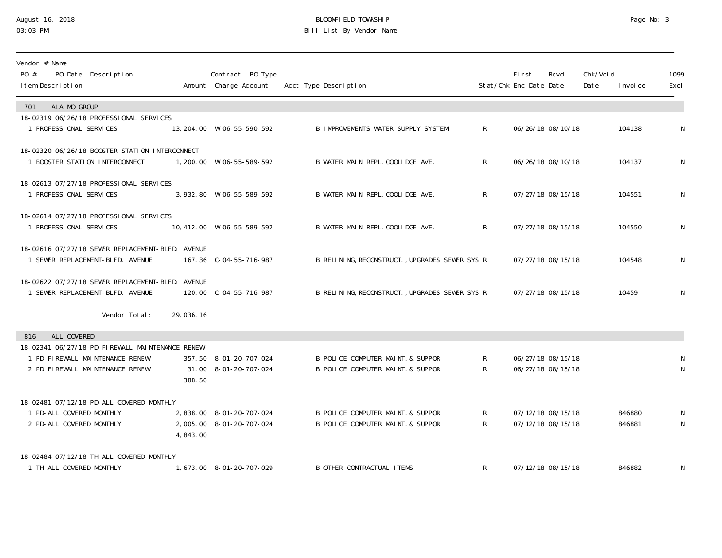# August 16, 2018 BLOOMFIELD TOWNSHIP Page No: 3 Bill List By Vendor Name

| Vendor # Name<br>PO #<br>PO Date Description<br>I tem Description                    |           | Contract PO Type<br>Amount Charge Account | Acct Type Description                          |                | <b>First</b><br>Stat/Chk Enc Date Date | Rcvd              | Chk/Void<br>Date | I nvoi ce | 1099<br>Excl |
|--------------------------------------------------------------------------------------|-----------|-------------------------------------------|------------------------------------------------|----------------|----------------------------------------|-------------------|------------------|-----------|--------------|
| ALAIMO GROUP<br>701                                                                  |           |                                           |                                                |                |                                        |                   |                  |           |              |
| 18-02319 06/26/18 PROFESSIONAL SERVICES<br>1 PROFESSIONAL SERVICES                   |           | 13, 204. 00  W-06-55-590-592              | <b>B IMPROVEMENTS WATER SUPPLY SYSTEM</b>      | R.             |                                        | 06/26/18 08/10/18 |                  | 104138    | N            |
| 18-02320 06/26/18 BOOSTER STATION INTERCONNECT<br>1 BOOSTER STATION INTERCONNECT     |           | 1,200.00 W-06-55-589-592                  | B WATER MAIN REPL. COOLIDGE AVE.               | $\mathsf{R}$   |                                        | 06/26/18 08/10/18 |                  | 104137    | N            |
| 18-02613 07/27/18 PROFESSIONAL SERVICES<br>1 PROFESSIONAL SERVICES                   |           | 3, 932.80 W-06-55-589-592                 | B WATER MAIN REPL. COOLIDGE AVE.               | $\mathsf{R}^-$ |                                        | 07/27/18 08/15/18 |                  | 104551    | N            |
| 18-02614 07/27/18 PROFESSIONAL SERVICES<br>1 PROFESSIONAL SERVICES                   |           | 10, 412.00 W-06-55-589-592                | B WATER MAIN REPL. COOLIDGE AVE.               | R.             |                                        | 07/27/18 08/15/18 |                  | 104550    | N            |
| 18-02616 07/27/18 SEWER REPLACEMENT-BLFD. AVENUE<br>1 SEWER REPLACEMENT-BLFD. AVENUE |           | 167.36 C-04-55-716-987                    | B RELINING, RECONSTRUCT., UPGRADES SEWER SYS R |                |                                        | 07/27/18 08/15/18 |                  | 104548    | N            |
| 18-02622 07/27/18 SEWER REPLACEMENT-BLFD. AVENUE<br>1 SEWER REPLACEMENT-BLFD. AVENUE |           | 120.00 C-04-55-716-987                    | B RELINING, RECONSTRUCT., UPGRADES SEWER SYS R |                |                                        | 07/27/18 08/15/18 |                  | 10459     | N            |
| Vendor Total:                                                                        | 29,036.16 |                                           |                                                |                |                                        |                   |                  |           |              |
| ALL COVERED<br>816                                                                   |           |                                           |                                                |                |                                        |                   |                  |           |              |
| 18-02341 06/27/18 PD FIREWALL MAINTENANCE RENEW<br>1 PD FIREWALL MAINTENANCE RENEW   |           | 357.50 8-01-20-707-024                    | B POLICE COMPUTER MAINT & SUPPOR               | $\mathsf{R}$   |                                        | 06/27/18 08/15/18 |                  |           | N            |
| 2 PD FIREWALL MAINTENANCE RENEW                                                      | 388.50    | 31.00 8-01-20-707-024                     | B POLICE COMPUTER MAINT. & SUPPOR              | R              |                                        | 06/27/18 08/15/18 |                  |           | N            |
| 18-02481 07/12/18 PD-ALL COVERED MONTHLY                                             |           |                                           |                                                |                |                                        |                   |                  |           |              |
| 1 PD-ALL COVERED MONTHLY                                                             |           | 2,838.00 8-01-20-707-024                  | B POLICE COMPUTER MAINT. & SUPPOR              | $\mathsf{R}$   |                                        | 07/12/18 08/15/18 |                  | 846880    | N            |
| 2 PD-ALL COVERED MONTHLY                                                             | 4,843.00  | 2,005.00 8-01-20-707-024                  | B POLICE COMPUTER MAINT. & SUPPOR              | $R_{\perp}$    |                                        | 07/12/18 08/15/18 |                  | 846881    | N            |
| 18-02484 07/12/18 TH ALL COVERED MONTHLY                                             |           |                                           |                                                |                |                                        |                   |                  |           |              |
| 1 TH ALL COVERED MONTHLY                                                             |           | 1, 673.00 8-01-20-707-029                 | <b>B OTHER CONTRACTUAL ITEMS</b>               | R              |                                        | 07/12/18 08/15/18 |                  | 846882    | N            |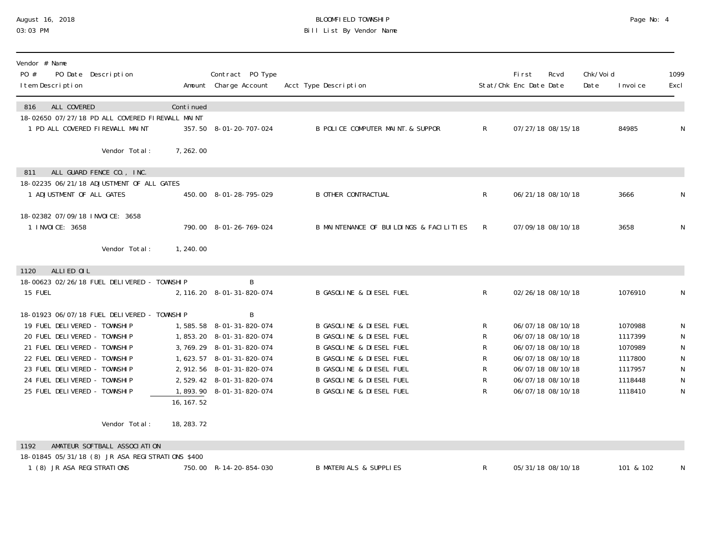### August 16, 2018 BLOOMFIELD TOWNSHIP Page No: 4 03:03 PM Bill List By Vendor Name

| Vendor # Name<br>PO #<br>PO Date Description<br>I tem Description                                                                                                                           |             | Contract PO Type<br>Amount Charge Account                                                                                                        | Acct Type Description                                                                                                                                                                           |                          | First<br>Stat/Chk Enc Date Date                                                                       | Rcvd              | Chk/Voi d<br>Date | I nvoi ce                                           | 1099<br>Excl                                                    |
|---------------------------------------------------------------------------------------------------------------------------------------------------------------------------------------------|-------------|--------------------------------------------------------------------------------------------------------------------------------------------------|-------------------------------------------------------------------------------------------------------------------------------------------------------------------------------------------------|--------------------------|-------------------------------------------------------------------------------------------------------|-------------------|-------------------|-----------------------------------------------------|-----------------------------------------------------------------|
| ALL COVERED<br>816<br>18-02650 07/27/18 PD ALL COVERED FIREWALL MAINT<br>1 PD ALL COVERED FIREWALL MAINT                                                                                    | Continued   | 357.50 8-01-20-707-024                                                                                                                           | B POLICE COMPUTER MAINT. & SUPPOR                                                                                                                                                               | R                        |                                                                                                       | 07/27/18 08/15/18 |                   | 84985                                               | N                                                               |
| Vendor Total:                                                                                                                                                                               | 7,262.00    |                                                                                                                                                  |                                                                                                                                                                                                 |                          |                                                                                                       |                   |                   |                                                     |                                                                 |
| ALL GUARD FENCE CO., INC.<br>811<br>18-02235 06/21/18 ADJUSTMENT OF ALL GATES<br>1 ADJUSTMENT OF ALL GATES                                                                                  |             | 450.00 8-01-28-795-029                                                                                                                           | <b>B OTHER CONTRACTUAL</b>                                                                                                                                                                      | $\mathsf{R}^-$           | 06/21/18 08/10/18                                                                                     |                   |                   | 3666                                                | N                                                               |
| 18-02382 07/09/18 INVOICE: 3658<br>1 INVOICE: 3658                                                                                                                                          |             | 790.00 8-01-26-769-024                                                                                                                           | B MAINTENANCE OF BUILDINGS & FACILITIES                                                                                                                                                         | R.                       | 07/09/18 08/10/18                                                                                     |                   |                   | 3658                                                | ${\sf N}$                                                       |
| Vendor Total:                                                                                                                                                                               | 1, 240.00   |                                                                                                                                                  |                                                                                                                                                                                                 |                          |                                                                                                       |                   |                   |                                                     |                                                                 |
| ALLIED OIL<br>1120<br>18-00623 02/26/18 FUEL DELIVERED - TOWNSHIP<br>15 FUEL<br>18-01923 06/07/18 FUEL DELIVERED - TOWNSHIP<br>19 FUEL DELIVERED - TOWNSHIP<br>20 FUEL DELIVERED - TOWNSHIP |             | B<br>2, 116. 20 8-01-31-820-074<br>B<br>1,585.58 8-01-31-820-074<br>1,853.20 8-01-31-820-074                                                     | <b>B GASOLINE &amp; DIESEL FUEL</b><br><b>B GASOLINE &amp; DIESEL FUEL</b><br><b>B GASOLINE &amp; DIESEL FUEL</b>                                                                               | $\mathsf{R}^-$<br>R<br>R | 06/07/18 08/10/18<br>06/07/18 08/10/18                                                                | 02/26/18 08/10/18 |                   | 1076910<br>1070988<br>1117399                       | N<br>N<br>${\sf N}$                                             |
| 21 FUEL DELIVERED - TOWNSHIP<br>22 FUEL DELIVERED - TOWNSHIP<br>23 FUEL DELIVERED - TOWNSHIP<br>24 FUEL DELIVERED - TOWNSHIP<br>25 FUEL DELIVERED - TOWNSHIP                                | 16, 167.52  | 3, 769. 29 8-01-31-820-074<br>1, 623. 57 8-01-31-820-074<br>2, 912. 56 8-01-31-820-074<br>2, 529. 42 8-01-31-820-074<br>1,893.90 8-01-31-820-074 | <b>B GASOLINE &amp; DIESEL FUEL</b><br><b>B GASOLINE &amp; DIESEL FUEL</b><br><b>B GASOLINE &amp; DIESEL FUEL</b><br><b>B GASOLINE &amp; DIESEL FUEL</b><br><b>B GASOLINE &amp; DIESEL FUEL</b> | R<br>R<br>R<br>R<br>R    | 06/07/18 08/10/18<br>06/07/18 08/10/18<br>06/07/18 08/10/18<br>06/07/18 08/10/18<br>06/07/18 08/10/18 |                   |                   | 1070989<br>1117800<br>1117957<br>1118448<br>1118410 | ${\sf N}$<br>${\sf N}$<br>${\sf N}$<br>${\sf N}$<br>$\mathsf N$ |
| Vendor Total:                                                                                                                                                                               | 18, 283. 72 |                                                                                                                                                  |                                                                                                                                                                                                 |                          |                                                                                                       |                   |                   |                                                     |                                                                 |
| AMATEUR SOFTBALL ASSOCIATION<br>1192<br>18-01845 05/31/18 (8) JR ASA REGISTRATIONS \$400<br>1 (8) JR ASA REGISTRATIONS                                                                      |             | 750.00 R-14-20-854-030                                                                                                                           | <b>B MATERIALS &amp; SUPPLIES</b>                                                                                                                                                               | R.                       |                                                                                                       | 05/31/18 08/10/18 |                   | 101 & 102                                           | N                                                               |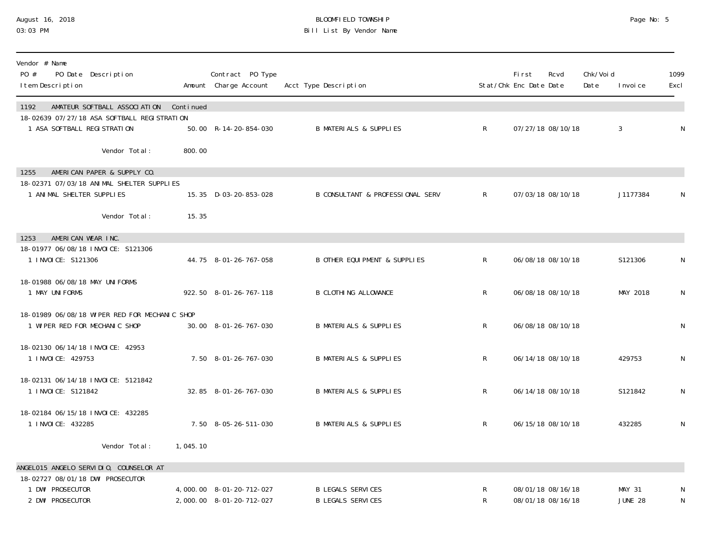### August 16, 2018 BLOOMFIELD TOWNSHIP Page No: 5 03:03 PM Bill List By Vendor Name

| Vendor # Name<br>PO #<br>PO Date Description<br>I tem Description                        |                                        |          | Contract PO Type<br>Amount Charge Account            | Acct Type Description                                |                | First<br>Stat/Chk Enc Date Date        | Rcvd | Chk/Voi d<br>Date | I nvoi ce                       | 1099<br>Excl |
|------------------------------------------------------------------------------------------|----------------------------------------|----------|------------------------------------------------------|------------------------------------------------------|----------------|----------------------------------------|------|-------------------|---------------------------------|--------------|
| 1192<br>18-02639 07/27/18 ASA SOFTBALL REGISTRATION<br>1 ASA SOFTBALL REGISTRATION       | AMATEUR SOFTBALL ASSOCIATION Continued |          | 50.00 R-14-20-854-030                                | <b>B MATERIALS &amp; SUPPLIES</b>                    | $R_{\perp}$    | 07/27/18 08/10/18                      |      |                   | $\mathfrak{Z}$                  | N            |
| AMERICAN PAPER & SUPPLY CO.<br>1255                                                      | Vendor Total:                          | 800.00   |                                                      |                                                      |                |                                        |      |                   |                                 |              |
| 18-02371 07/03/18 ANIMAL SHELTER SUPPLIES<br>1 ANIMAL SHELTER SUPPLIES                   |                                        |          | 15.35 D-03-20-853-028                                | <b>B CONSULTANT &amp; PROFESSIONAL SERV</b>          | $\mathsf{R}^-$ | 07/03/18 08/10/18                      |      |                   | J1177384                        | N            |
|                                                                                          | Vendor Total:                          | 15.35    |                                                      |                                                      |                |                                        |      |                   |                                 |              |
| AMERICAN WEAR INC.<br>1253<br>18-01977 06/08/18 INVOICE: S121306<br>1 I NVOI CE: S121306 |                                        |          | 44.75 8-01-26-767-058                                | <b>B OTHER EQUI PMENT &amp; SUPPLIES</b>             | $\mathsf{R}$   | 06/08/18 08/10/18                      |      |                   | S121306                         | $\mathsf N$  |
| 18-01988 06/08/18 MAY UNIFORMS<br>1 MAY UNIFORMS                                         |                                        |          | 922.50 8-01-26-767-118                               | <b>B CLOTHING ALLOWANCE</b>                          | R              | 06/08/18 08/10/18                      |      |                   | MAY 2018                        | $\mathsf N$  |
| 18-01989 06/08/18 WIPER RED FOR MECHANIC SHOP<br>1 WIPER RED FOR MECHANIC SHOP           |                                        |          | 30.00 8-01-26-767-030                                | <b>B MATERIALS &amp; SUPPLIES</b>                    | $\mathsf{R}$   | 06/08/18 08/10/18                      |      |                   |                                 | N            |
| 18-02130 06/14/18 INVOICE: 42953<br>1 I NVOI CE: 429753                                  |                                        |          | 7.50 8-01-26-767-030                                 | <b>B MATERIALS &amp; SUPPLIES</b>                    | $\mathsf{R}$   | 06/14/18 08/10/18                      |      |                   | 429753                          | $\mathsf N$  |
| 18-02131 06/14/18 INVOICE: 5121842<br>1 INVOICE: S121842                                 |                                        |          | 32.85 8-01-26-767-030                                | <b>B MATERIALS &amp; SUPPLIES</b>                    | $\mathsf{R}$   | 06/14/18 08/10/18                      |      |                   | S121842                         | $\mathsf{N}$ |
| 18-02184 06/15/18 INVOICE: 432285<br>1 I NVOI CE: 432285                                 |                                        |          | 7.50 8-05-26-511-030                                 | <b>B MATERIALS &amp; SUPPLIES</b>                    | $\mathsf{R}$   | 06/15/18 08/10/18                      |      |                   | 432285                          | $\mathsf{N}$ |
|                                                                                          | Vendor Total:                          | 1,045.10 |                                                      |                                                      |                |                                        |      |                   |                                 |              |
| ANGELO15 ANGELO SERVIDIO, COUNSELOR AT<br>18-02727 08/01/18 DWI PROSECUTOR               |                                        |          |                                                      |                                                      |                |                                        |      |                   |                                 |              |
| 1 DWI PROSECUTOR<br>2 DWI PROSECUTOR                                                     |                                        |          | 4,000.00 8-01-20-712-027<br>2,000.00 8-01-20-712-027 | <b>B LEGALS SERVICES</b><br><b>B LEGALS SERVICES</b> | R<br>R         | 08/01/18 08/16/18<br>08/01/18 08/16/18 |      |                   | <b>MAY 31</b><br><b>JUNE 28</b> | $\mathsf N$  |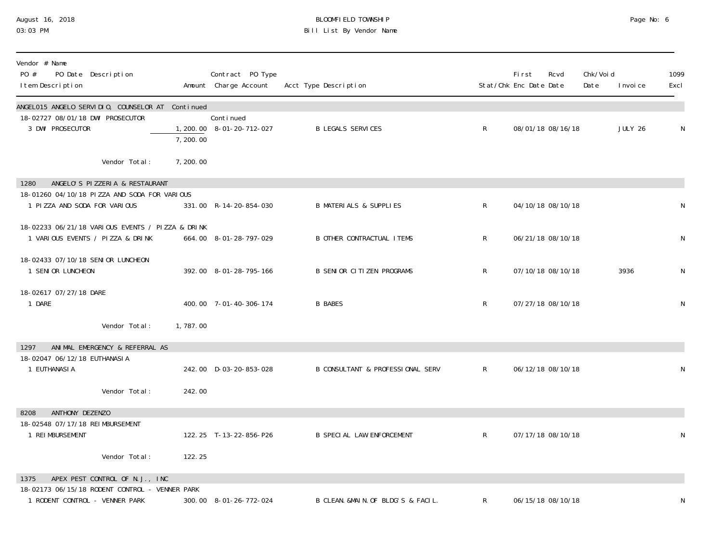# August 16, 2018 BLOOMFIELD TOWNSHIP Page No: 6 Bill List By Vendor Name

| Vendor # Name<br>PO #<br>PO Date Description<br>I tem Description                              |                       | Contract PO Type<br>Amount Charge Account | Acct Type Description                       |              | Fi rst<br>Stat/Chk Enc Date Date | Rcvd              | Chk/Void<br>Date | I nvoi ce | 1099<br>Excl |
|------------------------------------------------------------------------------------------------|-----------------------|-------------------------------------------|---------------------------------------------|--------------|----------------------------------|-------------------|------------------|-----------|--------------|
| ANGELO15 ANGELO SERVIDIO, COUNSELOR AT<br>18-02727 08/01/18 DWI PROSECUTOR<br>3 DWI PROSECUTOR | Continued             | Continued<br>1, 200. 00 8-01-20-712-027   | <b>B LEGALS SERVICES</b>                    | $\mathsf{R}$ |                                  | 08/01/18 08/16/18 |                  | JULY 26   | N            |
| Vendor Total:                                                                                  | 7, 200.00<br>7,200.00 |                                           |                                             |              |                                  |                   |                  |           |              |
| ANGELO'S PIZZERIA & RESTAURANT<br>1280                                                         |                       |                                           |                                             |              |                                  |                   |                  |           |              |
| 18-01260 04/10/18 PIZZA AND SODA FOR VARIOUS<br>1 PIZZA AND SODA FOR VARIOUS                   |                       | 331.00 R-14-20-854-030                    | <b>B MATERIALS &amp; SUPPLIES</b>           | $\mathsf{R}$ |                                  | 04/10/18 08/10/18 |                  |           | N            |
| 18-02233 06/21/18 VARIOUS EVENTS / PIZZA & DRINK<br>1 VARIOUS EVENTS / PIZZA & DRINK           |                       | 664.00 8-01-28-797-029                    | <b>B OTHER CONTRACTUAL ITEMS</b>            | $\mathsf{R}$ |                                  | 06/21/18 08/10/18 |                  |           | N            |
| 18-02433 07/10/18 SENIOR LUNCHEON<br>1 SENIOR LUNCHEON                                         |                       | 392.00 8-01-28-795-166                    | <b>B SENIOR CITIZEN PROGRAMS</b>            | $\mathsf{R}$ |                                  | 07/10/18 08/10/18 |                  | 3936      | N            |
| 18-02617 07/27/18 DARE<br>1 DARE                                                               |                       | 400.00 7-01-40-306-174                    | <b>B BABES</b>                              | R            |                                  | 07/27/18 08/10/18 |                  |           | N            |
| Vendor Total:                                                                                  | 1,787.00              |                                           |                                             |              |                                  |                   |                  |           |              |
| ANIMAL EMERGENCY & REFERRAL AS<br>1297                                                         |                       |                                           |                                             |              |                                  |                   |                  |           |              |
| 18-02047 06/12/18 EUTHANASI A<br>1 EUTHANASI A                                                 |                       | 242.00 D-03-20-853-028                    | <b>B CONSULTANT &amp; PROFESSIONAL SERV</b> | $\mathsf{R}$ |                                  | 06/12/18 08/10/18 |                  |           | N            |
| Vendor Total:                                                                                  | 242.00                |                                           |                                             |              |                                  |                   |                  |           |              |
| ANTHONY DEZENZO<br>8208                                                                        |                       |                                           |                                             |              |                                  |                   |                  |           |              |
| 18-02548 07/17/18 REIMBURSEMENT<br>1 REI MBURSEMENT                                            |                       | 122.25 T-13-22-856-P26                    | <b>B SPECIAL LAW ENFORCEMENT</b>            | $\mathsf{R}$ |                                  | 07/17/18 08/10/18 |                  |           | N            |
| Vendor Total:                                                                                  | 122.25                |                                           |                                             |              |                                  |                   |                  |           |              |
| APEX PEST CONTROL OF N.J., INC<br>1375                                                         |                       |                                           |                                             |              |                                  |                   |                  |           |              |
| 18-02173 06/15/18 RODENT CONTROL - VENNER PARK<br>1 RODENT CONTROL - VENNER PARK               |                       | 300.00 8-01-26-772-024                    | B CLEAN. &MAIN. OF BLDG'S & FACIL.          | R            |                                  | 06/15/18 08/10/18 |                  |           | N            |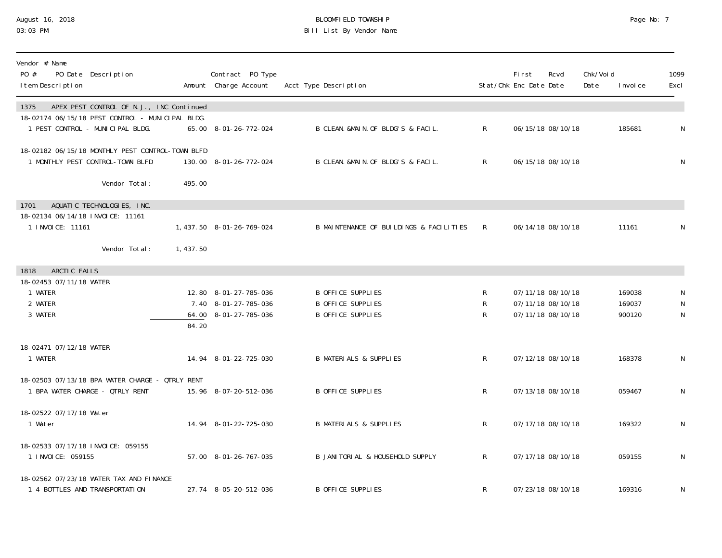### August 16, 2018 BLOOMFIELD TOWNSHIP Page No: 7 03:03 PM Bill List By Vendor Name

| Vendor # Name<br>$P0 \#$<br>PO Date Description<br>I tem Description                                 |          | Contract PO Type<br>Amount Charge Account | Acct Type Description                   |              | First<br>Stat/Chk Enc Date Date | Rcvd              | Chk/Voi d<br>Date | I nvoi ce | 1099<br>Excl |
|------------------------------------------------------------------------------------------------------|----------|-------------------------------------------|-----------------------------------------|--------------|---------------------------------|-------------------|-------------------|-----------|--------------|
| APEX PEST CONTROL OF N.J., INC Continued<br>1375<br>18-02174 06/15/18 PEST CONTROL - MUNICIPAL BLDG. |          |                                           |                                         |              |                                 |                   |                   |           |              |
| 1 PEST CONTROL - MUNICIPAL BLDG.                                                                     |          | 65.00 8-01-26-772-024                     | B CLEAN. &MAIN. OF BLDG'S & FACIL.      | $\mathsf{R}$ |                                 | 06/15/18 08/10/18 |                   | 185681    | N            |
| 18-02182 06/15/18 MONTHLY PEST CONTROL-TOWN BLFD<br>1 MONTHLY PEST CONTROL-TOWN BLFD                 |          | 130.00 8-01-26-772-024                    | B CLEAN. &MAIN. OF BLDG'S & FACIL.      | $\mathsf{R}$ |                                 | 06/15/18 08/10/18 |                   |           | ${\sf N}$    |
| Vendor Total:                                                                                        | 495.00   |                                           |                                         |              |                                 |                   |                   |           |              |
| AQUATIC TECHNOLOGIES, INC.<br>1701                                                                   |          |                                           |                                         |              |                                 |                   |                   |           |              |
| 18-02134 06/14/18 INVOICE: 11161<br>1 INVOICE: 11161                                                 |          | 1, 437.50 8-01-26-769-024                 | B MAINTENANCE OF BUILDINGS & FACILITIES | R            |                                 | 06/14/18 08/10/18 |                   | 11161     | N            |
| Vendor Total:                                                                                        | 1,437.50 |                                           |                                         |              |                                 |                   |                   |           |              |
| ARCTIC FALLS<br>1818                                                                                 |          |                                           |                                         |              |                                 |                   |                   |           |              |
| 18-02453 07/11/18 WATER<br>1 WATER                                                                   |          | 12.80 8-01-27-785-036                     | <b>B OFFICE SUPPLIES</b>                | R            |                                 | 07/11/18 08/10/18 |                   | 169038    |              |
| 2 WATER                                                                                              |          | 7.40 8-01-27-785-036                      | <b>B OFFICE SUPPLIES</b>                | R            |                                 | 07/11/18 08/10/18 |                   | 169037    | ${\sf N}$    |
| 3 WATER                                                                                              | 84.20    | 64.00 8-01-27-785-036                     | <b>B OFFICE SUPPLIES</b>                | R            |                                 | 07/11/18 08/10/18 |                   | 900120    | ${\sf N}$    |
| 18-02471 07/12/18 WATER                                                                              |          |                                           |                                         |              |                                 |                   |                   |           |              |
| 1 WATER                                                                                              |          | 14.94 8-01-22-725-030                     | <b>B MATERIALS &amp; SUPPLIES</b>       | R.           |                                 | 07/12/18 08/10/18 |                   | 168378    | ${\sf N}$    |
| 18-02503 07/13/18 BPA WATER CHARGE - QTRLY RENT                                                      |          |                                           |                                         |              |                                 |                   |                   |           |              |
| 1 BPA WATER CHARGE - QTRLY RENT                                                                      |          | 15.96 8-07-20-512-036                     | <b>B OFFICE SUPPLIES</b>                | R            |                                 | 07/13/18 08/10/18 |                   | 059467    | N            |
| 18-02522 07/17/18 Water                                                                              |          |                                           |                                         |              |                                 |                   |                   |           |              |
| 1 Water                                                                                              |          | 14.94 8-01-22-725-030                     | <b>B MATERIALS &amp; SUPPLIES</b>       | R            |                                 | 07/17/18 08/10/18 |                   | 169322    | ${\sf N}$    |
| 18-02533 07/17/18 INVOICE: 059155<br>1 I NVOI CE: 059155                                             |          | 57.00 8-01-26-767-035                     | B JANI TORI AL & HOUSEHOLD SUPPLY       | $\mathsf R$  |                                 | 07/17/18 08/10/18 |                   | 059155    | N            |
| 18-02562 07/23/18 WATER TAX AND FINANCE<br>1 4 BOTTLES AND TRANSPORTATION                            |          | 27.74 8-05-20-512-036                     | <b>B OFFICE SUPPLIES</b>                | R            |                                 | 07/23/18 08/10/18 |                   | 169316    | ${\sf N}$    |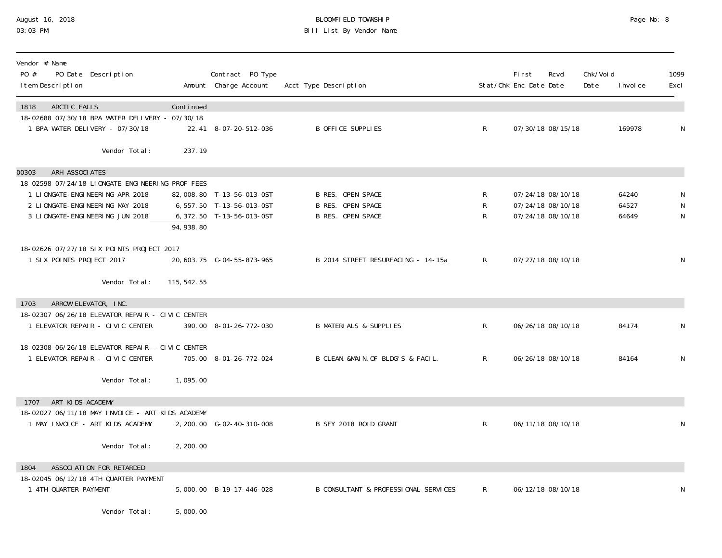## August 16, 2018 BLOOMFIELD TOWNSHIP Page No: 8 03:03 PM Bill List By Vendor Name

| Vendor # Name<br>PO #<br>PO Date Description<br>I tem Description                                                    |              | Contract PO Type<br>Amount Charge Account                                             | Acct Type Description                                                            |                       | <b>First</b><br>Stat/Chk Enc Date Date | Rcvd                                                        | Chk/Voi d<br>Date | I nvoi ce               | 1099<br>Excl        |
|----------------------------------------------------------------------------------------------------------------------|--------------|---------------------------------------------------------------------------------------|----------------------------------------------------------------------------------|-----------------------|----------------------------------------|-------------------------------------------------------------|-------------------|-------------------------|---------------------|
| ARCTIC FALLS<br>1818<br>18-02688 07/30/18 BPA WATER DELIVERY - 07/30/18<br>1 BPA WATER DELIVERY - 07/30/18           | Continued    | 22.41 8-07-20-512-036                                                                 | <b>B OFFICE SUPPLIES</b>                                                         | $\mathsf{R}$          |                                        | 07/30/18 08/15/18                                           |                   | 169978                  | N                   |
| Vendor Total:                                                                                                        | 237.19       |                                                                                       |                                                                                  |                       |                                        |                                                             |                   |                         |                     |
| ARH ASSOCIATES<br>00303<br>18-02598 07/24/18 LIONGATE-ENGINEERING PROF FEES                                          |              |                                                                                       |                                                                                  |                       |                                        |                                                             |                   |                         |                     |
| 1 LIONGATE-ENGINEERING APR 2018<br>2 LIONGATE-ENGINEERING MAY 2018<br>3 LIONGATE-ENGINEERING JUN 2018                | 94, 938.80   | 82,008.80 T-13-56-013-0ST<br>6, 557. 50 T-13-56-013-0ST<br>6, 372. 50 T-13-56-013-0ST | <b>B RES. OPEN SPACE</b><br><b>B RES. OPEN SPACE</b><br><b>B RES. OPEN SPACE</b> | $\mathsf R$<br>R<br>R |                                        | 07/24/18 08/10/18<br>07/24/18 08/10/18<br>07/24/18 08/10/18 |                   | 64240<br>64527<br>64649 | N<br>${\sf N}$<br>N |
| 18-02626 07/27/18 SIX POINTS PROJECT 2017<br>1 SIX POINTS PROJECT 2017                                               |              |                                                                                       | B 2014 STREET RESURFACING - 14-15a                                               | $\mathsf{R}$          |                                        | 07/27/18 08/10/18                                           |                   |                         | N                   |
| Vendor Total:                                                                                                        | 115, 542. 55 |                                                                                       |                                                                                  |                       |                                        |                                                             |                   |                         |                     |
| ARROW ELEVATOR, INC.<br>1703<br>18-02307 06/26/18 ELEVATOR REPAIR - CIVIC CENTER<br>1 ELEVATOR REPAIR - CIVIC CENTER |              | 390.00 8-01-26-772-030                                                                | <b>B MATERIALS &amp; SUPPLIES</b>                                                | $\mathsf R$           |                                        | 06/26/18 08/10/18                                           |                   | 84174                   | N                   |
| 18-02308 06/26/18 ELEVATOR REPAIR - CIVIC CENTER<br>1 ELEVATOR REPAIR - CIVIC CENTER                                 |              | 705.00 8-01-26-772-024                                                                | B CLEAN. &MAIN. OF BLDG'S & FACIL.                                               | $\mathsf{R}$          |                                        | 06/26/18 08/10/18                                           |                   | 84164                   | N                   |
| Vendor Total:                                                                                                        | 1,095.00     |                                                                                       |                                                                                  |                       |                                        |                                                             |                   |                         |                     |
| ART KIDS ACADEMY<br>1707<br>18-02027 06/11/18 MAY INVOICE - ART KIDS ACADEMY<br>1 MAY INVOICE - ART KIDS ACADEMY     |              | 2, 200.00 G-02-40-310-008                                                             | B SFY 2018 ROID GRANT                                                            | $\mathsf{R}$          |                                        | 06/11/18 08/10/18                                           |                   |                         | N                   |
| Vendor Total:                                                                                                        | 2, 200.00    |                                                                                       |                                                                                  |                       |                                        |                                                             |                   |                         |                     |
| ASSOCIATION FOR RETARDED<br>1804<br>18-02045 06/12/18 4TH QUARTER PAYMENT<br>1 4TH QUARTER PAYMENT                   |              | 5,000.00 B-19-17-446-028                                                              | B CONSULTANT & PROFESSIONAL SERVICES                                             | R.                    |                                        | 06/12/18 08/10/18                                           |                   |                         | N                   |
| Vendor Total:                                                                                                        | 5,000.00     |                                                                                       |                                                                                  |                       |                                        |                                                             |                   |                         |                     |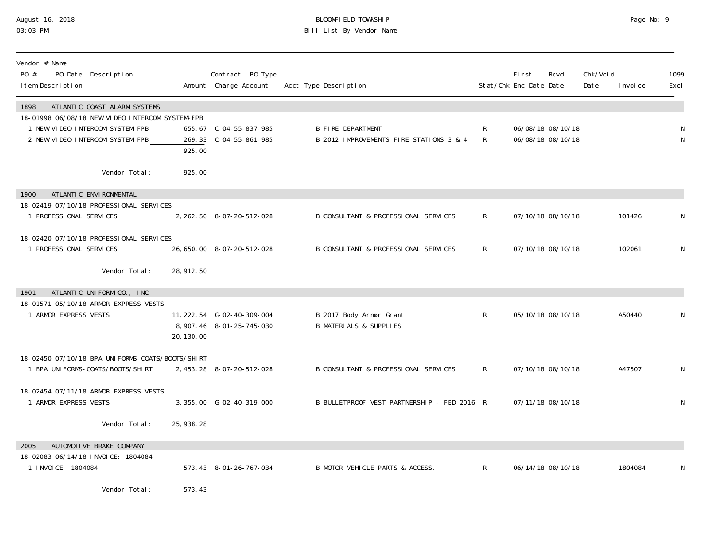### August 16, 2018 BLOOMFIELD TOWNSHIP Page No: 9 03:03 PM Bill List By Vendor Name

| Vendor # Name<br>PO #<br>PO Date Description<br>I tem Description                                                                                             |             | Contract PO Type<br>Amount Charge Account                 | Acct Type Description                                               |        | <b>First</b><br>Stat/Chk Enc Date Date | Rcvd                                   | Chk/Voi d<br>Date | I nvoi ce | 1099<br>Excl |
|---------------------------------------------------------------------------------------------------------------------------------------------------------------|-------------|-----------------------------------------------------------|---------------------------------------------------------------------|--------|----------------------------------------|----------------------------------------|-------------------|-----------|--------------|
| ATLANTIC COAST ALARM SYSTEMS<br>1898<br>18-01998 06/08/18 NEW VIDEO INTERCOM SYSTEM-FPB<br>1 NEW VIDEO INTERCOM SYSTEM-FPB<br>2 NEW VIDEO INTERCOM SYSTEM-FPB | 925.00      | 655.67 C-04-55-837-985<br>269.33 C-04-55-861-985          | <b>B FIRE DEPARTMENT</b><br>B 2012 IMPROVEMENTS FIRE STATIONS 3 & 4 | R<br>R |                                        | 06/08/18 08/10/18<br>06/08/18 08/10/18 |                   |           |              |
| Vendor Total:                                                                                                                                                 | 925.00      |                                                           |                                                                     |        |                                        |                                        |                   |           |              |
| ATLANTI C ENVI RONMENTAL<br>1900                                                                                                                              |             |                                                           |                                                                     |        |                                        |                                        |                   |           |              |
| 18-02419 07/10/18 PROFESSIONAL SERVICES<br>1 PROFESSIONAL SERVICES                                                                                            |             | 2, 262. 50 8-07-20-512-028                                | B CONSULTANT & PROFESSIONAL SERVICES                                | R      |                                        | 07/10/18 08/10/18                      |                   | 101426    |              |
| 18-02420 07/10/18 PROFESSIONAL SERVICES<br>1 PROFESSIONAL SERVICES                                                                                            |             | 26, 650. 00 8-07-20-512-028                               | B CONSULTANT & PROFESSIONAL SERVICES                                | R.     |                                        | 07/10/18 08/10/18                      |                   | 102061    | N            |
| Vendor Total:                                                                                                                                                 | 28, 912. 50 |                                                           |                                                                     |        |                                        |                                        |                   |           |              |
| 1901<br>ATLANTIC UNIFORM CO., INC                                                                                                                             |             |                                                           |                                                                     |        |                                        |                                        |                   |           |              |
| 18-01571 05/10/18 ARMOR EXPRESS VESTS<br>1 ARMOR EXPRESS VESTS                                                                                                | 20, 130, 00 | 11, 222. 54 G-02-40-309-004<br>8, 907. 46 8-01-25-745-030 | B 2017 Body Armor Grant<br><b>B MATERIALS &amp; SUPPLIES</b>        | R.     |                                        | 05/10/18 08/10/18                      |                   | A50440    |              |
| 18-02450 07/10/18 BPA UNI FORMS-COATS/BOOTS/SHIRT<br>1 BPA UNI FORMS-COATS/BOOTS/SHIRT                                                                        |             | 2, 453. 28 8-07-20-512-028                                | B CONSULTANT & PROFESSIONAL SERVICES                                | R      |                                        | 07/10/18 08/10/18                      |                   | A47507    | N            |
| 18-02454 07/11/18 ARMOR EXPRESS VESTS<br>1 ARMOR EXPRESS VESTS                                                                                                |             | 3, 355.00 G-02-40-319-000                                 | B BULLETPROOF VEST PARTNERSHIP - FED 2016 R                         |        |                                        | 07/11/18 08/10/18                      |                   |           | N            |
| Vendor Total:                                                                                                                                                 | 25, 938. 28 |                                                           |                                                                     |        |                                        |                                        |                   |           |              |
| AUTOMOTIVE BRAKE COMPANY<br>2005<br>18-02083 06/14/18 INVOICE: 1804084                                                                                        |             |                                                           |                                                                     |        |                                        |                                        |                   |           |              |
| 1 I NVOI CE: 1804084                                                                                                                                          |             | 573.43 8-01-26-767-034                                    | B MOTOR VEHICLE PARTS & ACCESS.                                     | R      |                                        | 06/14/18 08/10/18                      |                   | 1804084   | N            |
| Vendor Total:                                                                                                                                                 | 573.43      |                                                           |                                                                     |        |                                        |                                        |                   |           |              |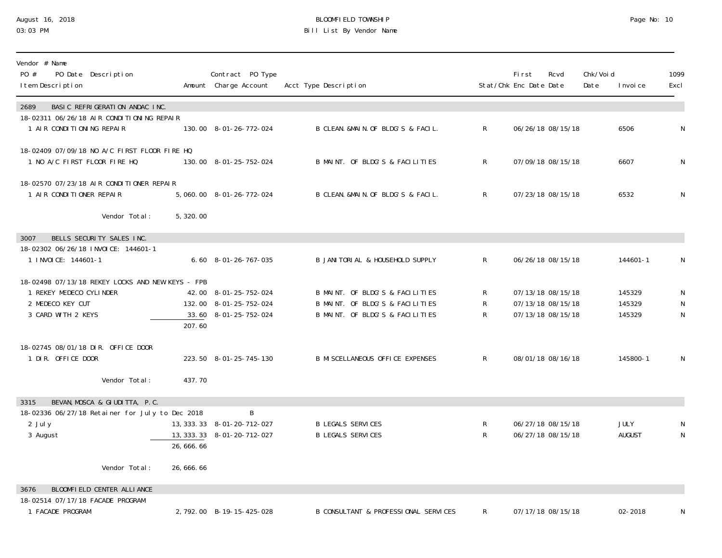## August 16, 2018 BLOOMFIELD TOWNSHIP Page No: 10 03:03 PM Bill List By Vendor Name

| Vendor # Name<br>PO #<br>PO Date Description<br>I tem Description                                                     |           | Contract PO Type<br>Amount Charge Account                                | Acct Type Description                                                                                 |                              | <b>First</b><br>Stat/Chk Enc Date Date                      | Rcvd | Chk/Voi d<br>Date | I nvoi ce                  | 1099<br>Excl           |
|-----------------------------------------------------------------------------------------------------------------------|-----------|--------------------------------------------------------------------------|-------------------------------------------------------------------------------------------------------|------------------------------|-------------------------------------------------------------|------|-------------------|----------------------------|------------------------|
| BASIC REFRIGERATION ANDAC INC.<br>2689                                                                                |           |                                                                          |                                                                                                       |                              |                                                             |      |                   |                            |                        |
| 18-02311 06/26/18 AIR CONDITIONING REPAIR<br>1 AIR CONDITIONING REPAIR                                                |           | 130.00 8-01-26-772-024                                                   | B CLEAN. &MAIN. OF BLDG'S & FACIL.                                                                    | $R_{\perp}$                  | 06/26/18 08/15/18                                           |      |                   | 6506                       | $\mathsf N$            |
| 18-02409 07/09/18 NO A/C FIRST FLOOR FIRE HQ<br>1 NO A/C FIRST FLOOR FIRE HQ                                          |           | 130.00 8-01-25-752-024                                                   | B MAINT. OF BLDG'S & FACILITIES                                                                       | $\mathsf{R}$                 | 07/09/18 08/15/18                                           |      |                   | 6607                       | $\mathsf{N}$           |
| 18-02570 07/23/18 AIR CONDITIONER REPAIR<br>1 AIR CONDITIONER REPAIR                                                  |           | 5,060.00 8-01-26-772-024                                                 | B CLEAN. &MAIN. OF BLDG'S & FACIL.                                                                    | $\mathsf{R}$                 | 07/23/18 08/15/18                                           |      |                   | 6532                       | N                      |
| Vendor Total:                                                                                                         | 5,320.00  |                                                                          |                                                                                                       |                              |                                                             |      |                   |                            |                        |
| BELLS SECURITY SALES INC.<br>3007                                                                                     |           |                                                                          |                                                                                                       |                              |                                                             |      |                   |                            |                        |
| 18-02302 06/26/18 INVOICE: 144601-1<br>1 INVOICE: 144601-1                                                            |           | $6.60$ $8-01-26-767-035$                                                 | B JANITORIAL & HOUSEHOLD SUPPLY                                                                       | $\mathsf{R}$                 | 06/26/18 08/15/18                                           |      |                   | 144601-1                   | N                      |
| 18-02498 07/13/18 REKEY LOCKS AND NEW KEYS - FPB<br>1 REKEY MEDECO CYLINDER<br>2 MEDECO KEY CUT<br>3 CARD WITH 2 KEYS | 207.60    | 42.00 8-01-25-752-024<br>132.00 8-01-25-752-024<br>33.60 8-01-25-752-024 | B MAINT. OF BLDG'S & FACILITIES<br>B MAINT. OF BLDG'S & FACILITIES<br>B MAINT. OF BLDG'S & FACILITIES | R<br>R<br>R.                 | 07/13/18 08/15/18<br>07/13/18 08/15/18<br>07/13/18 08/15/18 |      |                   | 145329<br>145329<br>145329 | N<br>N<br>$\mathsf{N}$ |
| 18-02745 08/01/18 DIR. OFFICE DOOR<br>1 DIR. OFFICE DOOR                                                              |           | 223.50 8-01-25-745-130                                                   | B MI SCELLANEOUS OFFICE EXPENSES                                                                      | $\mathsf{R}$                 | 08/01/18 08/16/18                                           |      |                   | 145800-1                   | $\mathsf{N}$           |
| Vendor Total:                                                                                                         | 437.70    |                                                                          |                                                                                                       |                              |                                                             |      |                   |                            |                        |
| BEVAN, MOSCA & GIUDITTA, P.C.<br>3315<br>18-02336 06/27/18 Retainer for July to Dec 2018<br>2 July<br>3 August        | 26,666.66 | B<br>13, 333. 33 8-01-20-712-027<br>13, 333. 33 8-01-20-712-027          | <b>B LEGALS SERVICES</b><br><b>B LEGALS SERVICES</b>                                                  | $\mathsf{R}$<br>$\mathsf{R}$ | 06/27/18 08/15/18<br>06/27/18 08/15/18                      |      |                   | JULY<br>AUGUST             | $\mathsf N$            |
| Vendor Total:                                                                                                         | 26,666.66 |                                                                          |                                                                                                       |                              |                                                             |      |                   |                            |                        |
| BLOOMFIELD CENTER ALLIANCE<br>3676                                                                                    |           |                                                                          |                                                                                                       |                              |                                                             |      |                   |                            |                        |
| 18-02514 07/17/18 FACADE PROGRAM<br>1 FACADE PROGRAM                                                                  |           | 2, 792.00 B-19-15-425-028                                                | B CONSULTANT & PROFESSIONAL SERVICES                                                                  | R                            | 07/17/18 08/15/18                                           |      |                   | 02-2018                    | N                      |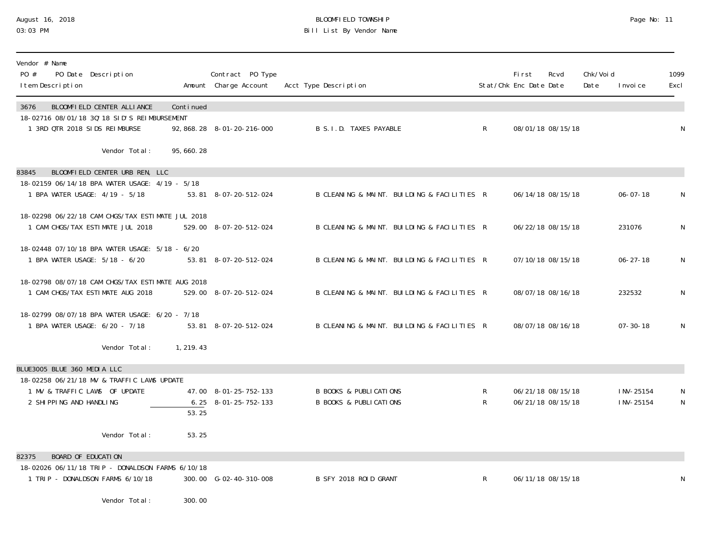## August 16, 2018 BLOOMFIELD TOWNSHIP Page No: 11 03:03 PM Bill List By Vendor Name

| Vendor # Name<br>PO Date Description<br>PO #<br>I tem Description                    |           | Contract PO Type<br>Amount Charge Account | Acct Type Description                       |              | <b>First</b><br>Stat/Chk Enc Date Date | Rcvd              | Chk/Voi d<br>Date | I nvoi ce                | 1099<br>Excl      |
|--------------------------------------------------------------------------------------|-----------|-------------------------------------------|---------------------------------------------|--------------|----------------------------------------|-------------------|-------------------|--------------------------|-------------------|
| BLOOMFIELD CENTER ALLIANCE<br>3676<br>18-02716 08/01/18 30' 18 SID'S REIMBURSEMENT   | Continued |                                           |                                             |              |                                        |                   |                   |                          |                   |
| 1 3RD QTR 2018 SIDS REIMBURSE                                                        |           | 92, 868. 28  8-01-20-216-000              | B S. I.D. TAXES PAYABLE                     | $\mathsf{R}$ |                                        | 08/01/18 08/15/18 |                   |                          | N                 |
| Vendor Total:                                                                        | 95,660.28 |                                           |                                             |              |                                        |                   |                   |                          |                   |
| BLOOMFIELD CENTER URB REN, LLC<br>83845                                              |           |                                           |                                             |              |                                        |                   |                   |                          |                   |
| 18-02159 06/14/18 BPA WATER USAGE: 4/19 - 5/18<br>1 BPA WATER USAGE: 4/19 - 5/18     |           | 53.81 8-07-20-512-024                     | B CLEANING & MAINT. BUILDING & FACILITIES R |              |                                        | 06/14/18 08/15/18 |                   | $06 - 07 - 18$           | N                 |
| 18-02298 06/22/18 CAM CHGS/TAX ESTIMATE JUL 2018<br>1 CAM CHGS/TAX ESTIMATE JUL 2018 |           | 529.00 8-07-20-512-024                    | B CLEANING & MAINT. BUILDING & FACILITIES R |              |                                        | 06/22/18 08/15/18 |                   | 231076                   | N                 |
| 18-02448 07/10/18 BPA WATER USAGE: 5/18 - 6/20<br>1 BPA WATER USAGE: 5/18 - 6/20     |           | 53.81 8-07-20-512-024                     | B CLEANING & MAINT. BUILDING & FACILITIES R |              |                                        | 07/10/18 08/15/18 |                   | $06 - 27 - 18$           | N                 |
|                                                                                      |           |                                           |                                             |              |                                        |                   |                   |                          |                   |
| 18-02798 08/07/18 CAM CHGS/TAX ESTIMATE AUG 2018<br>1 CAM CHGS/TAX ESTIMATE AUG 2018 |           | 529.00 8-07-20-512-024                    | B CLEANING & MAINT. BUILDING & FACILITIES R |              |                                        | 08/07/18 08/16/18 |                   | 232532                   | N                 |
| 18-02799 08/07/18 BPA WATER USAGE: 6/20 - 7/18<br>1 BPA WATER USAGE: 6/20 - 7/18     |           | 53.81 8-07-20-512-024                     | B CLEANING & MAINT. BUILDING & FACILITIES R |              |                                        | 08/07/18 08/16/18 |                   | $07 - 30 - 18$           | N                 |
| Vendor Total:                                                                        | 1, 219.43 |                                           |                                             |              |                                        |                   |                   |                          |                   |
| BLUE3005 BLUE 360 MEDIA LLC                                                          |           |                                           |                                             |              |                                        |                   |                   |                          |                   |
| 18-02258 06/21/18 MV & TRAFFIC LAWS UPDATE<br>1 MV & TRAFFIC LAWS OF UPDATE          |           | 47.00 8-01-25-752-133                     | <b>B BOOKS &amp; PUBLICATIONS</b>           |              |                                        | 06/21/18 08/15/18 |                   |                          |                   |
| 2 SHIPPING AND HANDLING                                                              | 53.25     | $6.25$ $8-01-25-752-133$                  | <b>B BOOKS &amp; PUBLICATIONS</b>           | R<br>R.      |                                        | 06/21/18 08/15/18 |                   | I NV-25154<br>I NV-25154 | N<br>$\mathsf{N}$ |
| Vendor Total:                                                                        | 53.25     |                                           |                                             |              |                                        |                   |                   |                          |                   |
| BOARD OF EDUCATION<br>82375                                                          |           |                                           |                                             |              |                                        |                   |                   |                          |                   |
| 18-02026 06/11/18 TRIP - DONALDSON FARMS 6/10/18<br>1 TRIP - DONALDSON FARMS 6/10/18 |           | 300.00 G-02-40-310-008                    | B SFY 2018 ROID GRANT                       | $\mathsf{R}$ |                                        | 06/11/18 08/15/18 |                   |                          | N                 |

Vendor Total: 300.00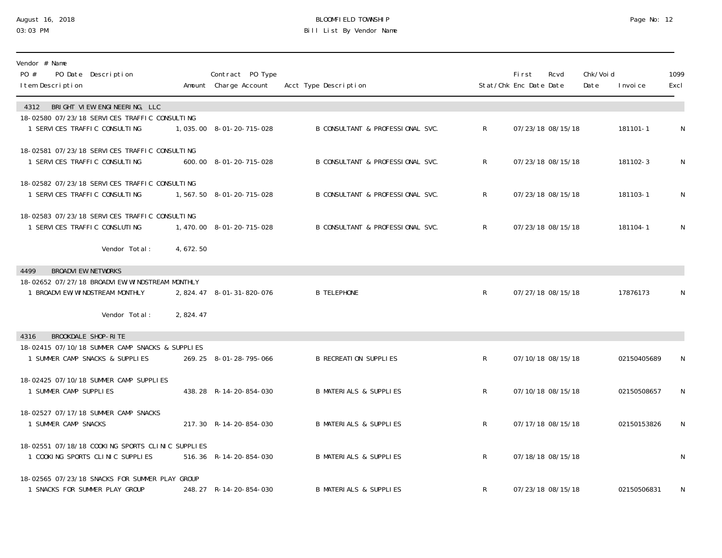### August 16, 2018 BLOOMFIELD TOWNSHIP Page No: 12 03:03 PM Bill List By Vendor Name

| Vendor # Name<br>PO #<br>PO Date Description<br>I tem Description                    |          | Contract PO Type<br>Amount Charge Account | Acct Type Description             |              | Fi rst<br>Stat/Chk Enc Date Date | Rcvd              | Chk/Voi d<br>Date | I nvoi ce   | 1099<br>Excl |
|--------------------------------------------------------------------------------------|----------|-------------------------------------------|-----------------------------------|--------------|----------------------------------|-------------------|-------------------|-------------|--------------|
| 4312 BRIGHT VIEW ENGINEERING, LLC<br>18-02580 07/23/18 SERVICES TRAFFIC CONSULTING   |          |                                           |                                   |              |                                  |                   |                   |             |              |
| 1 SERVICES TRAFFIC CONSULTING                                                        |          | 1,035.00 8-01-20-715-028                  | B CONSULTANT & PROFESSIONAL SVC.  | $\mathsf{R}$ |                                  | 07/23/18 08/15/18 |                   | 181101-1    | N            |
| 18-02581 07/23/18 SERVICES TRAFFIC CONSULTING<br>1 SERVICES TRAFFIC CONSULTING       |          | 600.00 8-01-20-715-028                    | B CONSULTANT & PROFESSIONAL SVC.  | $\mathsf{R}$ |                                  | 07/23/18 08/15/18 |                   | 181102-3    | N            |
| 18-02582 07/23/18 SERVICES TRAFFIC CONSULTING<br>1 SERVICES TRAFFIC CONSULTING       |          | 1,567.50 8-01-20-715-028                  | B CONSULTANT & PROFESSIONAL SVC.  | $\mathsf{R}$ |                                  | 07/23/18 08/15/18 |                   | 181103-1    | N            |
| 18-02583 07/23/18 SERVICES TRAFFIC CONSULTING<br>1 SERVICES TRAFFIC CONSLUTING       |          | 1,470.00 8-01-20-715-028                  | B CONSULTANT & PROFESSIONAL SVC.  | $\mathsf{R}$ |                                  | 07/23/18 08/15/18 |                   | 181104-1    | $\mathsf N$  |
| Vendor Total:                                                                        | 4,672.50 |                                           |                                   |              |                                  |                   |                   |             |              |
| 4499<br><b>BROADVIEW NETWORKS</b>                                                    |          |                                           |                                   |              |                                  |                   |                   |             |              |
| 18-02652 07/27/18 BROADVI EW/WI NDSTREAM MONTHLY<br>1 BROADVI EW/WI NDSTREAM MONTHLY |          | 2, 824.47 8-01-31-820-076                 | <b>B TELEPHONE</b>                | $\mathsf{R}$ |                                  | 07/27/18 08/15/18 |                   | 17876173    | N            |
| Vendor Total:                                                                        | 2,824.47 |                                           |                                   |              |                                  |                   |                   |             |              |
| BROOKDALE SHOP-RITE<br>4316                                                          |          |                                           |                                   |              |                                  |                   |                   |             |              |
| 18-02415 07/10/18 SUMMER CAMP SNACKS & SUPPLIES<br>1 SUMMER CAMP SNACKS & SUPPLIES   |          | 269.25 8-01-28-795-066                    | <b>B RECREATION SUPPLIES</b>      | R            |                                  | 07/10/18 08/15/18 |                   | 02150405689 | N            |
| 18-02425 07/10/18 SUMMER CAMP SUPPLIES<br>1 SUMMER CAMP SUPPLIES                     |          | 438.28 R-14-20-854-030                    | <b>B MATERIALS &amp; SUPPLIES</b> | $\mathsf{R}$ |                                  | 07/10/18 08/15/18 |                   | 02150508657 | N            |
| 18-02527 07/17/18 SUMMER CAMP SNACKS<br>1 SUMMER CAMP SNACKS                         |          | 217.30 R-14-20-854-030                    | <b>B MATERIALS &amp; SUPPLIES</b> | $\mathsf{R}$ |                                  | 07/17/18 08/15/18 |                   | 02150153826 | $\mathsf{N}$ |
| 18-02551 07/18/18 COOKING SPORTS CLINIC SUPPLIES<br>1 COOKING SPORTS CLINIC SUPPLIES |          | 516.36 R-14-20-854-030                    | <b>B MATERIALS &amp; SUPPLIES</b> | $R_{\perp}$  |                                  | 07/18/18 08/15/18 |                   |             | N            |
| 18-02565 07/23/18 SNACKS FOR SUMMER PLAY GROUP<br>1 SNACKS FOR SUMMER PLAY GROUP     |          | 248.27 R-14-20-854-030                    | B MATERIALS & SUPPLIES            | R            |                                  | 07/23/18 08/15/18 |                   | 02150506831 | N            |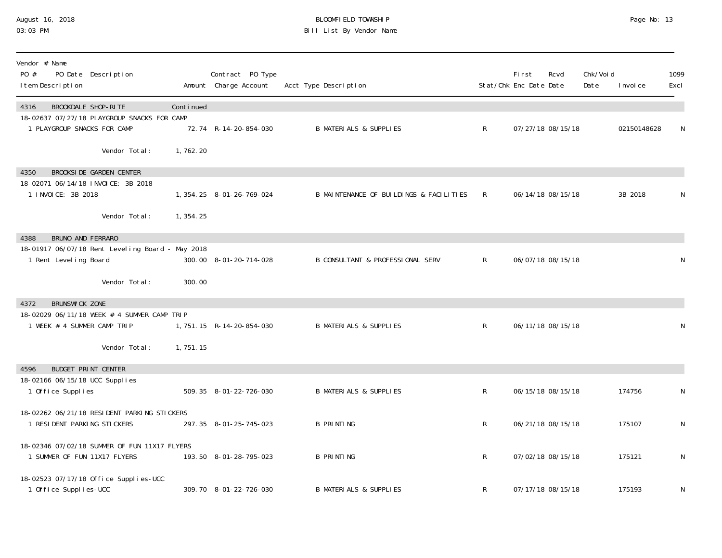### August 16, 2018 BLOOMFIELD TOWNSHIP Page No: 13 03:03 PM Bill List By Vendor Name

| Vendor # Name<br>PO #<br>PO Date Description<br>I tem Description                                           |            | Contract PO Type<br>Amount Charge Account | Acct Type Description                       |              | First<br>Stat/Chk Enc Date Date | Rcvd              | Chk/Voi d<br>Date | I nvoi ce   | 1099<br>Excl |
|-------------------------------------------------------------------------------------------------------------|------------|-------------------------------------------|---------------------------------------------|--------------|---------------------------------|-------------------|-------------------|-------------|--------------|
| BROOKDALE SHOP-RITE<br>4316<br>18-02637 07/27/18 PLAYGROUP SNACKS FOR CAMP<br>1 PLAYGROUP SNACKS FOR CAMP   | Continued  | 72.74 R-14-20-854-030                     | <b>B MATERIALS &amp; SUPPLIES</b>           | $\mathsf{R}$ |                                 | 07/27/18 08/15/18 |                   | 02150148628 | N            |
| Vendor Total:                                                                                               | 1,762.20   |                                           |                                             |              |                                 |                   |                   |             |              |
| <b>BROOKSIDE GARDEN CENTER</b><br>4350<br>18-02071 06/14/18 INVOICE: 3B 2018<br>1 INVOICE: 3B 2018          |            | 1, 354. 25 8-01-26-769-024                | B MAINTENANCE OF BUILDINGS & FACILITIES     | $\mathsf{R}$ |                                 | 06/14/18 08/15/18 |                   | 3B 2018     | N            |
| Vendor Total:                                                                                               | 1, 354. 25 |                                           |                                             |              |                                 |                   |                   |             |              |
| BRUNO AND FERRARO<br>4388<br>18-01917 06/07/18 Rent Leveling Board - May 2018<br>1 Rent Leveling Board      |            | 300.00 8-01-20-714-028                    | <b>B CONSULTANT &amp; PROFESSIONAL SERV</b> | $\mathsf{R}$ |                                 | 06/07/18 08/15/18 |                   |             | N            |
| Vendor Total:                                                                                               | 300.00     |                                           |                                             |              |                                 |                   |                   |             |              |
| <b>BRUNSWICK ZONE</b><br>4372<br>18-02029 06/11/18 WEEK # 4 SUMMER CAMP TRIP<br>1 WEEK # 4 SUMMER CAMP TRIP |            | 1, 751. 15 R-14-20-854-030                | <b>B MATERIALS &amp; SUPPLIES</b>           | $\mathsf{R}$ |                                 | 06/11/18 08/15/18 |                   |             | N            |
| Vendor Total:                                                                                               | 1,751.15   |                                           |                                             |              |                                 |                   |                   |             |              |
| <b>BUDGET PRINT CENTER</b><br>4596<br>18-02166 06/15/18 UCC Supplies<br>1 Office Supplies                   |            | 509.35 8-01-22-726-030                    | <b>B MATERIALS &amp; SUPPLIES</b>           | $\mathsf R$  |                                 | 06/15/18 08/15/18 |                   | 174756      | N            |
| 18-02262 06/21/18 RESIDENT PARKING STICKERS<br>1 RESIDENT PARKING STICKERS                                  |            | 297.35 8-01-25-745-023                    | <b>B PRINTING</b>                           | $\mathsf{R}$ |                                 | 06/21/18 08/15/18 |                   | 175107      | N            |
| 18-02346 07/02/18 SUMMER OF FUN 11X17 FLYERS<br>1 SUMMER OF FUN 11X17 FLYERS                                |            | 193.50 8-01-28-795-023                    | <b>B PRINTING</b>                           | R            |                                 | 07/02/18 08/15/18 |                   | 175121      | N            |
| 18-02523 07/17/18 Office Supplies-UCC<br>1 Office Supplies-UCC                                              |            | 309.70 8-01-22-726-030                    | <b>B MATERIALS &amp; SUPPLIES</b>           | R            |                                 | 07/17/18 08/15/18 |                   | 175193      | N            |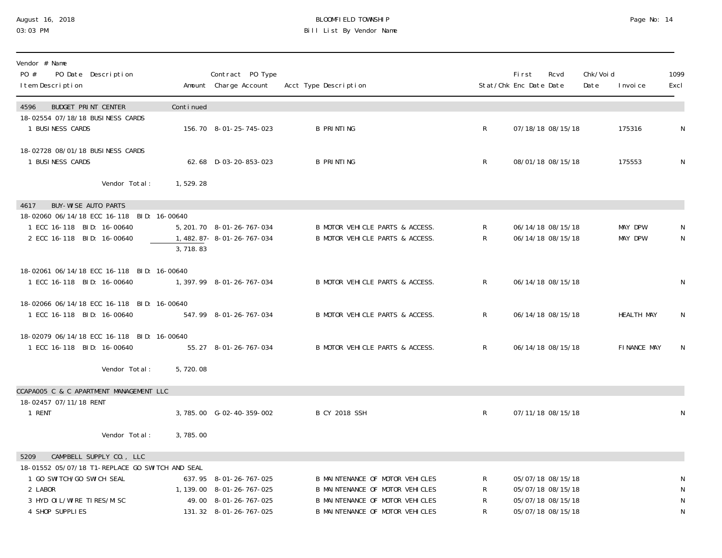# August 16, 2018 BLOOMFIELD TOWNSHIP Page No: 14 Bill List By Vendor Name

| Vendor # Name<br>PO #<br>PO Date Description<br>I tem Description                                                                             |           | Contract PO Type<br>Amount Charge Account                                                              | Acct Type Description                                                                                                                           |                   | First<br>Stat/Chk Enc Date Date | Rcvd                                                                             | Chk/Voi d<br>Date | I nvoi ce                 | 1099<br>Excl                                 |
|-----------------------------------------------------------------------------------------------------------------------------------------------|-----------|--------------------------------------------------------------------------------------------------------|-------------------------------------------------------------------------------------------------------------------------------------------------|-------------------|---------------------------------|----------------------------------------------------------------------------------|-------------------|---------------------------|----------------------------------------------|
| 4596<br><b>BUDGET PRINT CENTER</b>                                                                                                            | Continued |                                                                                                        |                                                                                                                                                 |                   |                                 |                                                                                  |                   |                           |                                              |
| 18-02554 07/18/18 BUSINESS CARDS<br>1 BUSINESS CARDS                                                                                          |           | 156.70 8-01-25-745-023                                                                                 | <b>B PRINTING</b>                                                                                                                               | $R_{\perp}$       |                                 | 07/18/18 08/15/18                                                                |                   | 175316                    | N                                            |
| 18-02728 08/01/18 BUSINESS CARDS<br>1 BUSINESS CARDS                                                                                          |           | 62.68 D-03-20-853-023                                                                                  | <b>B PRINTING</b>                                                                                                                               | $\mathsf R$       |                                 | 08/01/18 08/15/18                                                                |                   | 175553                    | N                                            |
| Vendor Total:                                                                                                                                 | 1,529.28  |                                                                                                        |                                                                                                                                                 |                   |                                 |                                                                                  |                   |                           |                                              |
| BUY-WISE AUTO PARTS<br>4617                                                                                                                   |           |                                                                                                        |                                                                                                                                                 |                   |                                 |                                                                                  |                   |                           |                                              |
| 18-02060 06/14/18 ECC 16-118 BID: 16-00640<br>1 ECC 16-118 BID: 16-00640<br>2 ECC 16-118 BID: 16-00640                                        | 3,718.83  | 5, 201. 70 8-01-26-767-034<br>1, 482. 87 - 8 - 01 - 26 - 767 - 034                                     | B MOTOR VEHICLE PARTS & ACCESS.<br>B MOTOR VEHICLE PARTS & ACCESS.                                                                              | R<br>$\mathsf{R}$ |                                 | 06/14/18 08/15/18<br>06/14/18 08/15/18                                           |                   | MAY DPW<br><b>MAY DPW</b> | N<br>N                                       |
| 18-02061 06/14/18 ECC 16-118 BID: 16-00640<br>1 ECC 16-118 BID: 16-00640                                                                      |           | 1, 397. 99 8-01-26-767-034                                                                             | B MOTOR VEHICLE PARTS & ACCESS.                                                                                                                 | $\mathsf{R}$      |                                 | 06/14/18 08/15/18                                                                |                   |                           | N                                            |
| 18-02066 06/14/18 ECC 16-118 BID: 16-00640<br>1 ECC 16-118 BID: 16-00640                                                                      |           | 547.99 8-01-26-767-034                                                                                 | B MOTOR VEHICLE PARTS & ACCESS.                                                                                                                 | $\mathsf{R}$      |                                 | 06/14/18 08/15/18                                                                |                   | <b>HEALTH MAY</b>         | N                                            |
| 18-02079 06/14/18 ECC 16-118 BID: 16-00640<br>1 ECC 16-118 BID: 16-00640                                                                      |           | 55.27 8-01-26-767-034                                                                                  | B MOTOR VEHICLE PARTS & ACCESS.                                                                                                                 | $R_{\perp}$       |                                 | 06/14/18 08/15/18                                                                |                   | FINANCE MAY               | N                                            |
| Vendor Total:                                                                                                                                 | 5,720.08  |                                                                                                        |                                                                                                                                                 |                   |                                 |                                                                                  |                   |                           |                                              |
| CCAPA005 C & C APARTMENT MANAGEMENT LLC                                                                                                       |           |                                                                                                        |                                                                                                                                                 |                   |                                 |                                                                                  |                   |                           |                                              |
| 18-02457 07/11/18 RENT<br>1 RENT                                                                                                              |           | 3,785.00 G-02-40-359-002                                                                               | <b>B CY 2018 SSH</b>                                                                                                                            | $\mathsf{R}$      |                                 | 07/11/18 08/15/18                                                                |                   |                           | N                                            |
| Vendor Total:                                                                                                                                 | 3,785.00  |                                                                                                        |                                                                                                                                                 |                   |                                 |                                                                                  |                   |                           |                                              |
| CAMPBELL SUPPLY CO., LLC<br>5209                                                                                                              |           |                                                                                                        |                                                                                                                                                 |                   |                                 |                                                                                  |                   |                           |                                              |
| 18-01552 05/07/18 T1-REPLACE GO SWITCH AND SEAL<br>1 GO SWI TCH/GO SWI CH SEAL<br>2 LABOR<br>3 HYD OI L/WI RE TI RES/MI SC<br>4 SHOP SUPPLIES |           | 637.95 8-01-26-767-025<br>1, 139.00 8-01-26-767-025<br>49.00 8-01-26-767-025<br>131.32 8-01-26-767-025 | B MAINTENANCE OF MOTOR VEHICLES<br>B MAINTENANCE OF MOTOR VEHICLES<br>B MAINTENANCE OF MOTOR VEHICLES<br><b>B MAINTENANCE OF MOTOR VEHICLES</b> | R<br>R<br>R<br>R  |                                 | 05/07/18 08/15/18<br>05/07/18 08/15/18<br>05/07/18 08/15/18<br>05/07/18 08/15/18 |                   |                           | N<br>$\mathsf N$<br>$\mathsf N$<br>${\sf N}$ |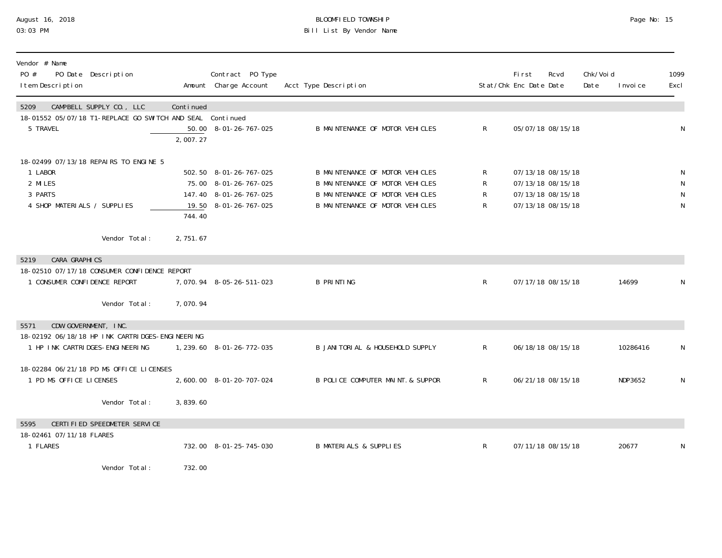## August 16, 2018 BLOOMFIELD TOWNSHIP Page No: 15 03:03 PM Bill List By Vendor Name

| Vendor # Name<br>PO #<br>PO Date Description<br>I tem Description                                                                                             |                       | Contract PO Type<br>Amount Charge Account                                                          | Acct Type Description                                                                                                                           |                               | <b>First</b><br>Rcvd<br>Stat/Chk Enc Date Date                                   | Chk/Voi d<br>Date | I nvoi ce | 1099<br>Excl                |
|---------------------------------------------------------------------------------------------------------------------------------------------------------------|-----------------------|----------------------------------------------------------------------------------------------------|-------------------------------------------------------------------------------------------------------------------------------------------------|-------------------------------|----------------------------------------------------------------------------------|-------------------|-----------|-----------------------------|
| CAMPBELL SUPPLY CO., LLC<br>5209<br>18-01552 05/07/18 T1-REPLACE GO SWITCH AND SEAL Continued<br>5 TRAVEL                                                     | Continued<br>2,007.27 | 50.00 8-01-26-767-025                                                                              | B MAINTENANCE OF MOTOR VEHICLES                                                                                                                 | $\mathsf{R}$                  | 05/07/18 08/15/18                                                                |                   |           | N                           |
| 18-02499 07/13/18 REPAIRS TO ENGINE 5<br>1 LABOR<br>2 MILES<br>3 PARTS<br>4 SHOP MATERIALS / SUPPLIES<br>Vendor Total:                                        | 744.40<br>2,751.67    | 502.50 8-01-26-767-025<br>75.00 8-01-26-767-025<br>147.40 8-01-26-767-025<br>19.50 8-01-26-767-025 | B MAINTENANCE OF MOTOR VEHICLES<br><b>B MAINTENANCE OF MOTOR VEHICLES</b><br>B MAINTENANCE OF MOTOR VEHICLES<br>B MAINTENANCE OF MOTOR VEHICLES | $\mathsf{R}^-$<br>R<br>R<br>R | 07/13/18 08/15/18<br>07/13/18 08/15/18<br>07/13/18 08/15/18<br>07/13/18 08/15/18 |                   |           | N<br>N<br>N<br>$\mathsf{N}$ |
| CARA GRAPHICS<br>5219<br>18-02510 07/17/18 CONSUMER CONFIDENCE REPORT<br>1 CONSUMER CONFIDENCE REPORT<br>Vendor Total:                                        | 7,070.94              | 7,070.94 8-05-26-511-023                                                                           | <b>B PRINTING</b>                                                                                                                               | $\mathsf{R}$                  | 07/17/18 08/15/18                                                                |                   | 14699     | N                           |
| CDW GOVERNMENT, INC.<br>5571<br>18-02192 06/18/18 HP INK CARTRIDGES-ENGINEERING<br>1 HP INK CARTRIDGES-ENGINEERING<br>18-02284 06/21/18 PD MS OFFICE LICENSES |                       | 1, 239.60 8-01-26-772-035                                                                          | B JANITORIAL & HOUSEHOLD SUPPLY                                                                                                                 | $\mathsf{R}$                  | 06/18/18 08/15/18                                                                |                   | 10286416  | N                           |
| 1 PD MS OFFICE LICENSES<br>Vendor Total:<br>CERTIFIED SPEEDMETER SERVICE<br>5595                                                                              | 3,839.60              | 2,600.00 8-01-20-707-024                                                                           | B POLICE COMPUTER MAINT. & SUPPOR                                                                                                               | R                             | 06/21/18 08/15/18                                                                |                   | NDP3652   | $\mathsf{N}$                |
| 18-02461 07/11/18 FLARES<br>1 FLARES<br>$M_{\odot}$ and $\sim$ $\pm$ $\pm$ $\pm$ $\pm$ $\pm$                                                                  | 700.00                | 732.00 8-01-25-745-030                                                                             | <b>B MATERIALS &amp; SUPPLIES</b>                                                                                                               | $\mathsf{R}$                  | 07/11/18 08/15/18                                                                |                   | 20677     | N                           |

Vendor Total: 732.00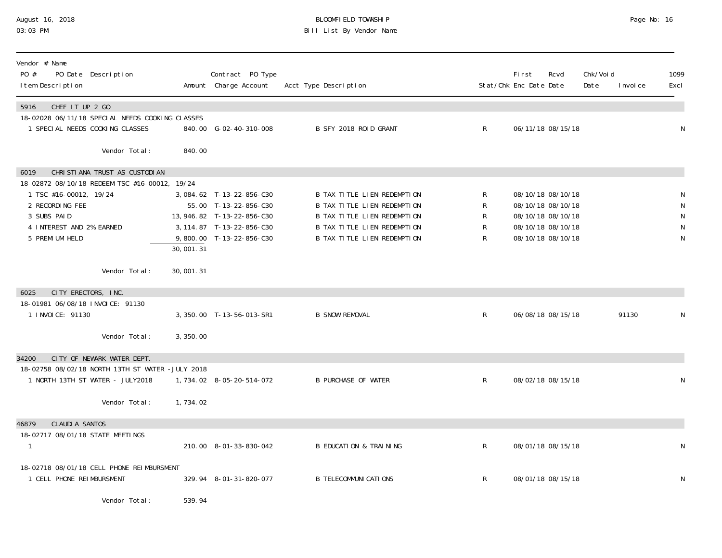# August 16, 2018 BLOOMFIELD TOWNSHIP Page No: 16 Bill List By Vendor Name

| Vendor # Name<br>PO #<br>I tem Description                                                                      | PO Date Description                                                                |           | Contract PO Type<br>Amount Charge Account                                                                                                 | Acct Type Description                                                                                                                                                 |                                             | First<br>Stat/Chk Enc Date Date | Rcvd                                                                                                  | Chk/Void<br>Date | I nvoi ce | 1099<br>Excl     |
|-----------------------------------------------------------------------------------------------------------------|------------------------------------------------------------------------------------|-----------|-------------------------------------------------------------------------------------------------------------------------------------------|-----------------------------------------------------------------------------------------------------------------------------------------------------------------------|---------------------------------------------|---------------------------------|-------------------------------------------------------------------------------------------------------|------------------|-----------|------------------|
| CHEF IT UP 2 GO<br>5916                                                                                         | 18-02028 06/11/18 SPECIAL NEEDS COOKING CLASSES<br>1 SPECIAL NEEDS COOKING CLASSES |           | 840.00 G-02-40-310-008                                                                                                                    | B SFY 2018 ROID GRANT                                                                                                                                                 | $\mathsf{R}$                                |                                 | 06/11/18 08/15/18                                                                                     |                  |           | N                |
|                                                                                                                 | Vendor Total:                                                                      | 840.00    |                                                                                                                                           |                                                                                                                                                                       |                                             |                                 |                                                                                                       |                  |           |                  |
| 6019<br>1 TSC #16-00012, 19/24<br>2 RECORDING FEE<br>3 SUBS PAID<br>4 INTEREST AND 2% EARNED<br>5 PREMI UM HELD | CHRISTIANA TRUST AS CUSTODIAN<br>18-02872 08/10/18 REDEEM TSC #16-00012, 19/24     | 30,001.31 | 3,084.62 T-13-22-856-C30<br>55.00 T-13-22-856-C30<br>13, 946. 82 T-13-22-856-C30<br>3, 114.87 T-13-22-856-C30<br>9,800.00 T-13-22-856-C30 | B TAX TITLE LIEN REDEMPTION<br><b>B TAX TITLE LIEN REDEMPTION</b><br>B TAX TITLE LIEN REDEMPTION<br>B TAX TITLE LIEN REDEMPTION<br><b>B TAX TITLE LIEN REDEMPTION</b> | R<br>R<br>R<br>$\mathsf{R}$<br>$\mathsf{R}$ |                                 | 08/10/18 08/10/18<br>08/10/18 08/10/18<br>08/10/18 08/10/18<br>08/10/18 08/10/18<br>08/10/18 08/10/18 |                  |           | N<br>N<br>N<br>N |
|                                                                                                                 | Vendor Total:                                                                      | 30,001.31 |                                                                                                                                           |                                                                                                                                                                       |                                             |                                 |                                                                                                       |                  |           |                  |
| 6025<br>18-01981 06/08/18 INVOICE: 91130<br>1 INVOICE: 91130                                                    | CITY ERECTORS, INC.<br>Vendor Total:                                               | 3,350.00  | 3, 350.00 T-13-56-013-SR1                                                                                                                 | <b>B SNOW REMOVAL</b>                                                                                                                                                 | $\mathsf{R}$                                |                                 | 06/08/18 08/15/18                                                                                     |                  | 91130     | N                |
| 34200                                                                                                           | CITY OF NEWARK WATER DEPT.<br>18-02758 08/02/18 NORTH 13TH ST WATER -JULY 2018     |           |                                                                                                                                           |                                                                                                                                                                       |                                             |                                 |                                                                                                       |                  |           |                  |
|                                                                                                                 | 1 NORTH 13TH ST WATER - JULY2018                                                   |           | 1, 734. 02 8-05-20-514-072                                                                                                                | <b>B PURCHASE OF WATER</b>                                                                                                                                            | $\mathsf{R}$                                |                                 | 08/02/18 08/15/18                                                                                     |                  |           | N                |
|                                                                                                                 | Vendor Total:                                                                      | 1,734.02  |                                                                                                                                           |                                                                                                                                                                       |                                             |                                 |                                                                                                       |                  |           |                  |
| <b>CLAUDI A SANTOS</b><br>46879<br>18-02717 08/01/18 STATE MEETINGS                                             |                                                                                    |           | 210.00 8-01-33-830-042                                                                                                                    | <b>B EDUCATION &amp; TRAINING</b>                                                                                                                                     | $\mathsf{R}$                                |                                 | 08/01/18 08/15/18                                                                                     |                  |           | N                |
| 1 CELL PHONE REIMBURSMENT                                                                                       | 18-02718 08/01/18 CELL PHONE REIMBURSMENT                                          |           | 329.94 8-01-31-820-077                                                                                                                    | <b>B TELECOMMUNI CATI ONS</b>                                                                                                                                         | $\mathsf{R}$                                |                                 | 08/01/18 08/15/18                                                                                     |                  |           | N                |
|                                                                                                                 | Vendor Total:                                                                      | 539.94    |                                                                                                                                           |                                                                                                                                                                       |                                             |                                 |                                                                                                       |                  |           |                  |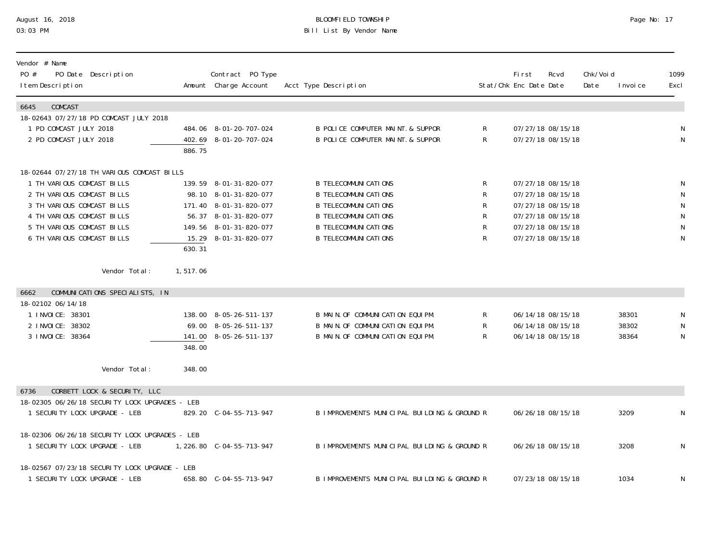## August 16, 2018 BLOOMFIELD TOWNSHIP Page No: 17 03:03 PM Bill List By Vendor Name

| Vendor # Name<br>PO #<br>PO Date Description<br>I tem Description               |          | Contract PO Type<br>Amount Charge Account        | Acct Type Description                                                  |                | First<br>Stat/Chk Enc Date Date        | Rcvd | Chk/Voi d<br>Date | I nvoi ce | 1099<br>Excl   |
|---------------------------------------------------------------------------------|----------|--------------------------------------------------|------------------------------------------------------------------------|----------------|----------------------------------------|------|-------------------|-----------|----------------|
| COMCAST<br>6645                                                                 |          |                                                  |                                                                        |                |                                        |      |                   |           |                |
| 18-02643 07/27/18 PD COMCAST JULY 2018                                          |          |                                                  |                                                                        |                |                                        |      |                   |           |                |
| 1 PD COMCAST JULY 2018<br>2 PD COMCAST JULY 2018                                |          | 484.06 8-01-20-707-024<br>402.69 8-01-20-707-024 | B POLICE COMPUTER MAINT. & SUPPOR<br>B POLICE COMPUTER MAINT. & SUPPOR | R<br>R         | 07/27/18 08/15/18<br>07/27/18 08/15/18 |      |                   |           | N<br>N         |
|                                                                                 | 886.75   |                                                  |                                                                        |                |                                        |      |                   |           |                |
| 18-02644 07/27/18 TH VARIOUS COMCAST BILLS                                      |          |                                                  |                                                                        |                |                                        |      |                   |           |                |
| 1 TH VARIOUS COMCAST BILLS                                                      |          | 139.59 8-01-31-820-077                           | <b>B TELECOMMUNI CATIONS</b>                                           | R              | 07/27/18 08/15/18                      |      |                   |           | N              |
| 2 TH VARIOUS COMCAST BILLS                                                      |          | 98.10 8-01-31-820-077                            | <b>B TELECOMMUNICATIONS</b>                                            | R              | 07/27/18 08/15/18                      |      |                   |           | $\mathsf{N}$   |
| 3 TH VARIOUS COMCAST BILLS                                                      |          | 171.40 8-01-31-820-077                           | <b>B TELECOMMUNI CATI ONS</b>                                          | R              | 07/27/18 08/15/18                      |      |                   |           | ${\sf N}$      |
| 4 TH VARIOUS COMCAST BILLS                                                      |          | 56.37 8-01-31-820-077                            | <b>B TELECOMMUNI CATI ONS</b>                                          | R              | 07/27/18 08/15/18                      |      |                   |           | ${\sf N}$      |
| 5 TH VARIOUS COMCAST BILLS<br>6 TH VARIOUS COMCAST BILLS                        |          | 149.56 8-01-31-820-077                           | <b>B TELECOMMUNI CATIONS</b><br><b>B TELECOMMUNI CATI ONS</b>          | ${\sf R}$<br>R | 07/27/18 08/15/18                      |      |                   |           | ${\sf N}$<br>N |
|                                                                                 | 630.31   | 15.29 8-01-31-820-077                            |                                                                        |                | 07/27/18 08/15/18                      |      |                   |           |                |
| Vendor Total:                                                                   | 1,517.06 |                                                  |                                                                        |                |                                        |      |                   |           |                |
| COMMUNICATIONS SPECIALISTS, IN<br>6662                                          |          |                                                  |                                                                        |                |                                        |      |                   |           |                |
| 18-02102 06/14/18                                                               |          |                                                  |                                                                        |                |                                        |      |                   |           |                |
| 1 I NVOI CE: 38301                                                              |          | 138.00 8-05-26-511-137                           | B MAIN. OF COMMUNICATION EQUIPM.                                       | R              | 06/14/18 08/15/18                      |      |                   | 38301     | N              |
| 2 I NVOI CE: 38302                                                              |          | 69.00 8-05-26-511-137                            | B MAIN. OF COMMUNICATION EQUIPM.                                       | R              | 06/14/18 08/15/18                      |      |                   | 38302     | N              |
| 3 I NVOI CE: 38364                                                              | 348.00   | 141.00 8-05-26-511-137                           | B MAIN. OF COMMUNICATION EQUIPM.                                       | R              | 06/14/18 08/15/18                      |      |                   | 38364     | N              |
| Vendor Total:                                                                   | 348.00   |                                                  |                                                                        |                |                                        |      |                   |           |                |
|                                                                                 |          |                                                  |                                                                        |                |                                        |      |                   |           |                |
| CORBETT LOCK & SECURITY, LLC<br>6736                                            |          |                                                  |                                                                        |                |                                        |      |                   |           |                |
| 18-02305 06/26/18 SECURITY LOCK UPGRADES - LEB<br>1 SECURITY LOCK UPGRADE - LEB |          | 829.20 C-04-55-713-947                           | B IMPROVEMENTS MUNICIPAL BUILDING & GROUND R                           |                | 06/26/18 08/15/18                      |      |                   | 3209      | N              |
|                                                                                 |          |                                                  |                                                                        |                |                                        |      |                   |           |                |
| 18-02306 06/26/18 SECURITY LOCK UPGRADES - LEB                                  |          |                                                  |                                                                        |                |                                        |      |                   |           |                |
| 1 SECURITY LOCK UPGRADE - LEB                                                   |          | 1, 226.80 C-04-55-713-947                        | B IMPROVEMENTS MUNICIPAL BUILDING & GROUND R                           |                | 06/26/18 08/15/18                      |      |                   | 3208      | $\mathsf N$    |
| 18-02567 07/23/18 SECURITY LOCK UPGRADE - LEB                                   |          |                                                  |                                                                        |                |                                        |      |                   |           |                |
| 1 SECURITY LOCK UPGRADE - LEB                                                   |          | 658.80 C-04-55-713-947                           | B IMPROVEMENTS MUNICIPAL BUILDING & GROUND R                           |                | 07/23/18 08/15/18                      |      |                   | 1034      | N              |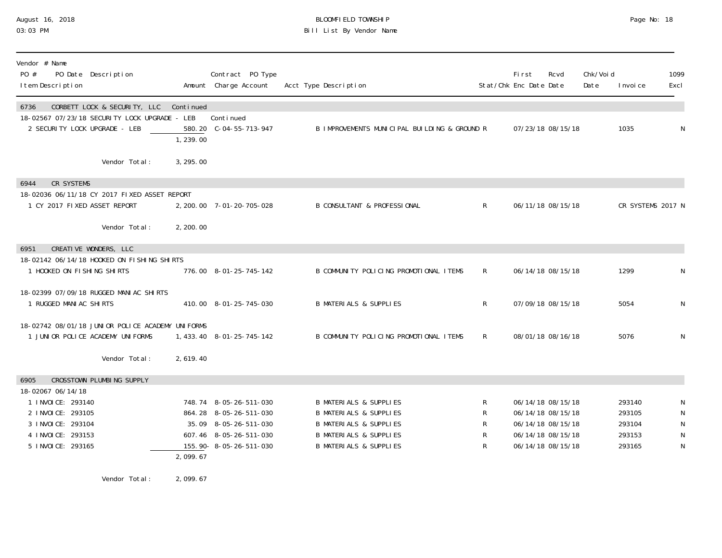### August 16, 2018 BLOOMFIELD TOWNSHIP Page No: 18 03:03 PM Bill List By Vendor Name

| Vendor # Name<br>PO #<br>I tem Description | PO Date Description                                                                  |                       | Contract PO Type<br>Amount Charge Account        | Acct Type Description                                                  |              | First<br>Stat/Chk Enc Date Date | Rcvd                                   | Chk/Voi d<br>Date | I nvoi ce         | 1099<br>Excl   |
|--------------------------------------------|--------------------------------------------------------------------------------------|-----------------------|--------------------------------------------------|------------------------------------------------------------------------|--------------|---------------------------------|----------------------------------------|-------------------|-------------------|----------------|
| 6736<br>2 SECURITY LOCK UPGRADE - LEB      | CORBETT LOCK & SECURITY, LLC<br>18-02567 07/23/18 SECURITY LOCK UPGRADE - LEB        | Continued<br>1,239.00 | Continued<br>580.20 C-04-55-713-947              | B IMPROVEMENTS MUNICIPAL BUILDING & GROUND R                           |              |                                 | 07/23/18 08/15/18                      |                   | 1035              | N              |
|                                            | Vendor Total:                                                                        | 3, 295.00             |                                                  |                                                                        |              |                                 |                                        |                   |                   |                |
| <b>CR SYSTEMS</b><br>6944                  |                                                                                      |                       |                                                  |                                                                        |              |                                 |                                        |                   |                   |                |
|                                            | 18-02036 06/11/18 CY 2017 FIXED ASSET REPORT                                         |                       |                                                  |                                                                        |              |                                 |                                        |                   |                   |                |
| 1 CY 2017 FIXED ASSET REPORT               |                                                                                      |                       | 2, 200. 00 7-01-20-705-028                       | <b>B CONSULTANT &amp; PROFESSIONAL</b>                                 | $\mathsf{R}$ |                                 | 06/11/18 08/15/18                      |                   | CR SYSTEMS 2017 N |                |
|                                            | Vendor Total:                                                                        | 2, 200.00             |                                                  |                                                                        |              |                                 |                                        |                   |                   |                |
| 6951                                       | CREATIVE WONDERS, LLC                                                                |                       |                                                  |                                                                        |              |                                 |                                        |                   |                   |                |
|                                            | 18-02142 06/14/18 HOOKED ON FISHING SHIRTS                                           |                       |                                                  |                                                                        |              |                                 |                                        |                   |                   |                |
| 1 HOOKED ON FISHING SHIRTS                 |                                                                                      |                       | 776.00 8-01-25-745-142                           | B COMMUNITY POLICING PROMOTIONAL ITEMS                                 | R            |                                 | 06/14/18 08/15/18                      |                   | 1299              | N              |
|                                            | 18-02399 07/09/18 RUGGED MANIAC SHIRTS                                               |                       |                                                  |                                                                        |              |                                 |                                        |                   |                   |                |
| 1 RUGGED MANIAC SHIRTS                     |                                                                                      |                       | 410.00 8-01-25-745-030                           | <b>B MATERIALS &amp; SUPPLIES</b>                                      | R            |                                 | 07/09/18 08/15/18                      |                   | 5054              | N              |
|                                            |                                                                                      |                       |                                                  |                                                                        |              |                                 |                                        |                   |                   |                |
|                                            | 18-02742 08/01/18 JUNIOR POLICE ACADEMY UNIFORMS<br>1 JUNIOR POLICE ACADEMY UNIFORMS |                       | 1, 433. 40 8-01-25-745-142                       | B COMMUNITY POLICING PROMOTIONAL ITEMS                                 | R            |                                 | 08/01/18 08/16/18                      |                   | 5076              | $\mathsf N$    |
|                                            |                                                                                      |                       |                                                  |                                                                        |              |                                 |                                        |                   |                   |                |
|                                            | Vendor Total:                                                                        | 2,619.40              |                                                  |                                                                        |              |                                 |                                        |                   |                   |                |
| 6905                                       | CROSSTOWN PLUMBING SUPPLY                                                            |                       |                                                  |                                                                        |              |                                 |                                        |                   |                   |                |
| 18-02067 06/14/18                          |                                                                                      |                       |                                                  |                                                                        |              |                                 |                                        |                   |                   |                |
| 1 INVOICE: 293140                          |                                                                                      |                       | 748.74 8-05-26-511-030                           | <b>B MATERIALS &amp; SUPPLIES</b>                                      | R            |                                 | 06/14/18 08/15/18                      |                   | 293140            | N              |
| 2 I NVOI CE: 293105                        |                                                                                      |                       | 864.28 8-05-26-511-030                           | <b>B MATERIALS &amp; SUPPLIES</b>                                      | R            |                                 | 06/14/18 08/15/18                      |                   | 293105            | ${\sf N}$      |
| 3 I NVOI CE: 293104                        |                                                                                      |                       | 35.09 8-05-26-511-030                            | <b>B MATERIALS &amp; SUPPLIES</b>                                      | R            |                                 | 06/14/18 08/15/18                      |                   | 293104            | ${\sf N}$      |
| 4 I NVOI CE: 293153<br>5 I NVOI CE: 293165 |                                                                                      |                       | 607.46 8-05-26-511-030<br>155.90-8-05-26-511-030 | <b>B MATERIALS &amp; SUPPLIES</b><br><b>B MATERIALS &amp; SUPPLIES</b> | R<br>R       |                                 | 06/14/18 08/15/18<br>06/14/18 08/15/18 |                   | 293153<br>293165  | ${\sf N}$<br>N |
|                                            |                                                                                      | 2,099.67              |                                                  |                                                                        |              |                                 |                                        |                   |                   |                |
|                                            |                                                                                      |                       |                                                  |                                                                        |              |                                 |                                        |                   |                   |                |

Vendor Total: 2,099.67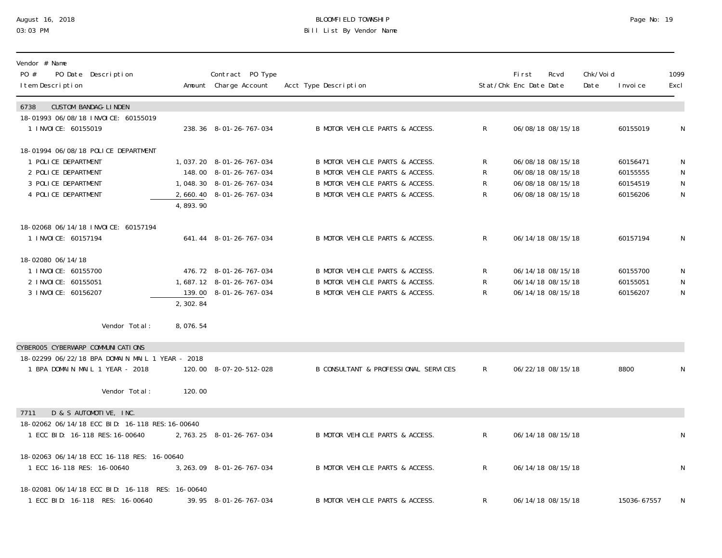### August 16, 2018 BLOOMFIELD TOWNSHIP Page No: 19 03:03 PM Bill List By Vendor Name

| Vendor # Name<br>PO #<br>PO Date Description<br>I tem Description          |          | Contract PO Type<br>Amount Charge Account | Acct Type Description                |              | <b>First</b><br>Stat/Chk Enc Date Date | Rcvd              | Chk/Voi d<br>Date | I nvoi ce   | 1099<br>Excl |
|----------------------------------------------------------------------------|----------|-------------------------------------------|--------------------------------------|--------------|----------------------------------------|-------------------|-------------------|-------------|--------------|
| 6738<br><b>CUSTOM BANDAG-LINDEN</b><br>18-01993 06/08/18 INVOICE: 60155019 |          |                                           |                                      |              |                                        |                   |                   |             |              |
| 1 INVOICE: 60155019                                                        |          | 238.36 8-01-26-767-034                    | B MOTOR VEHICLE PARTS & ACCESS.      | $\mathsf{R}$ |                                        | 06/08/18 08/15/18 |                   | 60155019    | N            |
| 18-01994 06/08/18 POLICE DEPARTMENT                                        |          |                                           |                                      |              |                                        |                   |                   |             |              |
| 1 POLICE DEPARTMENT                                                        |          | 1, 037. 20 8-01-26-767-034                | B MOTOR VEHICLE PARTS & ACCESS.      | R            |                                        | 06/08/18 08/15/18 |                   | 60156471    | N            |
| 2 POLICE DEPARTMENT                                                        |          | 148.00 8-01-26-767-034                    | B MOTOR VEHICLE PARTS & ACCESS.      | R            |                                        | 06/08/18 08/15/18 |                   | 60155555    | N            |
| 3 POLICE DEPARTMENT                                                        |          | 1, 048. 30 8-01-26-767-034                | B MOTOR VEHICLE PARTS & ACCESS.      | R            |                                        | 06/08/18 08/15/18 |                   | 60154519    | $\mathsf N$  |
| 4 POLICE DEPARTMENT                                                        | 4,893.90 | 2, 660. 40 8-01-26-767-034                | B MOTOR VEHICLE PARTS & ACCESS.      | R            |                                        | 06/08/18 08/15/18 |                   | 60156206    | $\mathsf N$  |
| 18-02068 06/14/18 INVOICE: 60157194                                        |          |                                           |                                      |              |                                        |                   |                   |             |              |
| 1 INVOICE: 60157194                                                        |          | 641.44 8-01-26-767-034                    | B MOTOR VEHICLE PARTS & ACCESS.      | $\mathsf{R}$ |                                        | 06/14/18 08/15/18 |                   | 60157194    | N            |
| 18-02080 06/14/18                                                          |          |                                           |                                      |              |                                        |                   |                   |             |              |
| 1 I NVOI CE: 60155700                                                      |          | 476.72 8-01-26-767-034                    | B MOTOR VEHICLE PARTS & ACCESS.      | R            |                                        | 06/14/18 08/15/18 |                   | 60155700    | N            |
| 2 INVOICE: 60155051                                                        |          | 1,687.12 8-01-26-767-034                  | B MOTOR VEHICLE PARTS & ACCESS.      | $\mathsf{R}$ |                                        | 06/14/18 08/15/18 |                   | 60155051    | N            |
| 3 I NVOI CE: 60156207                                                      |          | 139.00 8-01-26-767-034                    | B MOTOR VEHICLE PARTS & ACCESS.      | $\mathsf{R}$ |                                        | 06/14/18 08/15/18 |                   | 60156207    | N            |
|                                                                            | 2,302.84 |                                           |                                      |              |                                        |                   |                   |             |              |
| Vendor Total:                                                              | 8,076.54 |                                           |                                      |              |                                        |                   |                   |             |              |
| CYBEROO5 CYBERWARP COMMUNICATIONS                                          |          |                                           |                                      |              |                                        |                   |                   |             |              |
| 18-02299 06/22/18 BPA DOMAIN MAIL 1 YEAR - 2018                            |          |                                           |                                      |              |                                        |                   |                   |             |              |
| 1 BPA DOMAIN MAIL 1 YEAR - 2018                                            |          | 120.00 8-07-20-512-028                    | B CONSULTANT & PROFESSIONAL SERVICES | $\mathsf{R}$ |                                        | 06/22/18 08/15/18 |                   | 8800        | N            |
| Vendor Total:                                                              | 120.00   |                                           |                                      |              |                                        |                   |                   |             |              |
|                                                                            |          |                                           |                                      |              |                                        |                   |                   |             |              |
| D & S AUTOMOTIVE, INC.<br>7711                                             |          |                                           |                                      |              |                                        |                   |                   |             |              |
| 18-02062 06/14/18 ECC BID: 16-118 RES: 16-00640                            |          |                                           |                                      |              |                                        |                   |                   |             |              |
| 1 ECC BID: 16-118 RES: 16-00640                                            |          | 2, 763. 25 8-01-26-767-034                | B MOTOR VEHICLE PARTS & ACCESS.      | $\mathsf{R}$ |                                        | 06/14/18 08/15/18 |                   |             | $\mathsf N$  |
| 18-02063 06/14/18 ECC 16-118 RES: 16-00640                                 |          |                                           |                                      |              |                                        |                   |                   |             |              |
| 1 ECC 16-118 RES: 16-00640                                                 |          | 3, 263. 09 8-01-26-767-034                | B MOTOR VEHICLE PARTS & ACCESS.      | $\mathsf{R}$ |                                        | 06/14/18 08/15/18 |                   |             | N            |
| 18-02081 06/14/18 ECC BID: 16-118 RES: 16-00640                            |          |                                           |                                      |              |                                        |                   |                   |             |              |
| 1 ECC BID: 16-118 RES: 16-00640                                            |          | 39.95 8-01-26-767-034                     | B MOTOR VEHICLE PARTS & ACCESS.      | R            |                                        | 06/14/18 08/15/18 |                   | 15036-67557 | N            |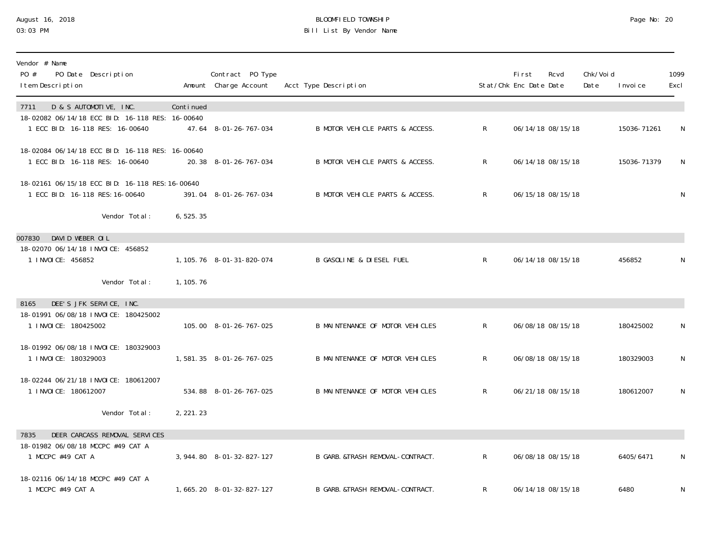### August 16, 2018 BLOOMFIELD TOWNSHIP Page No: 20 03:03 PM Bill List By Vendor Name

| Vendor # Name<br>PO #<br>PO Date Description<br>I tem Description                                                    |            | Contract PO Type<br>Amount Charge Account | Acct Type Description            |                | First<br>Stat/Chk Enc Date Date | Rcvd              | Chk/Voi d<br>Date | I nvoi ce   | 1099<br>Excl |
|----------------------------------------------------------------------------------------------------------------------|------------|-------------------------------------------|----------------------------------|----------------|---------------------------------|-------------------|-------------------|-------------|--------------|
| D & S AUTOMOTIVE, INC.<br>7711<br>18-02082 06/14/18 ECC BID: 16-118 RES: 16-00640<br>1 ECC BID: 16-118 RES: 16-00640 | Continued  | 47.64 8-01-26-767-034                     | B MOTOR VEHICLE PARTS & ACCESS.  | $\mathsf{R}^-$ |                                 | 06/14/18 08/15/18 |                   | 15036-71261 | N            |
| 18-02084 06/14/18 ECC BID: 16-118 RES: 16-00640<br>1 ECC BID: 16-118 RES: 16-00640                                   |            | 20.38 8-01-26-767-034                     | B MOTOR VEHICLE PARTS & ACCESS.  | $\mathsf{R}^-$ |                                 | 06/14/18 08/15/18 |                   | 15036-71379 | N            |
| 18-02161 06/15/18 ECC BID: 16-118 RES: 16-00640<br>1 ECC BID: 16-118 RES: 16-00640                                   |            | 391.04 8-01-26-767-034                    | B MOTOR VEHICLE PARTS & ACCESS.  | $\mathsf{R}$   |                                 | 06/15/18 08/15/18 |                   |             | N            |
| Vendor Total:                                                                                                        | 6,525.35   |                                           |                                  |                |                                 |                   |                   |             |              |
| DAVID WEBER OIL<br>007830<br>18-02070 06/14/18 INVOICE: 456852<br>1 I NVOI CE: 456852                                |            | 1, 105. 76  8-01-31-820-074               | B GASOLINE & DIESEL FUEL         | $\mathsf{R}^-$ |                                 | 06/14/18 08/15/18 |                   | 456852      | N            |
| Vendor Total:                                                                                                        | 1, 105. 76 |                                           |                                  |                |                                 |                   |                   |             |              |
| DEE'S JFK SERVICE, INC.<br>8165<br>18-01991 06/08/18 INVOICE: 180425002<br>1 INVOICE: 180425002                      |            | 105.00 8-01-26-767-025                    | B MAINTENANCE OF MOTOR VEHICLES  | $\mathsf{R}$   |                                 | 06/08/18 08/15/18 |                   | 180425002   | N            |
| 18-01992 06/08/18 INVOICE: 180329003<br>1 INVOICE: 180329003                                                         |            | 1,581.35 8-01-26-767-025                  | B MAINTENANCE OF MOTOR VEHICLES  | $\mathsf{R}^-$ |                                 | 06/08/18 08/15/18 |                   | 180329003   | N            |
| 18-02244 06/21/18 INVOICE: 180612007<br>1 INVOICE: 180612007                                                         |            | 534.88 8-01-26-767-025                    | B MAINTENANCE OF MOTOR VEHICLES  | $\mathsf{R}^-$ |                                 | 06/21/18 08/15/18 |                   | 180612007   | N            |
| Vendor Total:                                                                                                        | 2, 221. 23 |                                           |                                  |                |                                 |                   |                   |             |              |
| DEER CARCASS REMOVAL SERVICES<br>7835<br>18-01982 06/08/18 MCCPC #49 CAT A<br>1 MCCPC #49 CAT A                      |            | 3, 944.80 8-01-32-827-127                 | B GARB. &TRASH REMOVAL-CONTRACT. | $\mathsf{R}$   |                                 | 06/08/18 08/15/18 |                   | 6405/6471   | N            |
| 18-02116 06/14/18 MCCPC #49 CAT A<br>1 MCCPC #49 CAT A                                                               |            | 1,665.20 8-01-32-827-127                  | B GARB. &TRASH REMOVAL-CONTRACT. | R              |                                 | 06/14/18 08/15/18 |                   | 6480        | N            |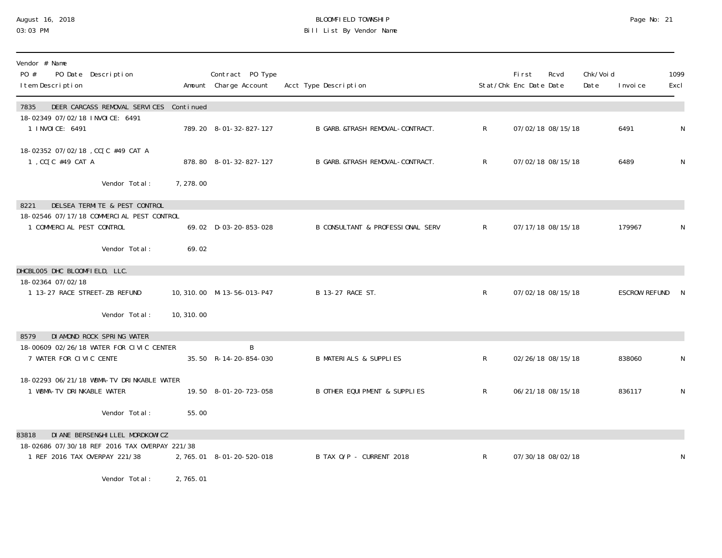#### August 16, 2018 BLOOMFIELD TOWNSHIP Page No: 21 03:03 PM Bill List By Vendor Name

| Vendor # Name<br>PO #<br>PO Date Description<br>I tem Description              |            | Contract PO Type<br>Amount Charge Account | Acct Type Description                       |              | First<br>Stat/Chk Enc Date Date | Rcvd              | Chk/Voi d<br>Date | I nvoi ce     | 1099<br>Excl |
|--------------------------------------------------------------------------------|------------|-------------------------------------------|---------------------------------------------|--------------|---------------------------------|-------------------|-------------------|---------------|--------------|
| DEER CARCASS REMOVAL SERVICES Continued<br>7835                                |            |                                           |                                             |              |                                 |                   |                   |               |              |
| 18-02349 07/02/18 INVOICE: 6491<br>1 INVOICE: 6491                             |            | 789.20 8-01-32-827-127                    | B GARB. & TRASH REMOVAL-CONTRACT.           | $\mathsf{R}$ |                                 | 07/02/18 08/15/18 |                   | 6491          | N            |
| 18-02352 07/02/18, CC[C #49 CAT A<br>1, CC[C #49 CAT A                         |            | 878.80 8-01-32-827-127                    | B GARB. &TRASH REMOVAL-CONTRACT.            | $\mathsf{R}$ |                                 | 07/02/18 08/15/18 |                   | 6489          | N            |
| Vendor Total:                                                                  | 7, 278.00  |                                           |                                             |              |                                 |                   |                   |               |              |
| DELSEA TERMITE & PEST CONTROL<br>8221                                          |            |                                           |                                             |              |                                 |                   |                   |               |              |
| 18-02546 07/17/18 COMMERCIAL PEST CONTROL<br>1 COMMERCIAL PEST CONTROL         |            | 69.02 D-03-20-853-028                     | <b>B CONSULTANT &amp; PROFESSIONAL SERV</b> | $\mathsf{R}$ |                                 | 07/17/18 08/15/18 |                   | 179967        | N            |
| Vendor Total:                                                                  | 69.02      |                                           |                                             |              |                                 |                   |                   |               |              |
| DHCBLOO5 DHC BLOOMFIELD, LLC.                                                  |            |                                           |                                             |              |                                 |                   |                   |               |              |
| 18-02364 07/02/18<br>1 13-27 RACE STREET-ZB REFUND                             |            | 10, 310.00 M-13-56-013-P47                | B 13-27 RACE ST.                            | $\mathsf{R}$ |                                 | 07/02/18 08/15/18 |                   | ESCROW REFUND | -N           |
| Vendor Total:                                                                  | 10, 310.00 |                                           |                                             |              |                                 |                   |                   |               |              |
| DI AMOND ROCK SPRING WATER<br>8579                                             |            |                                           |                                             |              |                                 |                   |                   |               |              |
| 18-00609 02/26/18 WATER FOR CIVIC CENTER<br>7 WATER FOR CIVIC CENTE            |            | B<br>35.50 R-14-20-854-030                | <b>B MATERIALS &amp; SUPPLIES</b>           | R            |                                 | 02/26/18 08/15/18 |                   | 838060        | N            |
| 18-02293 06/21/18 WBMA-TV DRINKABLE WATER<br>1 WBMA-TV DRINKABLE WATER         |            | 19.50 8-01-20-723-058                     | B OTHER EQUI PMENT & SUPPLIES               | $\mathsf{R}$ |                                 | 06/21/18 08/15/18 |                   | 836117        | N            |
| Vendor Total:                                                                  | 55.00      |                                           |                                             |              |                                 |                   |                   |               |              |
| DI ANE BERSEN&HI LLEL MORDKOWI CZ<br>83818                                     |            |                                           |                                             |              |                                 |                   |                   |               |              |
| 18-02686 07/30/18 REF 2016 TAX OVERPAY 221/38<br>1 REF 2016 TAX OVERPAY 221/38 |            | 2, 765. 01 8-01-20-520-018                | B TAX O/P - CURRENT 2018                    | $\mathsf{R}$ |                                 | 07/30/18 08/02/18 |                   |               | N            |

Vendor Total: 2,765.01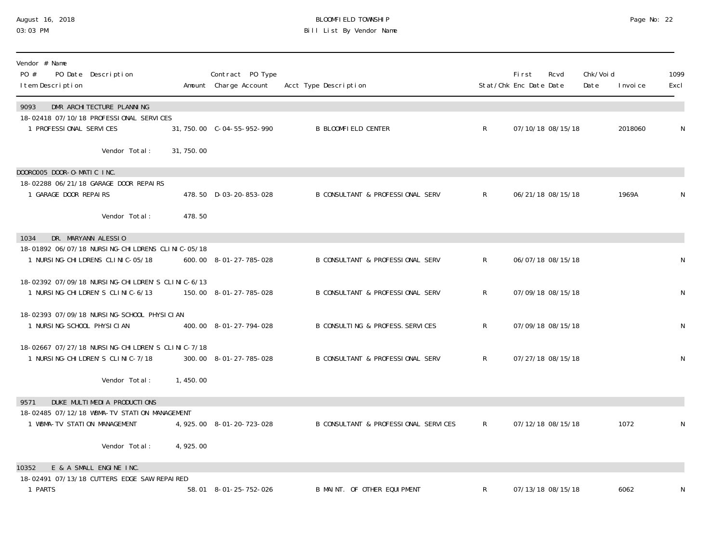## August 16, 2018 BLOOMFIELD TOWNSHIP Page No: 22 03:03 PM Bill List By Vendor Name

| Vendor # Name<br>PO #<br>PO Date Description<br>I tem Description                      |            | Contract PO Type<br>Amount Charge Account | Acct Type Description                |              | <b>First</b><br>Stat/Chk Enc Date Date | Rcvd              | Chk/Voi d<br>Date | I nvoi ce | 1099<br>Excl |
|----------------------------------------------------------------------------------------|------------|-------------------------------------------|--------------------------------------|--------------|----------------------------------------|-------------------|-------------------|-----------|--------------|
| DMR ARCHI TECTURE PLANNING<br>9093<br>18-02418 07/10/18 PROFESSIONAL SERVICES          |            |                                           |                                      |              |                                        |                   |                   |           |              |
| 1 PROFESSIONAL SERVICES                                                                |            | 31, 750.00 C-04-55-952-990                | <b>B BLOOMFIELD CENTER</b>           | $\mathsf{R}$ |                                        | 07/10/18 08/15/18 |                   | 2018060   | N            |
| Vendor Total:                                                                          | 31, 750.00 |                                           |                                      |              |                                        |                   |                   |           |              |
| DOOROOO5 DOOR-O-MATIC INC.                                                             |            |                                           |                                      |              |                                        |                   |                   |           |              |
| 18-02288 06/21/18 GARAGE DOOR REPAIRS<br>1 GARAGE DOOR REPAIRS                         |            | 478.50 D-03-20-853-028                    | B CONSULTANT & PROFESSIONAL SERV     | $\mathsf{R}$ |                                        | 06/21/18 08/15/18 |                   | 1969A     | N            |
| Vendor Total:                                                                          | 478.50     |                                           |                                      |              |                                        |                   |                   |           |              |
| DR. MARYANN ALESSIO<br>1034                                                            |            |                                           |                                      |              |                                        |                   |                   |           |              |
| 18-01892 06/07/18 NURSING-CHILDRENS CLINIC-05/18<br>1 NURSI NG-CHI LDRENS CLINIC-05/18 |            | 600.00 8-01-27-785-028                    | B CONSULTANT & PROFESSIONAL SERV     | $\mathsf{R}$ |                                        | 06/07/18 08/15/18 |                   |           | N            |
| 18-02392 07/09/18 NURSING-CHILDREN'S CLINIC-6/13<br>1 NURSI NG-CHI LDREN'S CLINIC-6/13 |            | 150.00 8-01-27-785-028                    | B CONSULTANT & PROFESSIONAL SERV     | $\mathsf{R}$ |                                        | 07/09/18 08/15/18 |                   |           | ${\sf N}$    |
| 18-02393 07/09/18 NURSING-SCHOOL PHYSICIAN<br>1 NURSI NG-SCHOOL PHYSICIAN              |            | 400.00 8-01-27-794-028                    | B CONSULTING & PROFESS. SERVICES     | $\mathsf{R}$ | 07/09/18 08/15/18                      |                   |                   |           | N            |
| 18-02667 07/27/18 NURSING-CHILDREN'S CLINIC-7/18<br>1 NURSI NG-CHI LDREN'S CLINIC-7/18 |            | 300.00 8-01-27-785-028                    | B CONSULTANT & PROFESSIONAL SERV     | $\mathsf{R}$ | 07/27/18 08/15/18                      |                   |                   |           | N            |
| Vendor Total:                                                                          | 1,450.00   |                                           |                                      |              |                                        |                   |                   |           |              |
| DUKE MULTIMEDIA PRODUCTIONS<br>9571                                                    |            |                                           |                                      |              |                                        |                   |                   |           |              |
| 18-02485 07/12/18 WBMA-TV STATION MANAGEMENT<br>1 WBMA-TV STATION MANAGEMENT           |            | 4, 925.00 8-01-20-723-028                 | B CONSULTANT & PROFESSIONAL SERVICES | R            |                                        | 07/12/18 08/15/18 |                   | 1072      | N            |
| Vendor Total:                                                                          | 4,925.00   |                                           |                                      |              |                                        |                   |                   |           |              |
| E & A SMALL ENGINE INC.<br>10352                                                       |            |                                           |                                      |              |                                        |                   |                   |           |              |
| 18-02491 07/13/18 CUTTERS EDGE SAW REPAIRED                                            |            |                                           |                                      |              |                                        |                   |                   |           |              |
| 1 PARTS                                                                                |            | 58.01 8-01-25-752-026                     | B MAINT. OF OTHER EQUIPMENT          | R            |                                        | 07/13/18 08/15/18 |                   | 6062      | N            |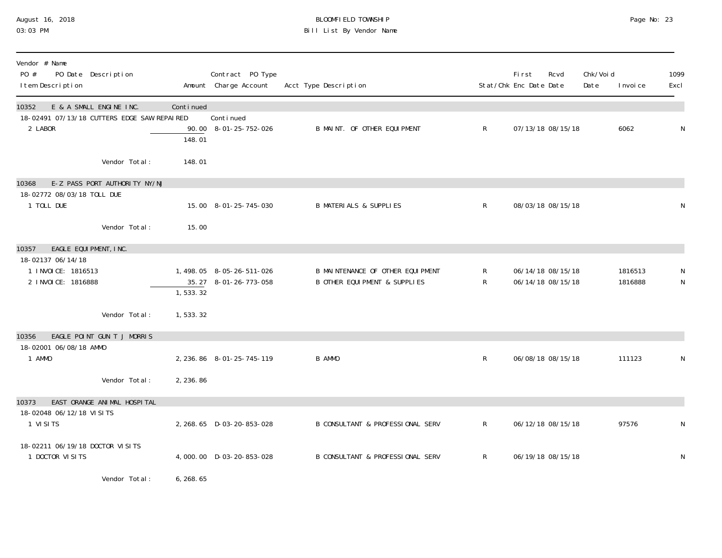### August 16, 2018 BLOOMFIELD TOWNSHIP Page No: 23 03:03 PM Bill List By Vendor Name

| Vendor # Name<br>PO #<br>I tem Description                               | PO Date Description                                                    |                     | Contract PO Type<br>Amount Charge Account   | Acct Type Description                                                        |              | <b>First</b><br>Stat/Chk Enc Date Date | Rcvd                                   | Chk/Voi d<br>Date | I nvoi ce          | 1099<br>Excl     |
|--------------------------------------------------------------------------|------------------------------------------------------------------------|---------------------|---------------------------------------------|------------------------------------------------------------------------------|--------------|----------------------------------------|----------------------------------------|-------------------|--------------------|------------------|
| 10352<br>2 LABOR                                                         | E & A SMALL ENGINE INC.<br>18-02491 07/13/18 CUTTERS EDGE SAW REPAIRED | Continued<br>148.01 | Conti nued<br>90.00 8-01-25-752-026         | B MAINT. OF OTHER EQUIPMENT                                                  | $\mathsf{R}$ |                                        | 07/13/18 08/15/18                      |                   | 6062               | N                |
|                                                                          | Vendor Total:                                                          | 148.01              |                                             |                                                                              |              |                                        |                                        |                   |                    |                  |
| 10368<br>18-02772 08/03/18 TOLL DUE<br>1 TOLL DUE                        | E-Z PASS PORT AUTHORITY NY/NJ                                          |                     | 15.00 8-01-25-745-030                       | <b>B MATERIALS &amp; SUPPLIES</b>                                            | $\mathsf{R}$ |                                        | 08/03/18 08/15/18                      |                   |                    | $\mathsf N$      |
|                                                                          | Vendor Total:                                                          | 15.00               |                                             |                                                                              |              |                                        |                                        |                   |                    |                  |
| 10357<br>18-02137 06/14/18<br>1 INVOICE: 1816513<br>2 I NVOI CE: 1816888 | EAGLE EQUIPMENT, INC.                                                  | 35.27<br>1, 533.32  | 1,498.05 8-05-26-511-026<br>8-01-26-773-058 | B MAINTENANCE OF OTHER EQUIPMENT<br><b>B OTHER EQUI PMENT &amp; SUPPLIES</b> | R<br>R       |                                        | 06/14/18 08/15/18<br>06/14/18 08/15/18 |                   | 1816513<br>1816888 | N<br>$\mathsf N$ |
|                                                                          | Vendor Total:                                                          | 1,533.32            |                                             |                                                                              |              |                                        |                                        |                   |                    |                  |
| 10356<br>18-02001 06/08/18 AMMO<br>1 AMMO                                | EAGLE POINT GUN T J MORRIS                                             |                     | 2, 236.86 8-01-25-745-119                   | B AMMO                                                                       | $\mathsf{R}$ |                                        | 06/08/18 08/15/18                      |                   | 111123             | N                |
|                                                                          | Vendor Total:                                                          | 2, 236.86           |                                             |                                                                              |              |                                        |                                        |                   |                    |                  |
| 10373<br>18-02048 06/12/18 VISITS<br>1 VISITS                            | EAST ORANGE ANIMAL HOSPITAL                                            |                     | 2, 268.65 D-03-20-853-028                   | <b>B CONSULTANT &amp; PROFESSIONAL SERV</b>                                  | R            |                                        | 06/12/18 08/15/18                      |                   | 97576              | N                |
| 18-02211 06/19/18 DOCTOR VISITS<br>1 DOCTOR VISITS                       |                                                                        |                     | 4,000.00 D-03-20-853-028                    | <b>B CONSULTANT &amp; PROFESSIONAL SERV</b>                                  | $\mathsf{R}$ |                                        | 06/19/18 08/15/18                      |                   |                    | N                |
|                                                                          | Vendor Total:                                                          | 6, 268. 65          |                                             |                                                                              |              |                                        |                                        |                   |                    |                  |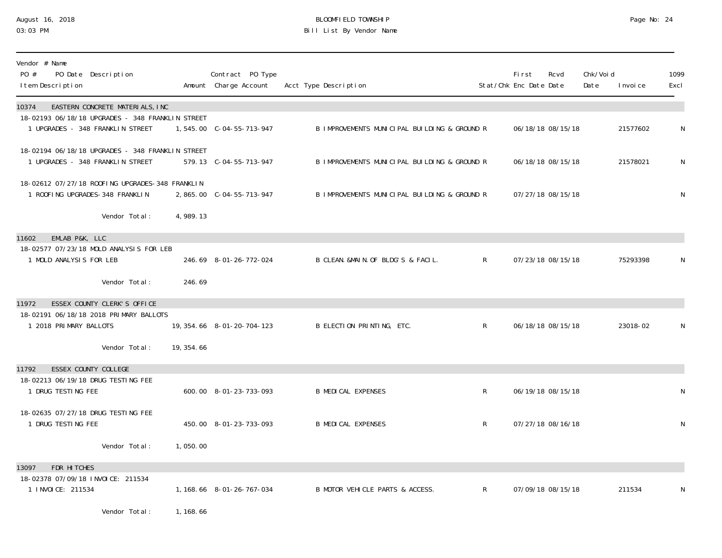# August 16, 2018 BLOOMFIELD TOWNSHIP Page No: 24 Bill List By Vendor Name

| Vendor # Name<br>PO #<br>PO Date Description<br>I tem Description                    |             | Contract PO Type<br>Amount Charge Account | Acct Type Description                        |              | <b>First</b><br>Stat/Chk Enc Date Date | Rcvd | Chk/Voi d<br>Date | I nvoi ce | 1099<br>Excl |
|--------------------------------------------------------------------------------------|-------------|-------------------------------------------|----------------------------------------------|--------------|----------------------------------------|------|-------------------|-----------|--------------|
| EASTERN CONCRETE MATERIALS, INC<br>10374                                             |             |                                           |                                              |              |                                        |      |                   |           |              |
| 18-02193 06/18/18 UPGRADES - 348 FRANKLIN STREET<br>1 UPGRADES - 348 FRANKLIN STREET |             |                                           | B IMPROVEMENTS MUNICIPAL BUILDING & GROUND R |              | 06/18/18 08/15/18                      |      |                   | 21577602  | N            |
| 18-02194 06/18/18 UPGRADES - 348 FRANKLIN STREET<br>1 UPGRADES - 348 FRANKLIN STREET |             | 579.13 C-04-55-713-947                    | B IMPROVEMENTS MUNICIPAL BUILDING & GROUND R |              | 06/18/18 08/15/18                      |      |                   | 21578021  | N            |
| 18-02612 07/27/18 ROOFING UPGRADES-348 FRANKLIN<br>1 ROOFING UPGRADES-348 FRANKLIN   |             |                                           | B IMPROVEMENTS MUNICIPAL BUILDING & GROUND R |              | 07/27/18 08/15/18                      |      |                   |           | N            |
| Vendor Total:                                                                        | 4,989.13    |                                           |                                              |              |                                        |      |                   |           |              |
| EMLAB P&K, LLC<br>11602                                                              |             |                                           |                                              |              |                                        |      |                   |           |              |
| 18-02577 07/23/18 MOLD ANALYSIS FOR LEB<br>1 MOLD ANALYSIS FOR LEB                   |             | 246.69 8-01-26-772-024                    | B CLEAN. &MAIN. OF BLDG'S & FACIL.           | $\mathsf{R}$ | 07/23/18 08/15/18                      |      |                   | 75293398  | N            |
| Vendor Total:                                                                        | 246.69      |                                           |                                              |              |                                        |      |                   |           |              |
| ESSEX COUNTY CLERK'S OFFICE<br>11972                                                 |             |                                           |                                              |              |                                        |      |                   |           |              |
| 18-02191 06/18/18 2018 PRIMARY BALLOTS<br>1 2018 PRIMARY BALLOTS                     |             | 19, 354. 66 8-01-20-704-123               | B ELECTION PRINTING, ETC.                    | $\mathsf{R}$ | 06/18/18 08/15/18                      |      |                   | 23018-02  | N            |
| Vendor Total:                                                                        | 19, 354. 66 |                                           |                                              |              |                                        |      |                   |           |              |
| ESSEX COUNTY COLLEGE<br>11792                                                        |             |                                           |                                              |              |                                        |      |                   |           |              |
| 18-02213 06/19/18 DRUG TESTING FEE<br>1 DRUG TESTING FEE                             |             | 600.00 8-01-23-733-093                    | <b>B MEDICAL EXPENSES</b>                    | $\mathsf{R}$ | 06/19/18 08/15/18                      |      |                   |           | N            |
| 18-02635 07/27/18 DRUG TESTING FEE<br>1 DRUG TESTING FEE                             |             | 450.00 8-01-23-733-093                    | <b>B MEDICAL EXPENSES</b>                    | $\mathsf{R}$ | 07/27/18 08/16/18                      |      |                   |           | N            |
| Vendor Total:                                                                        | 1,050.00    |                                           |                                              |              |                                        |      |                   |           |              |
| FDR HITCHES<br>13097                                                                 |             |                                           |                                              |              |                                        |      |                   |           |              |
| 18-02378 07/09/18 INVOICE: 211534<br>1 INVOICE: 211534                               |             | 1, 168. 66 8-01-26-767-034                | B MOTOR VEHICLE PARTS & ACCESS.              | $\mathsf{R}$ | 07/09/18 08/15/18                      |      |                   | 211534    | N            |
| Vendor Total:                                                                        | 1, 168.66   |                                           |                                              |              |                                        |      |                   |           |              |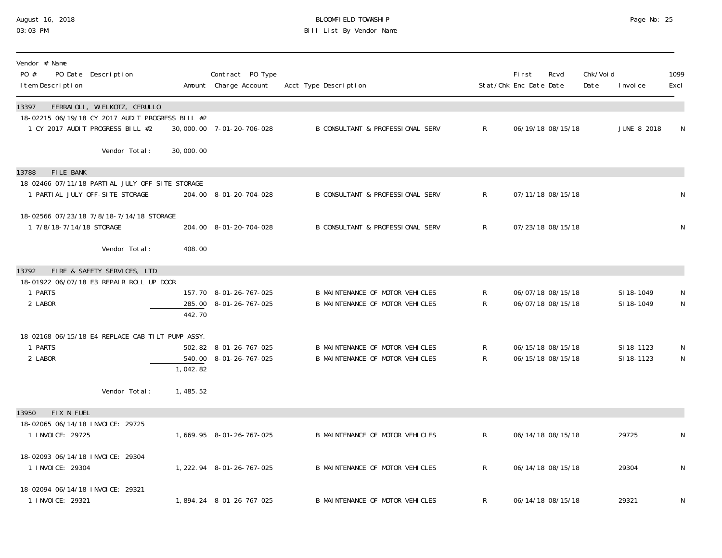### August 16, 2018 BLOOMFIELD TOWNSHIP Page No: 25 03:03 PM Bill List By Vendor Name

| Vendor # Name<br>PO #<br>I tem Description             | PO Date Description                                                                                                  |           | Contract PO Type<br>Amount Charge Account | Acct Type Description            |                | First<br>Stat/Chk Enc Date Date | Rcvd              | Chk/Voi d<br>Date | I nvoi ce          | 1099<br>Excl |
|--------------------------------------------------------|----------------------------------------------------------------------------------------------------------------------|-----------|-------------------------------------------|----------------------------------|----------------|---------------------------------|-------------------|-------------------|--------------------|--------------|
| 13397                                                  | FERRAIOLI, WIELKOTZ, CERULLO<br>18-02215 06/19/18 CY 2017 AUDIT PROGRESS BILL #2<br>1 CY 2017 AUDIT PROGRESS BILL #2 |           | 30,000.00 7-01-20-706-028                 | B CONSULTANT & PROFESSIONAL SERV | $\mathsf{R}$   |                                 | 06/19/18 08/15/18 |                   | <b>JUNE 8 2018</b> | $\mathsf N$  |
|                                                        | Vendor Total:                                                                                                        | 30,000.00 |                                           |                                  |                |                                 |                   |                   |                    |              |
| FILE BANK<br>13788                                     |                                                                                                                      |           |                                           |                                  |                |                                 |                   |                   |                    |              |
|                                                        | 18-02466 07/11/18 PARTIAL JULY OFF-SITE STORAGE<br>1 PARTI AL JULY OFF-SITE STORAGE                                  |           | 204.00 8-01-20-704-028                    | B CONSULTANT & PROFESSIONAL SERV | $\mathsf{R}^-$ |                                 | 07/11/18 08/15/18 |                   |                    | ${\sf N}$    |
| 1 7/8/18-7/14/18 STORAGE                               | 18-02566 07/23/18 7/8/18-7/14/18 STORAGE                                                                             |           | 204.00 8-01-20-704-028                    | B CONSULTANT & PROFESSIONAL SERV | $\mathsf{R}^-$ |                                 | 07/23/18 08/15/18 |                   |                    | N            |
|                                                        | Vendor Total:                                                                                                        | 408.00    |                                           |                                  |                |                                 |                   |                   |                    |              |
| 13792                                                  | FIRE & SAFETY SERVICES, LTD                                                                                          |           |                                           |                                  |                |                                 |                   |                   |                    |              |
| 1 PARTS                                                | 18-01922 06/07/18 E3 REPAIR ROLL UP DOOR                                                                             |           | 157.70 8-01-26-767-025                    | B MAINTENANCE OF MOTOR VEHICLES  | R              |                                 | 06/07/18 08/15/18 |                   | SI 18-1049         | N            |
| 2 LABOR                                                |                                                                                                                      | 442.70    | 285.00 8-01-26-767-025                    | B MAINTENANCE OF MOTOR VEHICLES  | R              |                                 | 06/07/18 08/15/18 |                   | SI 18-1049         | $\mathsf{N}$ |
|                                                        | 18-02168 06/15/18 E4-REPLACE CAB TILT PUMP ASSY.                                                                     |           |                                           |                                  |                |                                 |                   |                   |                    |              |
| 1 PARTS                                                |                                                                                                                      |           | 502.82 8-01-26-767-025                    | B MAINTENANCE OF MOTOR VEHICLES  | R              |                                 | 06/15/18 08/15/18 |                   | SI 18-1123         | N            |
| 2 LABOR                                                |                                                                                                                      | 1,042.82  | 540.00 8-01-26-767-025                    | B MAINTENANCE OF MOTOR VEHICLES  | R              |                                 | 06/15/18 08/15/18 |                   | SI 18-1123         | $\mathsf{N}$ |
|                                                        | Vendor Total:                                                                                                        | 1,485.52  |                                           |                                  |                |                                 |                   |                   |                    |              |
| FIX N FUEL<br>13950                                    |                                                                                                                      |           |                                           |                                  |                |                                 |                   |                   |                    |              |
| 18-02065 06/14/18 INVOICE: 29725<br>1 I NVOI CE: 29725 |                                                                                                                      |           | 1, 669. 95 8-01-26-767-025                | B MAINTENANCE OF MOTOR VEHICLES  | $\mathsf{R}^-$ |                                 | 06/14/18 08/15/18 |                   | 29725              | N            |
| 18-02093 06/14/18 INVOICE: 29304<br>1 I NVOI CE: 29304 |                                                                                                                      |           | 1, 222. 94 8-01-26-767-025                | B MAINTENANCE OF MOTOR VEHICLES  | $\mathsf{R}$   |                                 | 06/14/18 08/15/18 |                   | 29304              | $\mathsf N$  |
| 18-02094 06/14/18 INVOICE: 29321<br>1 I NVOI CE: 29321 |                                                                                                                      |           | 1,894.24 8-01-26-767-025                  | B MAINTENANCE OF MOTOR VEHICLES  | R              |                                 | 06/14/18 08/15/18 |                   | 29321              | N            |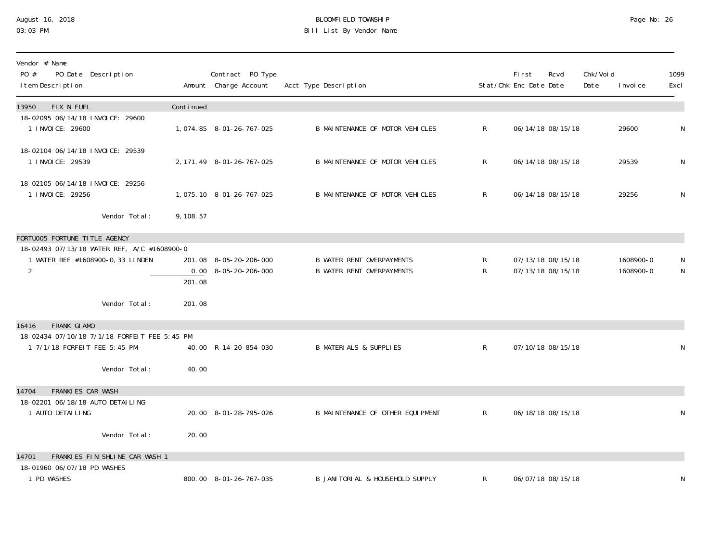### August 16, 2018 BLOOMFIELD TOWNSHIP Page No: 26 03:03 PM Bill List By Vendor Name

| Vendor # Name<br>PO #<br>PO Date Description<br>I tem Description                                                                                    |                  | Contract PO Type<br>Amount Charge Account                      | Acct Type Description                                                |                  | First<br>Stat/Chk Enc Date Date | Rcvd                                   | Chk/Voi d<br>Date | I nvoi ce              | 1099<br>Excl |
|------------------------------------------------------------------------------------------------------------------------------------------------------|------------------|----------------------------------------------------------------|----------------------------------------------------------------------|------------------|---------------------------------|----------------------------------------|-------------------|------------------------|--------------|
| FIX N FUEL<br>13950                                                                                                                                  | Continued        |                                                                |                                                                      |                  |                                 |                                        |                   |                        |              |
| 18-02095 06/14/18 INVOICE: 29600<br>1 INVOICE: 29600                                                                                                 |                  | 1, 074.85 8-01-26-767-025                                      | B MAINTENANCE OF MOTOR VEHICLES                                      | $\mathsf{R}^-$   |                                 | 06/14/18 08/15/18                      |                   | 29600                  | N            |
| 18-02104 06/14/18 INVOICE: 29539<br>1 INVOICE: 29539                                                                                                 |                  | 2, 171. 49 8-01-26-767-025                                     | B MAINTENANCE OF MOTOR VEHICLES                                      | R                |                                 | 06/14/18 08/15/18                      |                   | 29539                  | N            |
| 18-02105 06/14/18 INVOICE: 29256<br>1 INVOICE: 29256                                                                                                 |                  | 1,075.10 8-01-26-767-025                                       | B MAINTENANCE OF MOTOR VEHICLES                                      | $\mathsf{R}^-$   |                                 | 06/14/18 08/15/18                      |                   | 29256                  | N            |
| Vendor Total:                                                                                                                                        | 9, 108.57        |                                                                |                                                                      |                  |                                 |                                        |                   |                        |              |
| FORTUOO5 FORTUNE TITLE AGENCY<br>18-02493 07/13/18 WATER REF, A/C #1608900-0<br>1 WATER REF #1608900-0, 33 LINDEN<br>$\overline{2}$<br>Vendor Total: | 201.08<br>201.08 | 201.08 8-05-20-206-000<br>$0.00 \quad 8 - 05 - 20 - 206 - 000$ | <b>B WATER RENT OVERPAYMENTS</b><br><b>B WATER RENT OVERPAYMENTS</b> | R<br>$R_{\perp}$ |                                 | 07/13/18 08/15/18<br>07/13/18 08/15/18 |                   | 1608900-0<br>1608900-0 | N<br>N       |
| FRANK GI AMO<br>16416<br>18-02434 07/10/18 7/1/18 FORFEIT FEE 5:45 PM<br>1 7/1/18 FORFEIT FEE 5:45 PM<br>Vendor Total:                               | 40.00            | 40.00 R-14-20-854-030                                          | <b>B MATERIALS &amp; SUPPLIES</b>                                    | $\mathsf R$      |                                 | 07/10/18 08/15/18                      |                   |                        | N            |
| <b>FRANKIES CAR WASH</b><br>14704<br>18-02201 06/18/18 AUTO DETAILING<br>1 AUTO DETAILING                                                            |                  | 20.00 8-01-28-795-026                                          | B MAINTENANCE OF OTHER EQUIPMENT                                     | $\mathsf{R}^-$   |                                 | 06/18/18 08/15/18                      |                   |                        | N            |
| Vendor Total:                                                                                                                                        | 20.00            |                                                                |                                                                      |                  |                                 |                                        |                   |                        |              |
| FRANKIES FINISHLINE CAR WASH 1<br>14701<br>18-01960 06/07/18 PD WASHES<br>1 PD WASHES                                                                |                  | 800.00 8-01-26-767-035                                         | B JANITORIAL & HOUSEHOLD SUPPLY                                      | R                |                                 | 06/07/18 08/15/18                      |                   |                        | N            |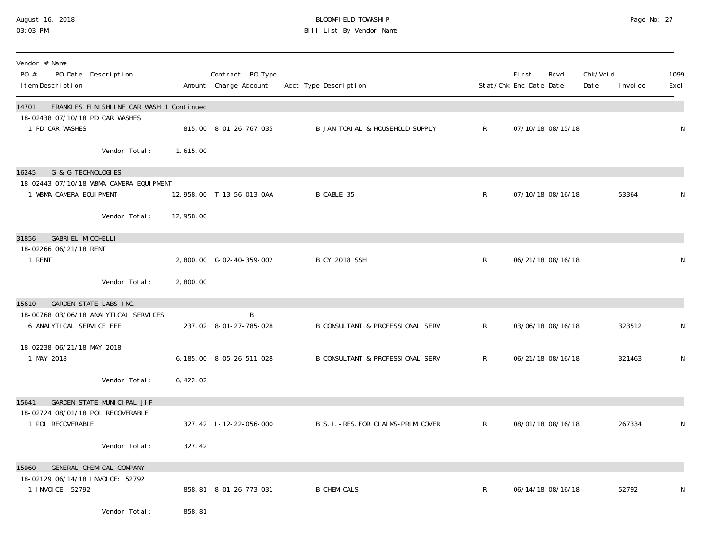#### August 16, 2018 BLOOMFIELD TOWNSHIP Page No: 27 03:03 PM Bill List By Vendor Name

| Vendor # Name<br>PO #<br>I tem Description                        | PO Date Description                      |            | Contract PO Type<br>Amount Charge Account | Acct Type Description                       |              | <b>First</b><br>Stat/Chk Enc Date Date | Rcvd              | Chk/Voi d<br>Date | I nvoi ce | 1099<br>Excl |
|-------------------------------------------------------------------|------------------------------------------|------------|-------------------------------------------|---------------------------------------------|--------------|----------------------------------------|-------------------|-------------------|-----------|--------------|
| 14701                                                             | FRANKIES FINISHLINE CAR WASH 1 Continued |            |                                           |                                             |              |                                        |                   |                   |           |              |
| 18-02438 07/10/18 PD CAR WASHES<br>1 PD CAR WASHES                |                                          |            | 815.00 8-01-26-767-035                    | B JANI TORI AL & HOUSEHOLD SUPPLY           | $\mathsf{R}$ |                                        | 07/10/18 08/15/18 |                   |           | N            |
|                                                                   | Vendor Total:                            | 1,615.00   |                                           |                                             |              |                                        |                   |                   |           |              |
| G & G TECHNOLOGIES<br>16245                                       | 18-02443 07/10/18 WBMA CAMERA EQUIPMENT  |            |                                           |                                             |              |                                        |                   |                   |           |              |
| 1 WBMA CAMERA EQUIPMENT                                           |                                          |            | 12, 958.00 T-13-56-013-0AA                | B CABLE 35                                  | $\mathsf{R}$ |                                        | 07/10/18 08/16/18 |                   | 53364     | N            |
|                                                                   | Vendor Total:                            | 12, 958.00 |                                           |                                             |              |                                        |                   |                   |           |              |
| <b>GABRIEL MICCHELLI</b><br>31856<br>18-02266 06/21/18 RENT       |                                          |            |                                           |                                             |              |                                        |                   |                   |           |              |
| 1 RENT                                                            |                                          |            | 2,800.00 G-02-40-359-002                  | <b>B CY 2018 SSH</b>                        | R            |                                        | 06/21/18 08/16/18 |                   |           | N            |
|                                                                   | Vendor Total:                            | 2,800.00   |                                           |                                             |              |                                        |                   |                   |           |              |
| <b>GARDEN STATE LABS INC.</b><br>15610                            |                                          |            |                                           |                                             |              |                                        |                   |                   |           |              |
| 18-00768 03/06/18 ANALYTICAL SERVICES<br>6 ANALYTICAL SERVICE FEE |                                          |            | B<br>237.02 8-01-27-785-028               | <b>B CONSULTANT &amp; PROFESSIONAL SERV</b> | $\mathsf{R}$ |                                        | 03/06/18 08/16/18 |                   | 323512    | N            |
| 18-02238 06/21/18 MAY 2018<br>1 MAY 2018                          |                                          |            | 6, 185.00 8-05-26-511-028                 | B CONSULTANT & PROFESSIONAL SERV            | R            |                                        | 06/21/18 08/16/18 |                   | 321463    | N            |
|                                                                   | Vendor Total:                            | 6,422.02   |                                           |                                             |              |                                        |                   |                   |           |              |
| 15641                                                             | GARDEN STATE MUNICIPAL JIF               |            |                                           |                                             |              |                                        |                   |                   |           |              |
| 18-02724 08/01/18 POL RECOVERABLE<br>1 POL RECOVERABLE            |                                          |            | 327.42 l-12-22-056-000                    | B S. I. - RES. FOR CLAIMS-PRIM. COVER       | $\mathsf{R}$ |                                        | 08/01/18 08/16/18 |                   | 267334    | N            |
|                                                                   | Vendor Total:                            | 327.42     |                                           |                                             |              |                                        |                   |                   |           |              |
| 15960                                                             | GENERAL CHEMICAL COMPANY                 |            |                                           |                                             |              |                                        |                   |                   |           |              |
| 18-02129 06/14/18 INVOICE: 52792<br>1 I NVOI CE: 52792            |                                          |            | 858.81 8-01-26-773-031                    | <b>B CHEMICALS</b>                          | $\mathsf{R}$ |                                        | 06/14/18 08/16/18 |                   | 52792     | N            |
|                                                                   | Vendor Total:                            | 858.81     |                                           |                                             |              |                                        |                   |                   |           |              |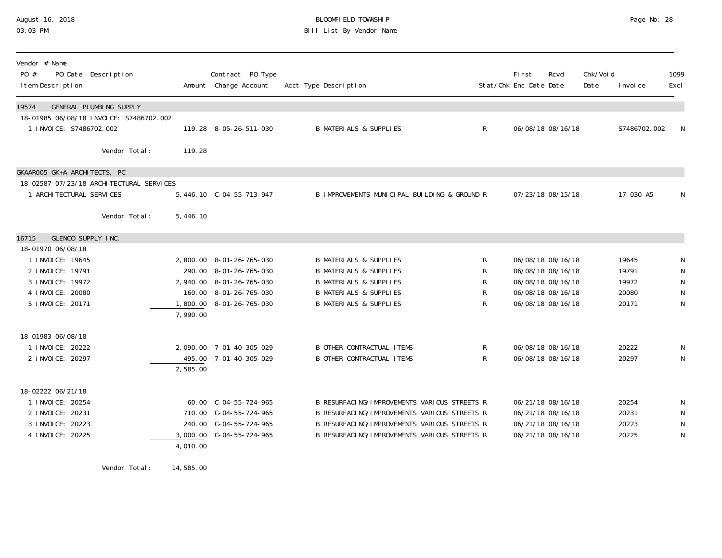### August 16, 2018 BLOOMFIELD TOWNSHIP Page No: 28 03:03 PM Bill List By Vendor Name

| Vendor # Name<br>PO #<br>PO Date Description<br>I tem Description                                        |                      | Contract PO Type<br>Amount Charge Account                                                                                    | Acct Type Description                                                                                                                                                                        |                       | First<br>Stat/Chk Enc Date Date | Rcvd                                                                                                  | Chk/Voi d<br>Date | I nvoi ce                                 | 1099<br>Excl                     |
|----------------------------------------------------------------------------------------------------------|----------------------|------------------------------------------------------------------------------------------------------------------------------|----------------------------------------------------------------------------------------------------------------------------------------------------------------------------------------------|-----------------------|---------------------------------|-------------------------------------------------------------------------------------------------------|-------------------|-------------------------------------------|----------------------------------|
| GENERAL PLUMBING SUPPLY<br>19574<br>18-01985 06/08/18 INVOICE: S7486702.002<br>1 INVOICE: S7486702.002   |                      | 119.28 8-05-26-511-030                                                                                                       | <b>B MATERIALS &amp; SUPPLIES</b>                                                                                                                                                            | $\mathsf{R}$          |                                 | 06/08/18 08/16/18                                                                                     |                   | S7486702.002                              | N                                |
| Vendor Total:                                                                                            | 119.28               |                                                                                                                              |                                                                                                                                                                                              |                       |                                 |                                                                                                       |                   |                                           |                                  |
| GKAAROO5 GK+A ARCHITECTS, PC<br>18-02587 07/23/18 ARCHITECTURAL SERVICES<br>1 ARCHI TECTURAL SERVICES    |                      | 5, 446.10 C-04-55-713-947                                                                                                    | B IMPROVEMENTS MUNICIPAL BUILDING & GROUND R                                                                                                                                                 |                       |                                 | 07/23/18 08/15/18                                                                                     |                   | 17-030-A5                                 | N                                |
| Vendor Total:                                                                                            | 5,446.10             |                                                                                                                              |                                                                                                                                                                                              |                       |                                 |                                                                                                       |                   |                                           |                                  |
| GLENCO SUPPLY INC.<br>16715<br>18-01970 06/08/18                                                         |                      |                                                                                                                              |                                                                                                                                                                                              |                       |                                 |                                                                                                       |                   |                                           |                                  |
| 1 I NVOI CE: 19645<br>2 I NVOI CE: 19791<br>3 I NVOI CE: 19972<br>4 I NVOI CE: 20080<br>5 INVOICE: 20171 | 1,800.00<br>7,990.00 | 2,800.00 8-01-26-765-030<br>290.00 8-01-26-765-030<br>2, 940.00 8-01-26-765-030<br>160.00 8-01-26-765-030<br>8-01-26-765-030 | <b>B MATERIALS &amp; SUPPLIES</b><br><b>B MATERIALS &amp; SUPPLIES</b><br><b>B MATERIALS &amp; SUPPLIES</b><br><b>B MATERIALS &amp; SUPPLIES</b><br><b>B MATERIALS &amp; SUPPLIES</b>        | R<br>R<br>R<br>R<br>R |                                 | 06/08/18 08/16/18<br>06/08/18 08/16/18<br>06/08/18 08/16/18<br>06/08/18 08/16/18<br>06/08/18 08/16/18 |                   | 19645<br>19791<br>19972<br>20080<br>20171 | N<br>${\sf N}$<br>${\sf N}$<br>N |
| 18-01983 06/08/18<br>1 I NVOI CE: 20222<br>2 I NVOI CE: 20297                                            | 495.00<br>2,585.00   | 2,090.00 7-01-40-305-029<br>7-01-40-305-029                                                                                  | <b>B OTHER CONTRACTUAL ITEMS</b><br><b>B OTHER CONTRACTUAL ITEMS</b>                                                                                                                         | R<br>$\mathsf{R}$     |                                 | 06/08/18 08/16/18<br>06/08/18 08/16/18                                                                |                   | 20222<br>20297                            | N<br>N                           |
| 18-02222 06/21/18<br>1 I NVOI CE: 20254<br>2 INVOICE: 20231<br>3 I NVOI CE: 20223<br>4 I NVOI CE: 20225  | 4,010.00             | 60.00 C-04-55-724-965<br>710.00 C-04-55-724-965<br>240.00 C-04-55-724-965                                                    | B RESURFACING/IMPROVEMENTS VARIOUS STREETS R<br>B RESURFACING/IMPROVEMENTS VARIOUS STREETS R<br>B RESURFACING/IMPROVEMENTS VARIOUS STREETS R<br>B RESURFACING/IMPROVEMENTS VARIOUS STREETS R |                       |                                 | 06/21/18 08/16/18<br>06/21/18 08/16/18<br>06/21/18 08/16/18<br>06/21/18 08/16/18                      |                   | 20254<br>20231<br>20223<br>20225          | N<br>N<br>N<br>N                 |

Vendor Total: 14,585.00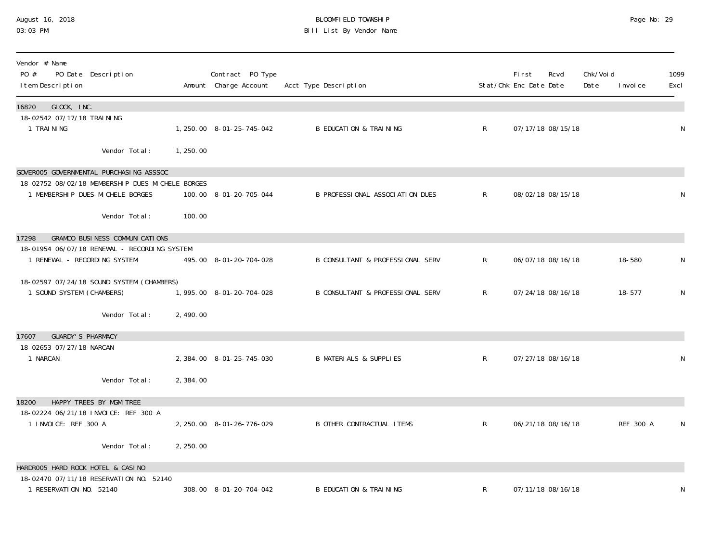### August 16, 2018 BLOOMFIELD TOWNSHIP Page No: 29 03:03 PM Bill List By Vendor Name

| Vendor # Name<br>PO #<br>PO Date Description<br>I tem Description                                                               |           | Contract PO Type<br>Amount Charge Account | Acct Type Description                       |              | <b>First</b><br>Stat/Chk Enc Date Date | Rcvd              | Chk/Voi d<br>Date | I nvoi ce | 1099<br>Excl |
|---------------------------------------------------------------------------------------------------------------------------------|-----------|-------------------------------------------|---------------------------------------------|--------------|----------------------------------------|-------------------|-------------------|-----------|--------------|
| GLOCK, INC.<br>16820<br>18-02542 07/17/18 TRAINING                                                                              |           |                                           |                                             |              |                                        |                   |                   |           |              |
| 1 TRAINING                                                                                                                      |           | 1, 250. 00 8-01-25-745-042                | <b>B EDUCATION &amp; TRAINING</b>           | $\mathsf{R}$ |                                        | 07/17/18 08/15/18 |                   |           | N            |
| Vendor Total:                                                                                                                   | 1,250.00  |                                           |                                             |              |                                        |                   |                   |           |              |
| GOVEROO5 GOVERNMENTAL PURCHASING ASSSOC<br>18-02752 08/02/18 MEMBERSHIP DUES-MICHELE BORGES<br>1 MEMBERSHIP DUES-MICHELE BORGES |           | 100.00 8-01-20-705-044                    | B PROFESSIONAL ASSOCIATION DUES             | $\mathsf{R}$ |                                        | 08/02/18 08/15/18 |                   |           | N            |
| Vendor Total:                                                                                                                   | 100.00    |                                           |                                             |              |                                        |                   |                   |           |              |
| <b>GRAMCO BUSINESS COMMUNICATIONS</b><br>17298                                                                                  |           |                                           |                                             |              |                                        |                   |                   |           |              |
| 18-01954 06/07/18 RENEWAL - RECORDING SYSTEM<br>1 RENEWAL - RECORDING SYSTEM                                                    |           | 495.00 8-01-20-704-028                    | <b>B CONSULTANT &amp; PROFESSIONAL SERV</b> | $\mathsf{R}$ |                                        | 06/07/18 08/16/18 |                   | 18-580    | N            |
| 18-02597 07/24/18 SOUND SYSTEM (CHAMBERS)<br>1 SOUND SYSTEM (CHAMBERS)                                                          |           | 1,995.00 8-01-20-704-028                  | B CONSULTANT & PROFESSIONAL SERV            | $\mathsf{R}$ |                                        | 07/24/18 08/16/18 |                   | 18-577    | N            |
| Vendor Total:                                                                                                                   | 2,490.00  |                                           |                                             |              |                                        |                   |                   |           |              |
| <b>GUARDY'S PHARMACY</b><br>17607                                                                                               |           |                                           |                                             |              |                                        |                   |                   |           |              |
| 18-02653 07/27/18 NARCAN<br>1 NARCAN                                                                                            |           | 2, 384.00 8-01-25-745-030                 | <b>B MATERIALS &amp; SUPPLIES</b>           | $\mathsf{R}$ |                                        | 07/27/18 08/16/18 |                   |           | N            |
| Vendor Total:                                                                                                                   | 2,384.00  |                                           |                                             |              |                                        |                   |                   |           |              |
| 18200<br>HAPPY TREES BY MGM TREE                                                                                                |           |                                           |                                             |              |                                        |                   |                   |           |              |
| 18-02224 06/21/18 INVOICE: REF 300 A<br>1 INVOICE: REF 300 A                                                                    |           | 2, 250.00 8-01-26-776-029                 | <b>B OTHER CONTRACTUAL ITEMS</b>            | $\mathsf{R}$ |                                        | 06/21/18 08/16/18 |                   | REF 300 A | N            |
| Vendor Total:                                                                                                                   | 2, 250.00 |                                           |                                             |              |                                        |                   |                   |           |              |
| HARDROO5 HARD ROCK HOTEL & CASINO                                                                                               |           |                                           |                                             |              |                                        |                   |                   |           |              |
| 18-02470 07/11/18 RESERVATION NO. 52140<br>1 RESERVATION NO. 52140                                                              |           | 308.00 8-01-20-704-042                    | <b>B EDUCATION &amp; TRAINING</b>           | R            |                                        | 07/11/18 08/16/18 |                   |           | N            |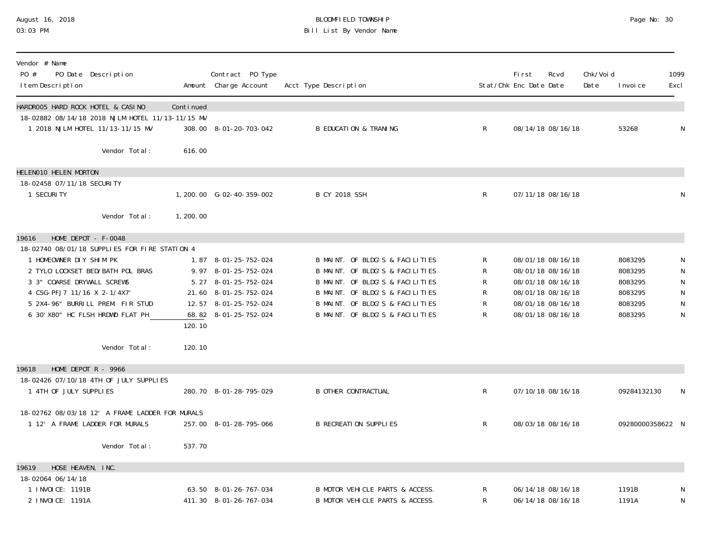### August 16, 2018 BLOOMFIELD TOWNSHIP Page No: 30 03:03 PM Bill List By Vendor Name

| Vendor # Name<br>PO #<br>PO Date Description<br>I tem Description                     |           | Contract PO Type<br>Amount Charge Account | Acct Type Description            |              | <b>First</b><br>Stat/Chk Enc Date Date | Rcvd              | Chk/Voi d<br>Date | I nvoi ce        | 1099<br>Excl   |
|---------------------------------------------------------------------------------------|-----------|-------------------------------------------|----------------------------------|--------------|----------------------------------------|-------------------|-------------------|------------------|----------------|
| HARDROO5 HARD ROCK HOTEL & CASINO<br>18-02882 08/14/18 2018 NJLM HOTEL 11/13-11/15 MV | Continued |                                           |                                  |              |                                        |                   |                   |                  |                |
| 1 2018 NJLM HOTEL 11/13-11/15 MV                                                      |           | 308.00 8-01-20-703-042                    | <b>B EDUCATION &amp; TRANING</b> | $\mathsf{R}$ |                                        | 08/14/18 08/16/18 |                   | 53268            | N              |
| Vendor Total:                                                                         | 616.00    |                                           |                                  |              |                                        |                   |                   |                  |                |
| HELENO10 HELEN MORTON                                                                 |           |                                           |                                  |              |                                        |                   |                   |                  |                |
| 18-02458 07/11/18 SECURITY<br>1 SECURITY                                              |           | 1, 200. 00 G-02-40-359-002                | <b>B CY 2018 SSH</b>             | $\mathsf{R}$ |                                        | 07/11/18 08/16/18 |                   |                  | N              |
| Vendor Total:                                                                         | 1,200.00  |                                           |                                  |              |                                        |                   |                   |                  |                |
| HOME DEPOT - F-0048<br>19616                                                          |           |                                           |                                  |              |                                        |                   |                   |                  |                |
| 18-02740 08/01/18 SUPPLIES FOR FIRE STATION 4<br>1 HOMEOWNER DIY SHIM PK              |           | 1.87 8-01-25-752-024                      | B MAINT. OF BLDG'S & FACILITIES  |              |                                        | 08/01/18 08/16/18 |                   | 8083295          |                |
| 2 TYLO LOCKSET BED/BATH POL BRAS                                                      |           | 9.97 8-01-25-752-024                      | B MAINT. OF BLDG'S & FACILITIES  | R<br>R       |                                        | 08/01/18 08/16/18 |                   | 8083295          | N<br>${\sf N}$ |
| 3 3" COARSE DRYWALL SCREWS                                                            |           | 5.27 8-01-25-752-024                      | B MAINT. OF BLDG'S & FACILITIES  | R            |                                        | 08/01/18 08/16/18 |                   | 8083295          | ${\sf N}$      |
| 4 CSG-PFJ7 11/16 X 2-1/4X7'                                                           |           | 21.60 8-01-25-752-024                     | B MAINT. OF BLDG'S & FACILITIES  | R            |                                        | 08/01/18 08/16/18 |                   | 8083295          | N              |
| 5 2X4-96" BURRILL PREM. FIR STUD                                                      |           | 12.57 8-01-25-752-024                     | B MAINT. OF BLDG'S & FACILITIES  | R            |                                        | 08/01/18 08/16/18 |                   | 8083295          | ${\sf N}$      |
| 6 30' X80" HC FLSH HRDWD FLAT PH                                                      |           | 68.82 8-01-25-752-024                     | B MAINT. OF BLDG'S & FACILITIES  | R            |                                        | 08/01/18 08/16/18 |                   | 8083295          | ${\sf N}$      |
|                                                                                       | 120.10    |                                           |                                  |              |                                        |                   |                   |                  |                |
| Vendor Total:                                                                         | 120.10    |                                           |                                  |              |                                        |                   |                   |                  |                |
| 19618<br>HOME DEPOT $R - 9966$                                                        |           |                                           |                                  |              |                                        |                   |                   |                  |                |
| 18-02426 07/10/18 4TH OF JULY SUPPLIES<br>1 4TH OF JULY SUPPLIES                      |           | 280.70 8-01-28-795-029                    | <b>B OTHER CONTRACTUAL</b>       | R            |                                        | 07/10/18 08/16/18 |                   | 09284132130      | N              |
| 18-02762 08/03/18 12' A FRAME LADDER FOR MURALS                                       |           |                                           |                                  |              |                                        |                   |                   |                  |                |
| 1 12' A FRAME LADDER FOR MURALS                                                       |           | 257.00 8-01-28-795-066                    | <b>B RECREATION SUPPLIES</b>     | $\mathsf{R}$ |                                        | 08/03/18 08/16/18 |                   | 09280000358622 N |                |
| Vendor Total:                                                                         | 537.70    |                                           |                                  |              |                                        |                   |                   |                  |                |
| HOSE HEAVEN, INC.<br>19619                                                            |           |                                           |                                  |              |                                        |                   |                   |                  |                |
| 18-02064 06/14/18<br>1 I NVOI CE: 1191B                                               |           | 63.50 8-01-26-767-034                     | B MOTOR VEHICLE PARTS & ACCESS.  |              |                                        | 06/14/18 08/16/18 |                   | 1191B            |                |
| 2 I NVOI CE: 1191A                                                                    |           | 411.30 8-01-26-767-034                    | B MOTOR VEHICLE PARTS & ACCESS.  | R<br>R       |                                        | 06/14/18 08/16/18 |                   | 1191A            | N<br>N         |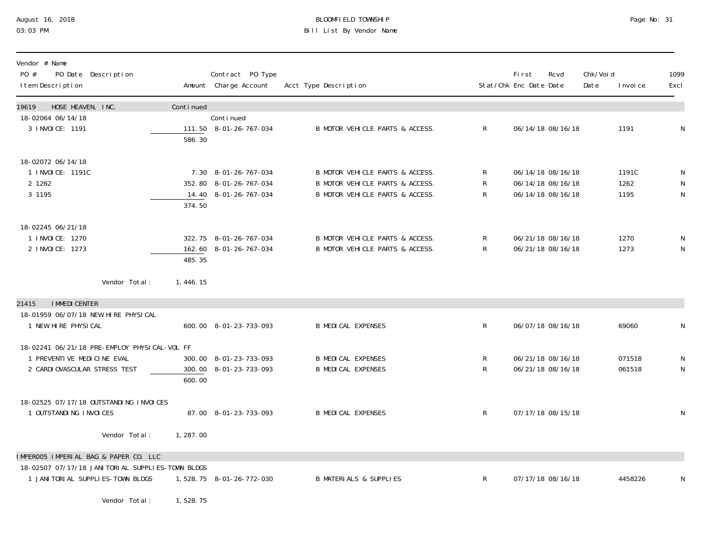## August 16, 2018 BLOOMFIELD TOWNSHIP Page No: 31 Bill List By Vendor Name

| Vendor # Name<br>PO #<br>PO Date Description<br>I tem Description |           | Contract PO Type<br>Amount Charge Account | Acct Type Description             |              | First<br>Stat/Chk Enc Date Date | Rcvd | Chk/Voi d<br>Date | I nvoi ce | 1099<br>Excl |
|-------------------------------------------------------------------|-----------|-------------------------------------------|-----------------------------------|--------------|---------------------------------|------|-------------------|-----------|--------------|
| HOSE HEAVEN, INC.<br>19619                                        | Continued |                                           |                                   |              |                                 |      |                   |           |              |
| 18-02064 06/14/18<br>3 I NVOI CE: 1191                            | 586.30    | Continued<br>111.50 8-01-26-767-034       | B MOTOR VEHICLE PARTS & ACCESS.   | $\mathsf{R}$ | 06/14/18 08/16/18               |      |                   | 1191      | N            |
| 18-02072 06/14/18                                                 |           |                                           |                                   |              |                                 |      |                   |           |              |
| 1 I NVOI CE: 1191C                                                |           | 7.30 8-01-26-767-034                      | B MOTOR VEHICLE PARTS & ACCESS.   | R            | 06/14/18 08/16/18               |      |                   | 1191C     | N            |
| 2 1262                                                            |           | 352.80 8-01-26-767-034                    | B MOTOR VEHICLE PARTS & ACCESS.   | R            | 06/14/18 08/16/18               |      |                   | 1262      | N            |
| 3 1 1 9 5                                                         |           | 14.40 8-01-26-767-034                     | B MOTOR VEHICLE PARTS & ACCESS.   | R            | 06/14/18 08/16/18               |      |                   | 1195      | $\mathsf{N}$ |
|                                                                   | 374.50    |                                           |                                   |              |                                 |      |                   |           |              |
| 18-02245 06/21/18                                                 |           |                                           |                                   |              |                                 |      |                   |           |              |
| 1 I NVOI CE: 1270                                                 |           | 322.75 8-01-26-767-034                    | B MOTOR VEHICLE PARTS & ACCESS.   | R            | 06/21/18 08/16/18               |      |                   | 1270      | N            |
| 2 INVOICE: 1273                                                   |           | 162.60 8-01-26-767-034                    | B MOTOR VEHICLE PARTS & ACCESS.   | R            | 06/21/18 08/16/18               |      |                   | 1273      | N            |
|                                                                   | 485.35    |                                           |                                   |              |                                 |      |                   |           |              |
| Vendor Total:                                                     | 1,446.15  |                                           |                                   |              |                                 |      |                   |           |              |
| <b>I MMEDI CENTER</b><br>21415                                    |           |                                           |                                   |              |                                 |      |                   |           |              |
| 18-01959 06/07/18 NEW HIRE PHYSICAL                               |           |                                           |                                   |              |                                 |      |                   |           |              |
| 1 NEW HIRE PHYSICAL                                               |           | 600.00 8-01-23-733-093                    | <b>B MEDICAL EXPENSES</b>         | $\mathsf{R}$ | 06/07/18 08/16/18               |      |                   | 69060     | N            |
| 18-02241 06/21/18 PRE-EMPLOY PHYSICAL-VOL FF                      |           |                                           |                                   |              |                                 |      |                   |           |              |
| 1 PREVENTIVE MEDICINE EVAL                                        |           | 300.00 8-01-23-733-093                    | <b>B MEDICAL EXPENSES</b>         | R            | 06/21/18 08/16/18               |      |                   | 071518    | N            |
| 2 CARDI OVASCULAR STRESS TEST                                     |           | 300.00 8-01-23-733-093                    | <b>B MEDICAL EXPENSES</b>         | R            | 06/21/18 08/16/18               |      |                   | 061518    | $\mathsf{N}$ |
|                                                                   | 600.00    |                                           |                                   |              |                                 |      |                   |           |              |
| 18-02525 07/17/18 OUTSTANDING INVOICES                            |           |                                           |                                   |              |                                 |      |                   |           |              |
| 1 OUTSTANDING INVOICES                                            |           | 87.00 8-01-23-733-093                     | <b>B MEDICAL EXPENSES</b>         | $\mathsf{R}$ | 07/17/18 08/15/18               |      |                   |           | N            |
| Vendor Total:                                                     |           |                                           |                                   |              |                                 |      |                   |           |              |
|                                                                   | 1,287.00  |                                           |                                   |              |                                 |      |                   |           |              |
| IMPEROO5 IMPERIAL BAG & PAPER CO. LLC                             |           |                                           |                                   |              |                                 |      |                   |           |              |
| 18-02507 07/17/18 JANI TORI AL SUPPLI ES-TOWN BLDGS               |           |                                           |                                   |              |                                 |      |                   |           |              |
| 1 JANI TORI AL SUPPLI ES-TOWN BLDGS                               |           | 1,528.75 8-01-26-772-030                  | <b>B MATERIALS &amp; SUPPLIES</b> | $\mathsf{R}$ | 07/17/18 08/16/18               |      |                   | 4458226   | N            |
| Vendor Total:                                                     | 1,528.75  |                                           |                                   |              |                                 |      |                   |           |              |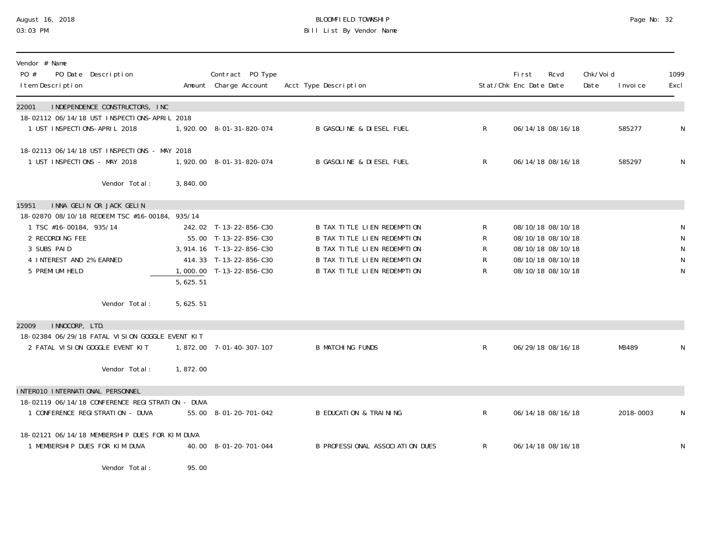## August 16, 2018 BLOOMFIELD TOWNSHIP Page No: 32 03:03 PM Bill List By Vendor Name

| Vendor # Name<br>PO #<br>PO Date Description<br>I tem Description                                                                                          |          | Contract PO Type<br>Amount Charge Account                                                                                           | Acct Type Description                                                                                                                                                        |                                             | <b>First</b><br>Stat/Chk Enc Date Date                                           | Rcvd              | Chk/Voi d<br>Date | I nvoi ce | 1099<br>Excl                     |
|------------------------------------------------------------------------------------------------------------------------------------------------------------|----------|-------------------------------------------------------------------------------------------------------------------------------------|------------------------------------------------------------------------------------------------------------------------------------------------------------------------------|---------------------------------------------|----------------------------------------------------------------------------------|-------------------|-------------------|-----------|----------------------------------|
| INDEPENDENCE CONSTRUCTORS, INC<br>22001                                                                                                                    |          |                                                                                                                                     |                                                                                                                                                                              |                                             |                                                                                  |                   |                   |           |                                  |
| 18-02112 06/14/18 UST INSPECTIONS-APRIL 2018<br>1 UST INSPECTIONS-APRIL 2018                                                                               |          | 1,920.00 8-01-31-820-074                                                                                                            | <b>B GASOLINE &amp; DIESEL FUEL</b>                                                                                                                                          | $\mathsf{R}$                                |                                                                                  | 06/14/18 08/16/18 |                   | 585277    | ${\sf N}$                        |
| 18-02113 06/14/18 UST INSPECTIONS - MAY 2018<br>1 UST INSPECTIONS - MAY 2018                                                                               |          | 1,920.00 8-01-31-820-074                                                                                                            | B GASOLINE & DIESEL FUEL                                                                                                                                                     | $\mathsf{R}$                                |                                                                                  | 06/14/18 08/16/18 |                   | 585297    | N                                |
| Vendor Total:                                                                                                                                              | 3,840.00 |                                                                                                                                     |                                                                                                                                                                              |                                             |                                                                                  |                   |                   |           |                                  |
| INNA GELIN OR JACK GELIN<br>15951                                                                                                                          |          |                                                                                                                                     |                                                                                                                                                                              |                                             |                                                                                  |                   |                   |           |                                  |
| 18-02870 08/10/18 REDEEM TSC #16-00184, 935/14<br>1 TSC #16-00184, 935/14<br>2 RECORDING FEE<br>3 SUBS PAID<br>4 INTEREST AND 2% EARNED<br>5 PREMI UM HELD |          | 242.02 T-13-22-856-C30<br>55.00 T-13-22-856-C30<br>3, 914. 16 T-13-22-856-C30<br>414.33 T-13-22-856-C30<br>1,000.00 T-13-22-856-C30 | <b>B TAX TITLE LIEN REDEMPTION</b><br>B TAX TITLE LIEN REDEMPTION<br>B TAX TITLE LIEN REDEMPTION<br><b>B TAX TITLE LIEN REDEMPTION</b><br><b>B TAX TITLE LIEN REDEMPTION</b> | R<br>R<br>$\mathsf{R}$<br>$\mathsf{R}$<br>R | 08/10/18 08/10/18<br>08/10/18 08/10/18<br>08/10/18 08/10/18<br>08/10/18 08/10/18 | 08/10/18 08/10/18 |                   |           | ${\sf N}$<br>${\sf N}$<br>N<br>N |
|                                                                                                                                                            | 5,625.51 |                                                                                                                                     |                                                                                                                                                                              |                                             |                                                                                  |                   |                   |           |                                  |
| Vendor Total:                                                                                                                                              | 5,625.51 |                                                                                                                                     |                                                                                                                                                                              |                                             |                                                                                  |                   |                   |           |                                  |
| INNOCORP, LTD.<br>22009                                                                                                                                    |          |                                                                                                                                     |                                                                                                                                                                              |                                             |                                                                                  |                   |                   |           |                                  |
| 18-02384 06/29/18 FATAL VISION GOGGLE EVENT KIT<br>2 FATAL VISION GOGGLE EVENT KIT                                                                         |          | 1,872.00 7-01-40-307-107                                                                                                            | <b>B MATCHING FUNDS</b>                                                                                                                                                      | $\mathsf{R}$                                |                                                                                  | 06/29/18 08/16/18 |                   | M3489     | N                                |
| Vendor Total:                                                                                                                                              | 1,872.00 |                                                                                                                                     |                                                                                                                                                                              |                                             |                                                                                  |                   |                   |           |                                  |
| INTERO10 INTERNATIONAL PERSONNEL                                                                                                                           |          |                                                                                                                                     |                                                                                                                                                                              |                                             |                                                                                  |                   |                   |           |                                  |
| 18-02119 06/14/18 CONFERENCE REGISTRATION - DUVA<br>1 CONFERENCE REGISTRATION - DUVA                                                                       |          | 55.00 8-01-20-701-042                                                                                                               | <b>B EDUCATION &amp; TRAINING</b>                                                                                                                                            | $\mathsf{R}$                                |                                                                                  | 06/14/18 08/16/18 |                   | 2018-0003 | N                                |
| 18-02121 06/14/18 MEMBERSHIP DUES FOR KIM DUVA<br>1 MEMBERSHIP DUES FOR KIM DUVA                                                                           |          | 40.00 8-01-20-701-044                                                                                                               | B PROFESSIONAL ASSOCIATION DUES                                                                                                                                              | $\mathsf{R}$                                | 06/14/18 08/16/18                                                                |                   |                   |           | N                                |
| Vendor Total:                                                                                                                                              | 95.00    |                                                                                                                                     |                                                                                                                                                                              |                                             |                                                                                  |                   |                   |           |                                  |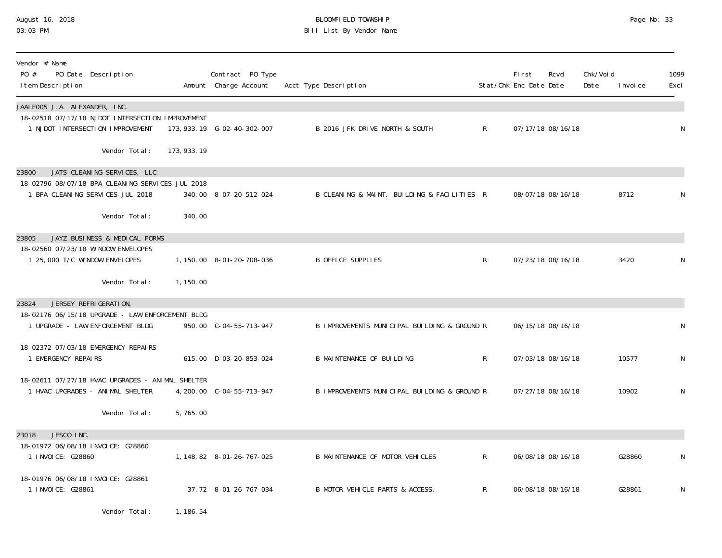## August 16, 2018 BLOOMFIELD TOWNSHIP Page No: 33 Bill List By Vendor Name

| Vendor # Name<br>PO #<br>PO Date Description<br>I tem Description                                                                             |              | Contract PO Type<br>Amount Charge Account | Acct Type Description                        |              | <b>First</b><br>Stat/Chk Enc Date Date | Rcvd              | Chk/Voi d<br>Date | I nvoi ce | 1099<br>Excl |
|-----------------------------------------------------------------------------------------------------------------------------------------------|--------------|-------------------------------------------|----------------------------------------------|--------------|----------------------------------------|-------------------|-------------------|-----------|--------------|
| JAALE005 J.A. ALEXANDER, INC.<br>18-02518 07/17/18 NJDOT INTERSECTION IMPROVEMENT<br>1 NJDOT INTERSECTION IMPROVEMENT                         |              | 173, 933. 19    G-02-40-302-007           | B 2016 JFK DRIVE NORTH & SOUTH               | $\mathsf{R}$ |                                        | 07/17/18 08/16/18 |                   |           | N            |
| Vendor Total:                                                                                                                                 | 173, 933. 19 |                                           |                                              |              |                                        |                   |                   |           |              |
| JATS CLEANING SERVICES, LLC<br>23800<br>18-02796 08/07/18 BPA CLEANING SERVICES-JUL 2018<br>1 BPA CLEANING SERVICES-JUL 2018<br>Vendor Total: | 340.00       | 340.00 8-07-20-512-024                    | B CLEANING & MAINT. BUILDING & FACILITIES R  |              |                                        | 08/07/18 08/16/18 |                   | 8712      | N            |
| JAYZ BUSINESS & MEDICAL FORMS<br>23805                                                                                                        |              |                                           |                                              |              |                                        |                   |                   |           |              |
| 18-02560 07/23/18 WINDOW ENVELOPES<br>1 25,000 T/C WINDOW ENVELOPES                                                                           |              | 1, 150.00 8-01-20-708-036                 | B OFFICE SUPPLIES                            | R            |                                        | 07/23/18 08/16/18 |                   | 3420      | N            |
| Vendor Total:                                                                                                                                 | 1, 150.00    |                                           |                                              |              |                                        |                   |                   |           |              |
| 23824<br>JERSEY REFRIGERATION                                                                                                                 |              |                                           |                                              |              |                                        |                   |                   |           |              |
| 18-02176 06/15/18 UPGRADE - LAW ENFORCEMENT BLDG<br>1 UPGRADE - LAW ENFORCEMENT BLDG                                                          |              | 950.00 C-04-55-713-947                    | B IMPROVEMENTS MUNICIPAL BUILDING & GROUND R |              |                                        | 06/15/18 08/16/18 |                   |           | N            |
| 18-02372 07/03/18 EMERGENCY REPAIRS<br>1 EMERGENCY REPAIRS                                                                                    |              | 615.00 D-03-20-853-024                    | <b>B MAINTENANCE OF BUILDING</b>             | R            |                                        | 07/03/18 08/16/18 |                   | 10577     | N            |
| 18-02611 07/27/18 HVAC UPGRADES - ANIMAL SHELTER<br>1 HVAC UPGRADES - ANIMAL SHELTER                                                          |              | 4, 200. 00 C-04-55-713-947                | B IMPROVEMENTS MUNICIPAL BUILDING & GROUND R |              |                                        | 07/27/18 08/16/18 |                   | 10902     | N            |
| Vendor Total:                                                                                                                                 | 5,765.00     |                                           |                                              |              |                                        |                   |                   |           |              |
| JESCO INC.<br>23018                                                                                                                           |              |                                           |                                              |              |                                        |                   |                   |           |              |
| 18-01972 06/08/18 INVOICE: G28860<br>1 I NVOI CE: G28860                                                                                      |              | 1, 148.82 8-01-26-767-025                 | B MAINTENANCE OF MOTOR VEHICLES              | R            |                                        | 06/08/18 08/16/18 |                   | G28860    | N            |
| 18-01976 06/08/18 INVOICE: G28861<br>1 INVOICE: G28861                                                                                        |              | 37.72 8-01-26-767-034                     | B MOTOR VEHICLE PARTS & ACCESS.              | R            |                                        | 06/08/18 08/16/18 |                   | G28861    | N            |
| Vendor Total:                                                                                                                                 | 1, 186. 54   |                                           |                                              |              |                                        |                   |                   |           |              |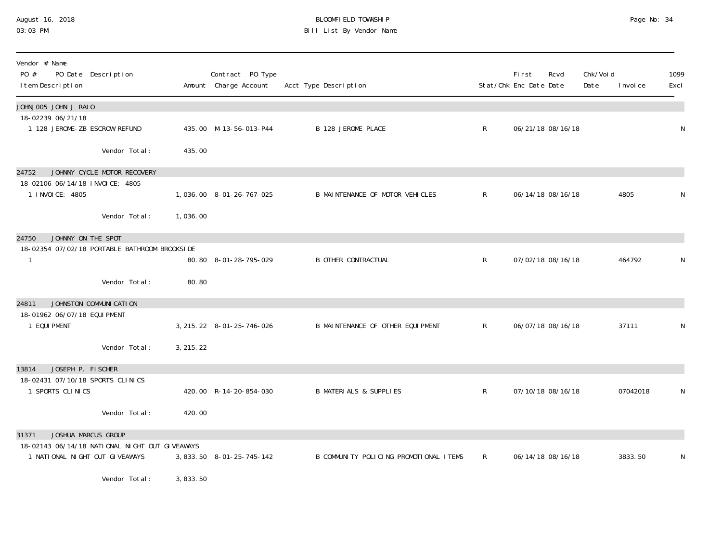#### August 16, 2018 BLOOMFIELD TOWNSHIP Page No: 34 03:03 PM Bill List By Vendor Name

| Vendor # Name<br>PO #<br>PO Date Description<br>I tem Description                |                                                                 |                      | Contract PO Type<br>Amount Charge Account | Acct Type Description                  |              | <b>First</b><br>Stat/Chk Enc Date Date | Rcvd | Chk/Voi d<br>Date | I nvoi ce | 1099<br>Excl |
|----------------------------------------------------------------------------------|-----------------------------------------------------------------|----------------------|-------------------------------------------|----------------------------------------|--------------|----------------------------------------|------|-------------------|-----------|--------------|
| JOHNJOO5 JOHN J RAIO<br>18-02239 06/21/18                                        |                                                                 |                      |                                           |                                        |              |                                        |      |                   |           |              |
| 1 128 JEROME-ZB ESCROW REFUND                                                    |                                                                 |                      | 435.00 M-13-56-013-P44                    | <b>B 128 JEROME PLACE</b>              | $\mathsf{R}$ | 06/21/18 08/16/18                      |      |                   |           | N            |
|                                                                                  | Vendor Total:                                                   | 435.00               |                                           |                                        |              |                                        |      |                   |           |              |
| 24752<br>18-02106 06/14/18 INVOICE: 4805                                         | JOHNNY CYCLE MOTOR RECOVERY                                     |                      |                                           |                                        |              |                                        |      |                   |           |              |
| 1 INVOICE: 4805                                                                  |                                                                 |                      | 1,036.00 8-01-26-767-025                  | B MAINTENANCE OF MOTOR VEHICLES        | $\mathsf{R}$ | 06/14/18 08/16/18                      |      |                   | 4805      | N            |
|                                                                                  | Vendor Total:                                                   | 1,036.00             |                                           |                                        |              |                                        |      |                   |           |              |
| JOHNNY ON THE SPOT<br>24750                                                      |                                                                 |                      |                                           |                                        |              |                                        |      |                   |           |              |
| 18-02354 07/02/18 PORTABLE BATHROOM BROOKSIDE                                    |                                                                 |                      | 80.80 8-01-28-795-029                     | <b>B OTHER CONTRACTUAL</b>             | $\mathsf{R}$ | 07/02/18 08/16/18                      |      |                   | 464792    | N            |
|                                                                                  | Vendor Total:                                                   | 80.80                |                                           |                                        |              |                                        |      |                   |           |              |
| JOHNSTON COMMUNICATION<br>24811                                                  |                                                                 |                      |                                           |                                        |              |                                        |      |                   |           |              |
| 18-01962 06/07/18 EQUI PMENT<br>1 EQUI PMENT                                     |                                                                 |                      | 3, 215. 22 8-01-25-746-026                | B MAINTENANCE OF OTHER EQUIPMENT       | $\mathsf{R}$ | 06/07/18 08/16/18                      |      |                   | 37111     | N            |
|                                                                                  | Vendor Total:                                                   | 3, 215. 22           |                                           |                                        |              |                                        |      |                   |           |              |
| 13814<br>JOSEPH P. FISCHER                                                       |                                                                 |                      |                                           |                                        |              |                                        |      |                   |           |              |
| 18-02431 07/10/18 SPORTS CLINICS<br>1 SPORTS CLINICS                             |                                                                 |                      | 420.00 R-14-20-854-030                    | <b>B MATERIALS &amp; SUPPLIES</b>      | $\mathsf{R}$ | 07/10/18 08/16/18                      |      |                   | 07042018  | N            |
|                                                                                  | Vendor Total:                                                   | 420.00               |                                           |                                        |              |                                        |      |                   |           |              |
| JOSHUA MARCUS GROUP<br>31371                                                     |                                                                 |                      |                                           |                                        |              |                                        |      |                   |           |              |
| 18-02143 06/14/18 NATIONAL NIGHT OUT GIVEAWAYS<br>1 NATIONAL NIGHT OUT GIVEAWAYS |                                                                 |                      | 3, 833. 50 8-01-25-745-142                | B COMMUNITY POLICING PROMOTIONAL ITEMS | $\mathsf{R}$ | 06/14/18 08/16/18                      |      |                   | 3833.50   | N            |
|                                                                                  | $\mathbf{u}$ and $\mathbf{v}$ and $\mathbf{v}$ and $\mathbf{v}$ | $\sim$ 000 $\sim$ 00 |                                           |                                        |              |                                        |      |                   |           |              |

Vendor Total: 3,833.50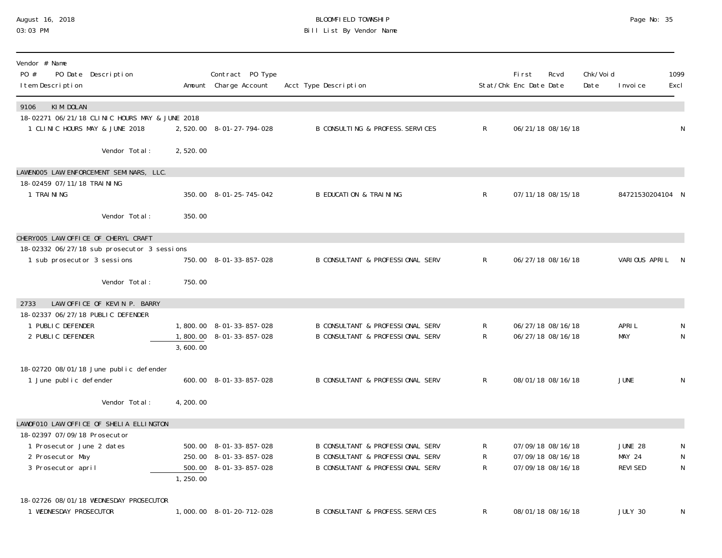### August 16, 2018 BLOOMFIELD TOWNSHIP Page No: 35 03:03 PM Bill List By Vendor Name

| Vendor # Name<br>PO #<br>PO Date Description<br>I tem Description          |           | Contract PO Type<br>Amount Charge Account        | Acct Type Description                                                           |              | First<br>Stat/Chk Enc Date Date | Rcvd                                   | Chk/Voi d<br>Date | I nvoi ce                       | 1099<br>Excl |
|----------------------------------------------------------------------------|-----------|--------------------------------------------------|---------------------------------------------------------------------------------|--------------|---------------------------------|----------------------------------------|-------------------|---------------------------------|--------------|
| KIM DOLAN<br>9106<br>18-02271 06/21/18 CLINIC HOURS MAY & JUNE 2018        |           |                                                  |                                                                                 |              |                                 |                                        |                   |                                 |              |
| 1 CLINIC HOURS MAY & JUNE 2018                                             |           | 2,520.00 8-01-27-794-028                         | B CONSULTING & PROFESS. SERVICES                                                | $\mathsf{R}$ |                                 | 06/21/18 08/16/18                      |                   |                                 | N            |
| Vendor Total:                                                              | 2,520.00  |                                                  |                                                                                 |              |                                 |                                        |                   |                                 |              |
| LAWENOO5 LAW ENFORCEMENT SEMINARS, LLC.                                    |           |                                                  |                                                                                 |              |                                 |                                        |                   |                                 |              |
| 18-02459 07/11/18 TRAI NI NG<br>1 TRAINING                                 |           | 350.00 8-01-25-745-042                           | <b>B EDUCATION &amp; TRAINING</b>                                               | $\mathsf{R}$ |                                 | 07/11/18 08/15/18                      |                   | 84721530204104 N                |              |
| Vendor Total:                                                              | 350.00    |                                                  |                                                                                 |              |                                 |                                        |                   |                                 |              |
| CHERYOO5 LAW OFFICE OF CHERYL CRAFT                                        |           |                                                  |                                                                                 |              |                                 |                                        |                   |                                 |              |
| 18-02332 06/27/18 sub prosecutor 3 sessions<br>1 sub prosecutor 3 sessions |           | 750.00 8-01-33-857-028                           | B CONSULTANT & PROFESSIONAL SERV                                                | $\mathsf{R}$ |                                 | 06/27/18 08/16/18                      |                   | VARIOUS APRIL N                 |              |
| Vendor Total:                                                              | 750.00    |                                                  |                                                                                 |              |                                 |                                        |                   |                                 |              |
| LAW OFFICE OF KEVIN P. BARRY<br>2733                                       |           |                                                  |                                                                                 |              |                                 |                                        |                   |                                 |              |
| 18-02337 06/27/18 PUBLIC DEFENDER<br>1 PUBLIC DEFENDER                     |           | 1,800.00 8-01-33-857-028                         | B CONSULTANT & PROFESSIONAL SERV                                                | R            |                                 | 06/27/18 08/16/18                      |                   | APRI L                          | N            |
| 2 PUBLIC DEFENDER                                                          | 3,600.00  | 1,800.00 8-01-33-857-028                         | B CONSULTANT & PROFESSIONAL SERV                                                | R            |                                 | 06/27/18 08/16/18                      |                   | <b>MAY</b>                      | N            |
|                                                                            |           |                                                  |                                                                                 |              |                                 |                                        |                   |                                 |              |
| 18-02720 08/01/18 June public defender<br>1 June public defender           |           | 600.00 8-01-33-857-028                           | B CONSULTANT & PROFESSIONAL SERV                                                | R            |                                 | 08/01/18 08/16/18                      |                   | <b>JUNE</b>                     | N            |
| Vendor Total:                                                              | 4, 200.00 |                                                  |                                                                                 |              |                                 |                                        |                   |                                 |              |
| LAWOFO10 LAW OFFICE OF SHELIA ELLINGTON                                    |           |                                                  |                                                                                 |              |                                 |                                        |                   |                                 |              |
| 18-02397 07/09/18 Prosecutor                                               |           |                                                  |                                                                                 |              |                                 |                                        |                   |                                 |              |
| 1 Prosecutor June 2 dates<br>2 Prosecutor May                              |           | 500.00 8-01-33-857-028<br>250.00 8-01-33-857-028 | <b>B CONSULTANT &amp; PROFESSIONAL SERV</b><br>B CONSULTANT & PROFESSIONAL SERV | R<br>R       |                                 | 07/09/18 08/16/18<br>07/09/18 08/16/18 |                   | <b>JUNE 28</b><br><b>MAY 24</b> | N<br>N       |
| 3 Prosecutor april                                                         |           | 500.00 8-01-33-857-028                           | B CONSULTANT & PROFESSIONAL SERV                                                | R            |                                 | 07/09/18 08/16/18                      |                   | <b>REVISED</b>                  | N            |
|                                                                            | 1,250.00  |                                                  |                                                                                 |              |                                 |                                        |                   |                                 |              |
| 18-02726 08/01/18 WEDNESDAY PROSECUTOR                                     |           |                                                  |                                                                                 |              |                                 |                                        |                   |                                 |              |
| 1 WEDNESDAY PROSECUTOR                                                     |           | 1,000.00 8-01-20-712-028                         | <b>B CONSULTANT &amp; PROFESS. SERVICES</b>                                     | R            |                                 | 08/01/18 08/16/18                      |                   | JULY 30                         | N            |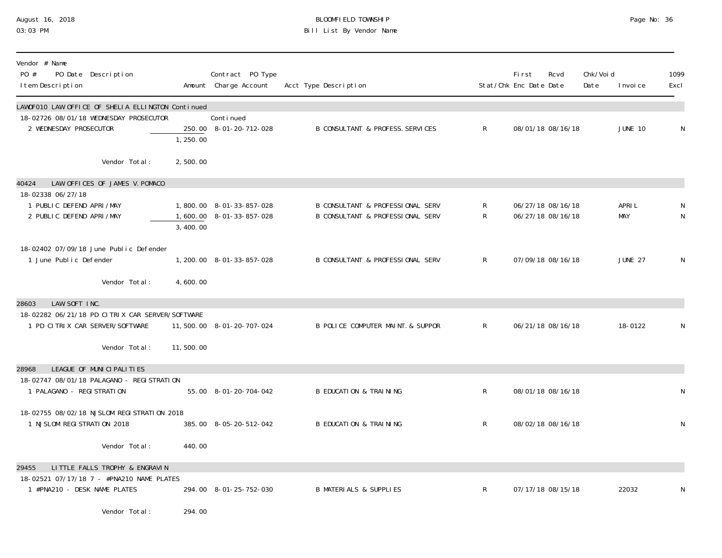# August 16, 2018 BLOOMFIELD TOWNSHIP Page No: 36 Bill List By Vendor Name

| Vendor # Name<br>PO #<br>PO Date Description<br>I tem Description                    |           | Contract PO Type<br>Amount Charge Account            | Acct Type Description                                                                      |                | First<br>Stat/Chk Enc Date Date | Rcvd                                   | Chk/Voi d<br>Date | I nvoi ce            | 1099<br>Excl |
|--------------------------------------------------------------------------------------|-----------|------------------------------------------------------|--------------------------------------------------------------------------------------------|----------------|---------------------------------|----------------------------------------|-------------------|----------------------|--------------|
| LAWOFO10 LAW OFFICE OF SHELIA ELLINGTON Continued                                    |           |                                                      |                                                                                            |                |                                 |                                        |                   |                      |              |
| 18-02726 08/01/18 WEDNESDAY PROSECUTOR<br>2 WEDNESDAY PROSECUTOR                     | 1,250.00  | Continued<br>250.00 8-01-20-712-028                  | B CONSULTANT & PROFESS. SERVICES                                                           | $\mathsf{R}^-$ |                                 | 08/01/18 08/16/18                      |                   | <b>JUNE 10</b>       | N            |
| Vendor Total:                                                                        | 2,500.00  |                                                      |                                                                                            |                |                                 |                                        |                   |                      |              |
| LAW OFFICES OF JAMES V. POMACO<br>40424                                              |           |                                                      |                                                                                            |                |                                 |                                        |                   |                      |              |
| 18-02338 06/27/18<br>1 PUBLIC DEFEND APRI/MAY<br>2 PUBLIC DEFEND APRI/MAY            | 3,400.00  | 1,800.00 8-01-33-857-028<br>1,600.00 8-01-33-857-028 | <b>B CONSULTANT &amp; PROFESSIONAL SERV</b><br><b>B CONSULTANT &amp; PROFESSIONAL SERV</b> | R<br>R         |                                 | 06/27/18 08/16/18<br>06/27/18 08/16/18 |                   | APRI L<br><b>MAY</b> | N<br>N       |
| 18-02402 07/09/18 June Public Defender<br>1 June Public Defender                     |           | 1, 200. 00 8-01-33-857-028                           | B CONSULTANT & PROFESSIONAL SERV                                                           | $\mathsf R$    |                                 | 07/09/18 08/16/18                      |                   | <b>JUNE 27</b>       | N            |
| Vendor Total:                                                                        | 4,600.00  |                                                      |                                                                                            |                |                                 |                                        |                   |                      |              |
| LAW SOFT INC.<br>28603                                                               |           |                                                      |                                                                                            |                |                                 |                                        |                   |                      |              |
| 18-02282 06/21/18 PD CITRIX CAR SERVER/SOFTWARE<br>1 PD CITRIX CAR SERVER/SOFTWARE   |           | 11,500.00 8-01-20-707-024                            | B POLICE COMPUTER MAINT. & SUPPOR                                                          | $\mathsf{R}^-$ |                                 | 06/21/18 08/16/18                      |                   | 18-0122              | N            |
| Vendor Total:                                                                        | 11,500.00 |                                                      |                                                                                            |                |                                 |                                        |                   |                      |              |
| LEAGUE OF MUNICIPALITIES<br>28968                                                    |           |                                                      |                                                                                            |                |                                 |                                        |                   |                      |              |
| 18-02747 08/01/18 PALAGANO - REGI STRATION<br>1 PALAGANO - REGI STRATION             |           | 55.00 8-01-20-704-042                                | <b>B EDUCATION &amp; TRAINING</b>                                                          | R              |                                 | 08/01/18 08/16/18                      |                   |                      | N            |
| 18-02755 08/02/18 NJSLOM REGISTRATION 2018<br>1 NJSLOM REGISTRATION 2018             |           | 385.00 8-05-20-512-042                               | <b>B EDUCATION &amp; TRAINING</b>                                                          | R              |                                 | 08/02/18 08/16/18                      |                   |                      | N            |
| Vendor Total:                                                                        | 440.00    |                                                      |                                                                                            |                |                                 |                                        |                   |                      |              |
| LITTLE FALLS TROPHY & ENGRAVIN<br>29455<br>18-02521 07/17/18 7 - #PNA210 NAME PLATES |           |                                                      |                                                                                            |                |                                 |                                        |                   |                      |              |
| 1 #PNA210 - DESK NAME PLATES                                                         |           | 294.00 8-01-25-752-030                               | <b>B MATERIALS &amp; SUPPLIES</b>                                                          | R              |                                 | 07/17/18 08/15/18                      |                   | 22032                | N            |
| Vendor Total:                                                                        | 294.00    |                                                      |                                                                                            |                |                                 |                                        |                   |                      |              |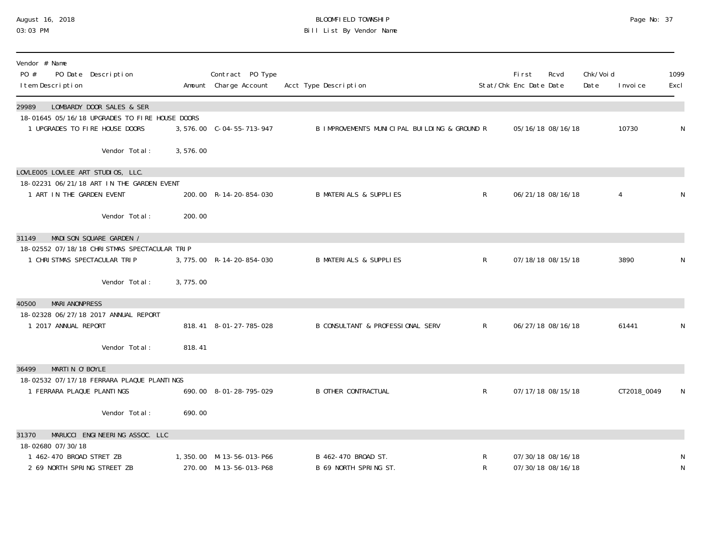### August 16, 2018 BLOOMFIELD TOWNSHIP Page No: 37 03:03 PM Bill List By Vendor Name

| Vendor # Name<br>PO #<br>I tem Description              | PO Date Description                                                                                           |          | Contract PO Type<br>Amount Charge Account          | Acct Type Description                        |              | First<br>Stat/Chk Enc Date Date        | Rcvd | Chk/Voi d<br>Date | I nvoi ce   | 1099<br>Excl |
|---------------------------------------------------------|---------------------------------------------------------------------------------------------------------------|----------|----------------------------------------------------|----------------------------------------------|--------------|----------------------------------------|------|-------------------|-------------|--------------|
| 29989                                                   | LOMBARDY DOOR SALES & SER<br>18-01645 05/16/18 UPGRADES TO FIRE HOUSE DOORS<br>1 UPGRADES TO FIRE HOUSE DOORS |          | 3,576.00 C-04-55-713-947                           | B IMPROVEMENTS MUNICIPAL BUILDING & GROUND R |              | 05/16/18 08/16/18                      |      |                   | 10730       | N            |
|                                                         | Vendor Total:                                                                                                 | 3,576.00 |                                                    |                                              |              |                                        |      |                   |             |              |
| LOVLEOO5 LOVLEE ART STUDIOS, LLC.                       | 18-02231 06/21/18 ART IN THE GARDEN EVENT                                                                     |          |                                                    |                                              |              |                                        |      |                   |             |              |
| 1 ART IN THE GARDEN EVENT                               |                                                                                                               |          | 200.00 R-14-20-854-030                             | <b>B MATERIALS &amp; SUPPLIES</b>            | $\mathsf{R}$ | 06/21/18 08/16/18                      |      |                   | 4           | N            |
|                                                         | Vendor Total:                                                                                                 | 200.00   |                                                    |                                              |              |                                        |      |                   |             |              |
| 31149                                                   | MADI SON SQUARE GARDEN /                                                                                      |          |                                                    |                                              |              |                                        |      |                   |             |              |
|                                                         | 18-02552 07/18/18 CHRISTMAS SPECTACULAR TRIP<br>1 CHRISTMAS SPECTACULAR TRIP                                  |          | 3, 775.00 R-14-20-854-030                          | <b>B MATERIALS &amp; SUPPLIES</b>            | $\mathsf{R}$ | 07/18/18 08/15/18                      |      |                   | 3890        | N            |
|                                                         | Vendor Total:                                                                                                 | 3,775.00 |                                                    |                                              |              |                                        |      |                   |             |              |
| <b>MARI ANONPRESS</b><br>40500                          |                                                                                                               |          |                                                    |                                              |              |                                        |      |                   |             |              |
| 1 2017 ANNUAL REPORT                                    | 18-02328 06/27/18 2017 ANNUAL REPORT                                                                          |          | 818.41 8-01-27-785-028                             | <b>B CONSULTANT &amp; PROFESSIONAL SERV</b>  | $\mathsf{R}$ | 06/27/18 08/16/18                      |      |                   | 61441       | N            |
|                                                         | Vendor Total:                                                                                                 | 818.41   |                                                    |                                              |              |                                        |      |                   |             |              |
| MARTIN O'BOYLE<br>36499                                 |                                                                                                               |          |                                                    |                                              |              |                                        |      |                   |             |              |
| 1 FERRARA PLAQUE PLANTINGS                              | 18-02532 07/17/18 FERRARA PLAQUE PLANTINGS                                                                    |          | 690.00 8-01-28-795-029                             | <b>B OTHER CONTRACTUAL</b>                   | $\mathsf{R}$ | 07/17/18 08/15/18                      |      |                   | CT2018_0049 | N            |
|                                                         |                                                                                                               |          |                                                    |                                              |              |                                        |      |                   |             |              |
|                                                         | Vendor Total:                                                                                                 | 690.00   |                                                    |                                              |              |                                        |      |                   |             |              |
| 31370<br>18-02680 07/30/18                              | MARUCCI ENGINEERING ASSOC. LLC                                                                                |          |                                                    |                                              |              |                                        |      |                   |             |              |
| 1 462-470 BROAD STRET ZB<br>2 69 NORTH SPRING STREET ZB |                                                                                                               |          | 1,350.00 M-13-56-013-P66<br>270.00 M-13-56-013-P68 | B 462-470 BROAD ST.<br>B 69 NORTH SPRING ST. | R<br>R       | 07/30/18 08/16/18<br>07/30/18 08/16/18 |      |                   |             | N<br>N       |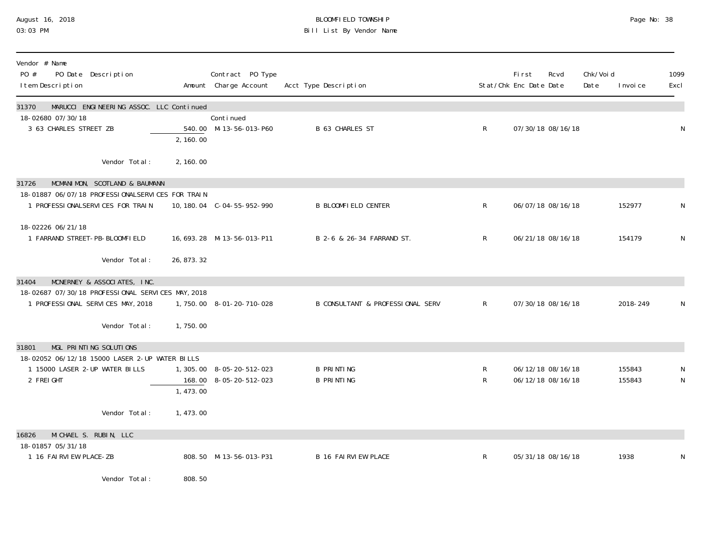# August 16, 2018 BLOOMFIELD TOWNSHIP Page No: 38 Bill List By Vendor Name

| Vendor # Name<br>PO #<br>PO Date Description<br>I tem Description                                                                                                                  |             | Contract PO Type<br>Amount Charge Account           | Acct Type Description                  |              | <b>First</b><br>Rcvd<br>Stat/Chk Enc Date Date | Chk/Void<br>Date | I nvoi ce        | 1099<br>Excl |
|------------------------------------------------------------------------------------------------------------------------------------------------------------------------------------|-------------|-----------------------------------------------------|----------------------------------------|--------------|------------------------------------------------|------------------|------------------|--------------|
| MARUCCI ENGINEERING ASSOC. LLC Continued<br>31370<br>18-02680 07/30/18<br>3 63 CHARLES STREET ZB                                                                                   | 2, 160.00   | Continued<br>540.00 M-13-56-013-P60                 | <b>B 63 CHARLES ST</b>                 | $\mathsf{R}$ | 07/30/18 08/16/18                              |                  |                  | N            |
| Vendor Total:                                                                                                                                                                      | 2, 160.00   |                                                     |                                        |              |                                                |                  |                  |              |
| 31726<br>MCMANIMON, SCOTLAND & BAUMANN<br>18-01887 06/07/18 PROFESSIONALSERVICES FOR TRAIN<br>1 PROFESSIONALSERVICES FOR TRAIN                                                     |             | 10, 180. 04 C-04-55-952-990                         | <b>B BLOOMFIELD CENTER</b>             | $\mathsf{R}$ | 06/07/18 08/16/18                              |                  | 152977           | N            |
| 18-02226 06/21/18<br>1 FARRAND STREET-PB-BLOOMFIELD                                                                                                                                |             | 16, 693. 28 M-13-56-013-P11                         | B 2-6 & 26-34 FARRAND ST.              | $\mathsf{R}$ | 06/21/18 08/16/18                              |                  | 154179           | N            |
| Vendor Total:                                                                                                                                                                      | 26, 873. 32 |                                                     |                                        |              |                                                |                  |                  |              |
| MCNERNEY & ASSOCIATES, INC.<br>31404<br>18-02687 07/30/18 PROFESSIONAL SERVICES MAY, 2018<br>1 PROFESSIONAL SERVICES MAY, 2018<br>Vendor Total:<br>MGL PRINTING SOLUTIONS<br>31801 | 1,750.00    | 1,750.00 8-01-20-710-028                            | B CONSULTANT & PROFESSIONAL SERV       | $\mathsf{R}$ | 07/30/18 08/16/18                              |                  | 2018-249         | N            |
| 18-02052 06/12/18 15000 LASER 2-UP WATER BILLS<br>1 15000 LASER 2-UP WATER BILLS<br>2 FREIGHT                                                                                      | 1,473.00    | 1, 305.00 8-05-20-512-023<br>168.00 8-05-20-512-023 | <b>B PRINTING</b><br><b>B PRINTING</b> | R<br>R       | 06/12/18 08/16/18<br>06/12/18 08/16/18         |                  | 155843<br>155843 | N            |
| Vendor Total:                                                                                                                                                                      | 1,473.00    |                                                     |                                        |              |                                                |                  |                  |              |
| 16826<br>MICHAEL S. RUBIN, LLC<br>18-01857 05/31/18<br>1 16 FAIRVIEW PLACE-ZB<br>Vendor Total:                                                                                     | 808.50      | 808.50 M-13-56-013-P31                              | <b>B 16 FAIRVIEW PLACE</b>             | $\mathsf{R}$ | 05/31/18 08/16/18                              |                  | 1938             | N            |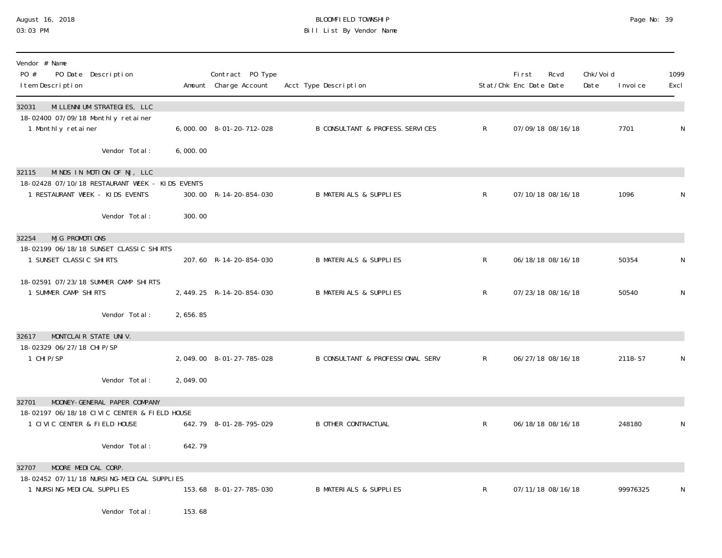# August 16, 2018 BLOOMFIELD TOWNSHIP Page No: 39 Bill List By Vendor Name

| Vendor # Name<br>PO #<br>PO Date Description<br>I tem Description                                 |          | Contract PO Type<br>Amount Charge Account | Acct Type Description                       |                | First<br>Stat/Chk Enc Date Date | Rcvd              | Chk/Voi d<br>Date | I nvoi ce | 1099<br>Excl |
|---------------------------------------------------------------------------------------------------|----------|-------------------------------------------|---------------------------------------------|----------------|---------------------------------|-------------------|-------------------|-----------|--------------|
| MI LLENNI UM STRATEGIES, LLC<br>32031<br>18-02400 07/09/18 Monthly retainer<br>1 Monthly retainer |          | 6,000.00 8-01-20-712-028                  | <b>B CONSULTANT &amp; PROFESS. SERVICES</b> | $\mathsf{R}^-$ |                                 | 07/09/18 08/16/18 |                   | 7701      | $\mathsf N$  |
| Vendor Total:                                                                                     | 6,000.00 |                                           |                                             |                |                                 |                   |                   |           |              |
| MINDS IN MOTION OF NJ, LLC<br>32115                                                               |          |                                           |                                             |                |                                 |                   |                   |           |              |
| 18-02428 07/10/18 RESTAURANT WEEK - KIDS EVENTS<br>1 RESTAURANT WEEK - KIDS EVENTS                |          | 300.00 R-14-20-854-030                    | <b>B MATERIALS &amp; SUPPLIES</b>           | $\mathsf{R}$   |                                 | 07/10/18 08/16/18 |                   | 1096      | N            |
| Vendor Total:                                                                                     | 300.00   |                                           |                                             |                |                                 |                   |                   |           |              |
| <b>MJG PROMOTIONS</b><br>32254<br>18-02199 06/18/18 SUNSET CLASSIC SHIRTS                         |          |                                           |                                             |                |                                 |                   |                   |           |              |
| 1 SUNSET CLASSIC SHIRTS                                                                           |          | 207.60 R-14-20-854-030                    | <b>B MATERIALS &amp; SUPPLIES</b>           | $\mathsf{R}^-$ |                                 | 06/18/18 08/16/18 |                   | 50354     | N            |
| 18-02591 07/23/18 SUMMER CAMP SHIRTS<br>1 SUMMER CAMP SHIRTS                                      |          | 2, 449. 25 R-14-20-854-030                | <b>B MATERIALS &amp; SUPPLIES</b>           | $\mathsf{R}$   |                                 | 07/23/18 08/16/18 |                   | 50540     | N            |
| Vendor Total:                                                                                     | 2,656.85 |                                           |                                             |                |                                 |                   |                   |           |              |
| MONTCLAIR STATE UNIV.<br>32617<br>18-02329 06/27/18 CHI P/SP                                      |          |                                           |                                             |                |                                 |                   |                   |           |              |
| 1 CHIP/SP                                                                                         |          | 2,049.00 8-01-27-785-028                  | B CONSULTANT & PROFESSIONAL SERV            | $\mathsf{R}^-$ |                                 | 06/27/18 08/16/18 |                   | 2118-57   | N            |
| Vendor Total:                                                                                     | 2,049.00 |                                           |                                             |                |                                 |                   |                   |           |              |
| MOONEY-GENERAL PAPER COMPANY<br>32701<br>18-02197 06/18/18 CIVIC CENTER & FIELD HOUSE             |          |                                           |                                             |                |                                 |                   |                   |           |              |
| 1 CIVIC CENTER & FIELD HOUSE                                                                      |          | 642.79 8-01-28-795-029                    | <b>B OTHER CONTRACTUAL</b>                  | R              |                                 | 06/18/18 08/16/18 |                   | 248180    | N            |
| Vendor Total:                                                                                     | 642.79   |                                           |                                             |                |                                 |                   |                   |           |              |
| MOORE MEDICAL CORP.<br>32707                                                                      |          |                                           |                                             |                |                                 |                   |                   |           |              |
| 18-02452 07/11/18 NURSING-MEDICAL SUPPLIES<br>1 NURSI NG-MEDI CAL SUPPLI ES                       |          | 153.68 8-01-27-785-030                    | <b>B MATERIALS &amp; SUPPLIES</b>           | R              |                                 | 07/11/18 08/16/18 |                   | 99976325  | N            |
| Vendor Total:                                                                                     | 153.68   |                                           |                                             |                |                                 |                   |                   |           |              |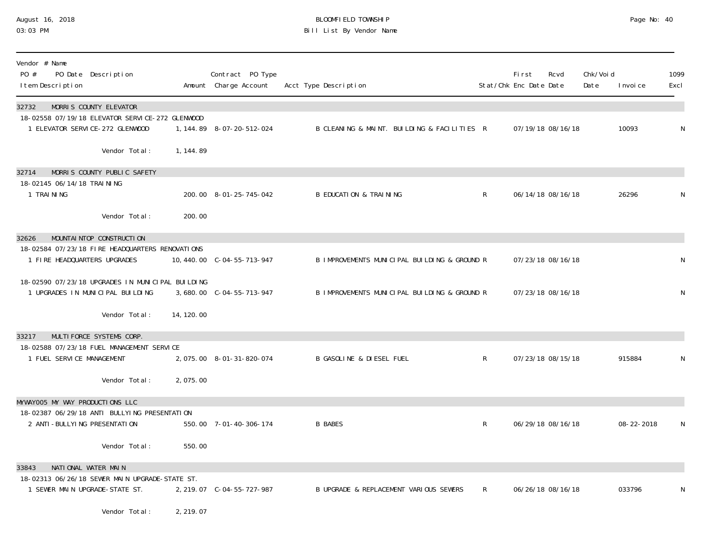# August 16, 2018 BLOOMFIELD TOWNSHIP Page No: 40 Bill List By Vendor Name

| Vendor # Name<br>PO #<br>PO Date Description<br>I tem Description                    |                             |            | Contract PO Type<br>Amount Charge Account | Acct Type Description                        |                | First<br>Stat/Chk Enc Date Date | Rcvd              | Chk/Voi d<br>Date | I nvoi ce  | 1099<br>Excl |
|--------------------------------------------------------------------------------------|-----------------------------|------------|-------------------------------------------|----------------------------------------------|----------------|---------------------------------|-------------------|-------------------|------------|--------------|
| MORRIS COUNTY ELEVATOR<br>32732                                                      |                             |            |                                           |                                              |                |                                 |                   |                   |            |              |
| 18-02558 07/19/18 ELEVATOR SERVICE-272 GLENWOOD<br>1 ELEVATOR SERVICE-272 GLENWOOD   |                             |            | 1, 144.89 8-07-20-512-024                 | B CLEANING & MAINT. BUILDING & FACILITIES R  |                |                                 | 07/19/18 08/16/18 |                   | 10093      | N            |
|                                                                                      | Vendor Total:               | 1, 144.89  |                                           |                                              |                |                                 |                   |                   |            |              |
| 32714                                                                                | MORRIS COUNTY PUBLIC SAFETY |            |                                           |                                              |                |                                 |                   |                   |            |              |
| 18-02145 06/14/18 TRAINING<br>1 TRAINING                                             |                             |            | 200.00 8-01-25-745-042                    | <b>B EDUCATION &amp; TRAINING</b>            | $\mathsf{R}$   |                                 | 06/14/18 08/16/18 |                   | 26296      | N            |
|                                                                                      | Vendor Total:               | 200.00     |                                           |                                              |                |                                 |                   |                   |            |              |
| MOUNTAI NTOP CONSTRUCTI ON<br>32626                                                  |                             |            |                                           |                                              |                |                                 |                   |                   |            |              |
| 18-02584 07/23/18 FIRE HEADQUARTERS RENOVATIONS<br>1 FIRE HEADQUARTERS UPGRADES      |                             |            |                                           | B IMPROVEMENTS MUNICIPAL BUILDING & GROUND R |                |                                 | 07/23/18 08/16/18 |                   |            | N            |
| 18-02590 07/23/18 UPGRADES IN MUNICIPAL BUILDING<br>1 UPGRADES IN MUNICIPAL BUILDING |                             |            | 3,680.00 C-04-55-713-947                  | B IMPROVEMENTS MUNICIPAL BUILDING & GROUND R |                |                                 | 07/23/18 08/16/18 |                   |            | N            |
|                                                                                      | Vendor Total:               | 14, 120.00 |                                           |                                              |                |                                 |                   |                   |            |              |
| MULTI FORCE SYSTEMS CORP.<br>33217                                                   |                             |            |                                           |                                              |                |                                 |                   |                   |            |              |
| 18-02588 07/23/18 FUEL MANAGEMENT SERVICE                                            |                             |            |                                           |                                              |                |                                 |                   |                   |            |              |
| 1 FUEL SERVICE MANAGEMENT                                                            |                             |            | 2,075.00 8-01-31-820-074                  | <b>B GASOLINE &amp; DIESEL FUEL</b>          | $\mathsf{R}$   |                                 | 07/23/18 08/15/18 |                   | 915884     | N            |
|                                                                                      | Vendor Total:               | 2,075.00   |                                           |                                              |                |                                 |                   |                   |            |              |
| MYWAYOO5 MY WAY PRODUCTIONS LLC                                                      |                             |            |                                           |                                              |                |                                 |                   |                   |            |              |
| 18-02387 06/29/18 ANTI BULLYING PRESENTATION<br>2 ANTI-BULLYING PRESENTATION         |                             |            | 550.00 7-01-40-306-174                    | <b>B BABES</b>                               | $\mathsf{R}$   |                                 | 06/29/18 08/16/18 |                   | 08-22-2018 | N            |
|                                                                                      | Vendor Total:               | 550.00     |                                           |                                              |                |                                 |                   |                   |            |              |
| NATIONAL WATER MAIN<br>33843                                                         |                             |            |                                           |                                              |                |                                 |                   |                   |            |              |
| 18-02313 06/26/18 SEWER MAIN UPGRADE-STATE ST.<br>1 SEWER MAIN UPGRADE-STATE ST.     |                             |            | 2, 219.07 C-04-55-727-987                 | B UPGRADE & REPLACEMENT VARIOUS SEWERS       | $\mathsf{R}^-$ |                                 | 06/26/18 08/16/18 |                   | 033796     | N            |
|                                                                                      | Vendor Total:               | 2, 219.07  |                                           |                                              |                |                                 |                   |                   |            |              |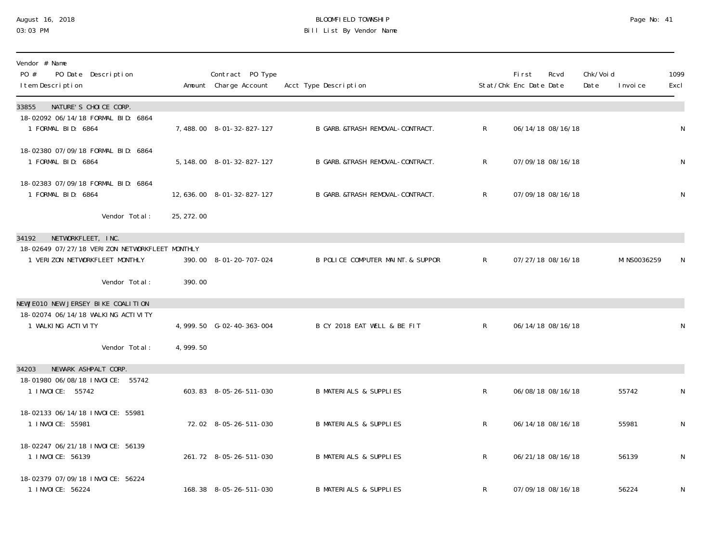### August 16, 2018 BLOOMFIELD TOWNSHIP Page No: 41 03:03 PM Bill List By Vendor Name

| Vendor # Name<br>PO #<br>PO Date Description<br>I tem Description                |            | Contract PO Type<br>Amount Charge Account | Acct Type Description             |              | <b>First</b><br>Stat/Chk Enc Date Date | Rcvd              | Chk/Void<br>Date | I nvoi ce    | 1099<br>Excl |
|----------------------------------------------------------------------------------|------------|-------------------------------------------|-----------------------------------|--------------|----------------------------------------|-------------------|------------------|--------------|--------------|
| NATURE'S CHOICE CORP.<br>33855                                                   |            |                                           |                                   |              |                                        |                   |                  |              |              |
| 18-02092 06/14/18 FORMAL BID: 6864<br>1 FORMAL BID: 6864                         |            | 7,488.00 8-01-32-827-127                  | B GARB. &TRASH REMOVAL-CONTRACT.  | $\mathsf{R}$ |                                        | 06/14/18 08/16/18 |                  |              | N            |
| 18-02380 07/09/18 FORMAL BID: 6864<br>1 FORMAL BID: 6864                         |            | 5, 148.00 8-01-32-827-127                 | B GARB. &TRASH REMOVAL-CONTRACT.  | $\mathsf{R}$ |                                        | 07/09/18 08/16/18 |                  |              | $\mathsf{N}$ |
| 18-02383 07/09/18 FORMAL BID: 6864<br>1 FORMAL BID: 6864                         |            | 12, 636. 00 8-01-32-827-127               | B GARB. & TRASH REMOVAL-CONTRACT. | $\mathsf{R}$ |                                        | 07/09/18 08/16/18 |                  |              | $\mathsf{N}$ |
| Vendor Total:                                                                    | 25, 272.00 |                                           |                                   |              |                                        |                   |                  |              |              |
| NETWORKFLEET, INC.<br>34192                                                      |            |                                           |                                   |              |                                        |                   |                  |              |              |
| 18-02649 07/27/18 VERIZON NETWORKFLEET MONTHLY<br>1 VERIZON NETWORKFLEET MONTHLY |            | 390.00 8-01-20-707-024                    | B POLICE COMPUTER MAINT. & SUPPOR | $R_{\perp}$  |                                        | 07/27/18 08/16/18 |                  | MI NS0036259 | N            |
| Vendor Total:                                                                    | 390.00     |                                           |                                   |              |                                        |                   |                  |              |              |
| NEWJEO10 NEW JERSEY BIKE COALITION                                               |            |                                           |                                   |              |                                        |                   |                  |              |              |
| 18-02074 06/14/18 WALKING ACTIVITY<br>1 WALKING ACTIVITY                         |            | 4, 999. 50 G-02-40-363-004                | B CY 2018 EAT WELL & BE FIT       | $R_{\perp}$  |                                        | 06/14/18 08/16/18 |                  |              | N            |
| Vendor Total:                                                                    | 4,999.50   |                                           |                                   |              |                                        |                   |                  |              |              |
| NEWARK ASHPALT CORP.<br>34203                                                    |            |                                           |                                   |              |                                        |                   |                  |              |              |
| 18-01980 06/08/18 INVOICE:<br>55742<br>1 I NVOI CE: 55742                        |            | 603.83 8-05-26-511-030                    | <b>B MATERIALS &amp; SUPPLIES</b> | $\mathsf{R}$ |                                        | 06/08/18 08/16/18 |                  | 55742        | N            |
| 18-02133 06/14/18 INVOICE: 55981<br>1 I NVOI CE: 55981                           |            | 72.02 8-05-26-511-030                     | <b>B MATERIALS &amp; SUPPLIES</b> | $\mathsf{R}$ |                                        | 06/14/18 08/16/18 |                  | 55981        | $\mathsf{N}$ |
| 18-02247 06/21/18 INVOICE: 56139<br>1 I NVOI CE: 56139                           |            | 261.72 8-05-26-511-030                    | <b>B MATERIALS &amp; SUPPLIES</b> | $\mathsf{R}$ |                                        | 06/21/18 08/16/18 |                  | 56139        | $\mathsf{N}$ |
| 18-02379 07/09/18 INVOICE: 56224<br>1 INVOICE: 56224                             |            | 168.38 8-05-26-511-030                    | B MATERIALS & SUPPLIES            | R            |                                        | 07/09/18 08/16/18 |                  | 56224        | N            |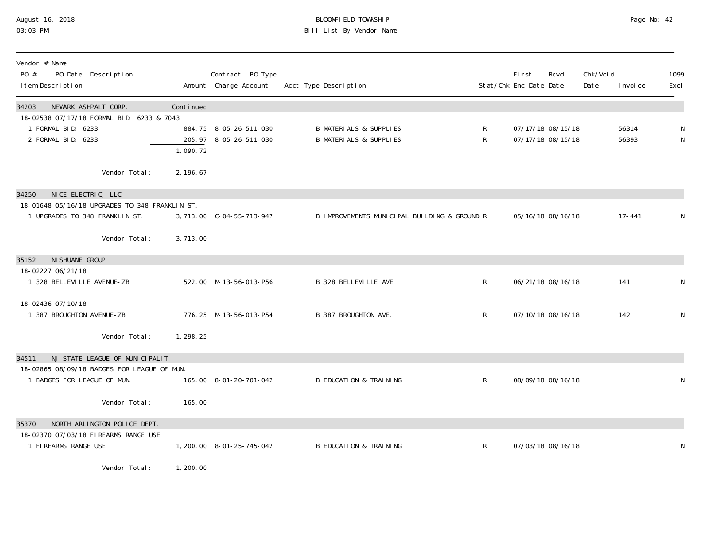# August 16, 2018 BLOOMFIELD TOWNSHIP Page No: 42 Bill List By Vendor Name

| Vendor # Name<br>PO #<br>PO Date Description<br>I tem Description                                               |            | Contract PO Type<br>Amount Charge Account        | Acct Type Description                                                  |        | <b>First</b><br>Stat/Chk Enc Date Date | Rcvd                                   | Chk/Voi d<br>Date | I nvoi ce      | 1099<br>Excl   |
|-----------------------------------------------------------------------------------------------------------------|------------|--------------------------------------------------|------------------------------------------------------------------------|--------|----------------------------------------|----------------------------------------|-------------------|----------------|----------------|
| 34203<br>NEWARK ASHPALT CORP.                                                                                   | Continued  |                                                  |                                                                        |        |                                        |                                        |                   |                |                |
| 18-02538 07/17/18 FORMAL BID: 6233 & 7043<br>1 FORMAL BID: 6233<br>2 FORMAL BID: 6233                           | 1,090.72   | 884.75 8-05-26-511-030<br>205.97 8-05-26-511-030 | <b>B MATERIALS &amp; SUPPLIES</b><br><b>B MATERIALS &amp; SUPPLIES</b> | R<br>R |                                        | 07/17/18 08/15/18<br>07/17/18 08/15/18 |                   | 56314<br>56393 | N<br>${\sf N}$ |
| Vendor Total:                                                                                                   | 2, 196. 67 |                                                  |                                                                        |        |                                        |                                        |                   |                |                |
| NICE ELECTRIC, LLC<br>34250<br>18-01648 05/16/18 UPGRADES TO 348 FRANKLIN ST.<br>1 UPGRADES TO 348 FRANKLIN ST. |            | 3, 713.00 C-04-55-713-947                        | B IMPROVEMENTS MUNICIPAL BUILDING & GROUND R                           |        |                                        | 05/16/18 08/16/18                      |                   | $17 - 441$     | N              |
| Vendor Total:                                                                                                   | 3,713.00   |                                                  |                                                                        |        |                                        |                                        |                   |                |                |
| NI SHUANE GROUP<br>35152<br>18-02227 06/21/18                                                                   |            |                                                  |                                                                        |        |                                        |                                        |                   |                |                |
| 1 328 BELLEVILLE AVENUE-ZB                                                                                      |            | 522.00 M-13-56-013-P56                           | <b>B 328 BELLEVILLE AVE</b>                                            | R      |                                        | 06/21/18 08/16/18                      |                   | 141            | N              |
| 18-02436 07/10/18<br>1 387 BROUGHTON AVENUE-ZB                                                                  |            | 776.25 M-13-56-013-P54                           | B 387 BROUGHTON AVE.                                                   | R      |                                        | 07/10/18 08/16/18                      |                   | 142            | ${\sf N}$      |
| Vendor Total:                                                                                                   | 1, 298. 25 |                                                  |                                                                        |        |                                        |                                        |                   |                |                |
| NJ STATE LEAGUE OF MUNICIPALIT<br>34511<br>18-02865 08/09/18 BADGES FOR LEAGUE OF MUN.                          |            |                                                  |                                                                        |        |                                        |                                        |                   |                |                |
| 1 BADGES FOR LEAGUE OF MUN.                                                                                     |            | 165.00 8-01-20-701-042                           | <b>B EDUCATION &amp; TRAINING</b>                                      | R      |                                        | 08/09/18 08/16/18                      |                   |                | N              |
| Vendor Total:                                                                                                   | 165.00     |                                                  |                                                                        |        |                                        |                                        |                   |                |                |
| NORTH ARLINGTON POLICE DEPT.<br>35370                                                                           |            |                                                  |                                                                        |        |                                        |                                        |                   |                |                |
| 18-02370 07/03/18 FIREARMS RANGE USE<br>1 FIREARMS RANGE USE                                                    |            | 1, 200. 00 8-01-25-745-042                       | <b>B EDUCATION &amp; TRAINING</b>                                      | R      |                                        | 07/03/18 08/16/18                      |                   |                | N              |
| Vendor Total:                                                                                                   | 1,200.00   |                                                  |                                                                        |        |                                        |                                        |                   |                |                |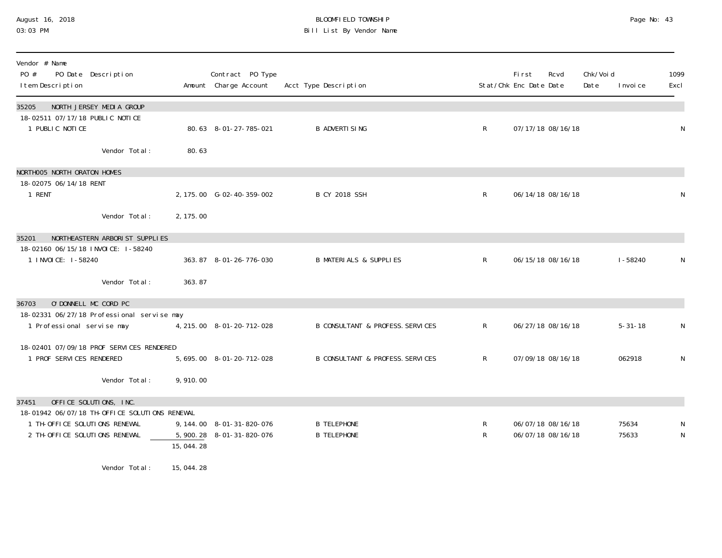### August 16, 2018 BLOOMFIELD TOWNSHIP Page No: 43 03:03 PM Bill List By Vendor Name

| Vendor # Name<br>$P0 \#$<br>PO Date Description<br>I tem Description             |           | Contract PO Type<br>Amount Charge Account | Acct Type Description                       |              | Fi rst<br>Stat/Chk Enc Date Date | Rcvd              | Chk/Voi d<br>Date | I nvoi ce     | 1099<br>Excl |
|----------------------------------------------------------------------------------|-----------|-------------------------------------------|---------------------------------------------|--------------|----------------------------------|-------------------|-------------------|---------------|--------------|
| NORTH JERSEY MEDIA GROUP<br>35205                                                |           |                                           |                                             |              |                                  |                   |                   |               |              |
| 18-02511 07/17/18 PUBLIC NOTICE<br>1 PUBLIC NOTICE                               |           | 80.63 8-01-27-785-021                     | <b>B ADVERTI SING</b>                       | $\mathsf{R}$ |                                  | 07/17/18 08/16/18 |                   |               | ${\sf N}$    |
| Vendor Total:                                                                    | 80.63     |                                           |                                             |              |                                  |                   |                   |               |              |
| NORTHOO5 NORTH ORATON HOMES                                                      |           |                                           |                                             |              |                                  |                   |                   |               |              |
| 18-02075 06/14/18 RENT<br>1 RENT                                                 |           | 2, 175.00 G-02-40-359-002                 | <b>B CY 2018 SSH</b>                        | $\mathsf{R}$ |                                  | 06/14/18 08/16/18 |                   |               | N            |
| Vendor Total:                                                                    | 2, 175.00 |                                           |                                             |              |                                  |                   |                   |               |              |
| NORTHEASTERN ARBORIST SUPPLIES<br>35201                                          |           |                                           |                                             |              |                                  |                   |                   |               |              |
| 18-02160 06/15/18 INVOICE: I-58240<br>1 I NVOI CE: 1-58240                       |           | 363.87 8-01-26-776-030                    | <b>B MATERIALS &amp; SUPPLIES</b>           | $\mathsf{R}$ |                                  | 06/15/18 08/16/18 |                   | $1 - 58240$   | N            |
| Vendor Total:                                                                    | 363.87    |                                           |                                             |              |                                  |                   |                   |               |              |
| O'DONNELL MC CORD PC<br>36703                                                    |           |                                           |                                             |              |                                  |                   |                   |               |              |
| 18-02331 06/27/18 Professional servise may<br>1 Professional servise may         |           | 4, 215.00 8-01-20-712-028                 | <b>B CONSULTANT &amp; PROFESS. SERVICES</b> | $\mathsf{R}$ |                                  | 06/27/18 08/16/18 |                   | $5 - 31 - 18$ | N            |
| 18-02401 07/09/18 PROF SERVICES RENDERED                                         |           |                                           |                                             |              |                                  |                   |                   |               |              |
| 1 PROF SERVICES RENDERED                                                         |           | 5, 695.00 8-01-20-712-028                 | B CONSULTANT & PROFESS. SERVICES            | $\mathsf{R}$ |                                  | 07/09/18 08/16/18 |                   | 062918        | N            |
| Vendor Total:                                                                    | 9,910.00  |                                           |                                             |              |                                  |                   |                   |               |              |
| OFFICE SOLUTIONS, INC.<br>37451<br>18-01942 06/07/18 TH-OFFICE SOLUTIONS RENEWAL |           |                                           |                                             |              |                                  |                   |                   |               |              |
| 1 TH-OFFICE SOLUTIONS RENEWAL                                                    |           | 9, 144.00 8-01-31-820-076                 | <b>B TELEPHONE</b>                          | R            |                                  | 06/07/18 08/16/18 |                   | 75634         | N            |
| 2 TH-OFFICE SOLUTIONS RENEWAL                                                    | 15,044.28 | 5, 900. 28 8-01-31-820-076                | <b>B TELEPHONE</b>                          | $\mathsf{R}$ |                                  | 06/07/18 08/16/18 |                   | 75633         | ${\sf N}$    |
| $\cdots$ $\cdots$ $\cdots$ $\cdots$ $\cdots$ $\cdots$ $\cdots$ $\cdots$          |           |                                           |                                             |              |                                  |                   |                   |               |              |

Vendor Total: 15,044.28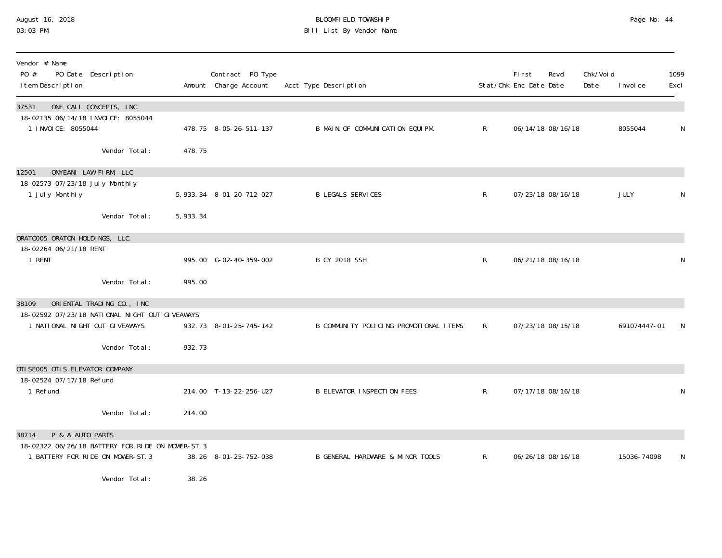### August 16, 2018 BLOOMFIELD TOWNSHIP Page No: 44 03:03 PM Bill List By Vendor Name

| Vendor # Name<br>PO #<br>PO Date Description<br>I tem Description                                                      |            | Contract PO Type<br>Amount Charge Account | Acct Type Description                  |              | <b>First</b><br>Stat/Chk Enc Date Date | Rcvd              | Chk/Voi d<br>Date | I nvoi ce    | 1099<br>Excl |
|------------------------------------------------------------------------------------------------------------------------|------------|-------------------------------------------|----------------------------------------|--------------|----------------------------------------|-------------------|-------------------|--------------|--------------|
| ONE CALL CONCEPTS, INC.<br>37531<br>18-02135 06/14/18 INVOICE: 8055044<br>1 I NVOI CE: 8055044                         |            | 478.75 8-05-26-511-137                    | B MAIN. OF COMMUNICATION EQUIPM.       | R            |                                        | 06/14/18 08/16/18 |                   | 8055044      | N            |
| Vendor Total:                                                                                                          | 478.75     |                                           |                                        |              |                                        |                   |                   |              |              |
| ONYEANI LAW FIRM, LLC<br>12501<br>18-02573 07/23/18 July Monthly<br>1 July Monthly                                     |            | 5, 933. 34 8-01-20-712-027                | <b>B LEGALS SERVICES</b>               | $\mathsf R$  |                                        | 07/23/18 08/16/18 |                   | JULY         | N            |
| Vendor Total:                                                                                                          | 5, 933. 34 |                                           |                                        |              |                                        |                   |                   |              |              |
| ORATOOO5 ORATON HOLDINGS, LLC.<br>18-02264 06/21/18 RENT<br>1 RENT                                                     |            | 995.00 G-02-40-359-002                    | <b>B CY 2018 SSH</b>                   | $\mathsf R$  |                                        | 06/21/18 08/16/18 |                   |              | N            |
| Vendor Total:                                                                                                          | 995.00     |                                           |                                        |              |                                        |                   |                   |              |              |
| ORIENTAL TRADING CO., INC<br>38109<br>18-02592 07/23/18 NATIONAL NIGHT OUT GIVEAWAYS<br>1 NATIONAL NIGHT OUT GIVEAWAYS |            | 932.73 8-01-25-745-142                    | B COMMUNITY POLICING PROMOTIONAL ITEMS | $\mathsf{R}$ |                                        | 07/23/18 08/15/18 |                   | 691074447-01 |              |
| Vendor Total:                                                                                                          | 932.73     |                                           |                                        |              |                                        |                   |                   |              |              |
| OTI SE005 OTI S ELEVATOR COMPANY<br>18-02524 07/17/18 Refund<br>1 Refund                                               |            | 214.00 T-13-22-256-U27                    | <b>B ELEVATOR INSPECTION FEES</b>      | $\mathsf{R}$ |                                        | 07/17/18 08/16/18 |                   |              | N            |
| Vendor Total:                                                                                                          | 214.00     |                                           |                                        |              |                                        |                   |                   |              |              |
| P & A AUTO PARTS<br>38714<br>18-02322 06/26/18 BATTERY FOR RIDE ON MOWER-ST. 3                                         |            |                                           |                                        |              |                                        |                   |                   |              |              |
| 1 BATTERY FOR RIDE ON MOWER-ST. 3                                                                                      |            | 38.26 8-01-25-752-038                     | B GENERAL HARDWARE & MINOR TOOLS       | $\mathsf{R}$ |                                        | 06/26/18 08/16/18 |                   | 15036-74098  | N            |
| Vendor Total:                                                                                                          | 38.26      |                                           |                                        |              |                                        |                   |                   |              |              |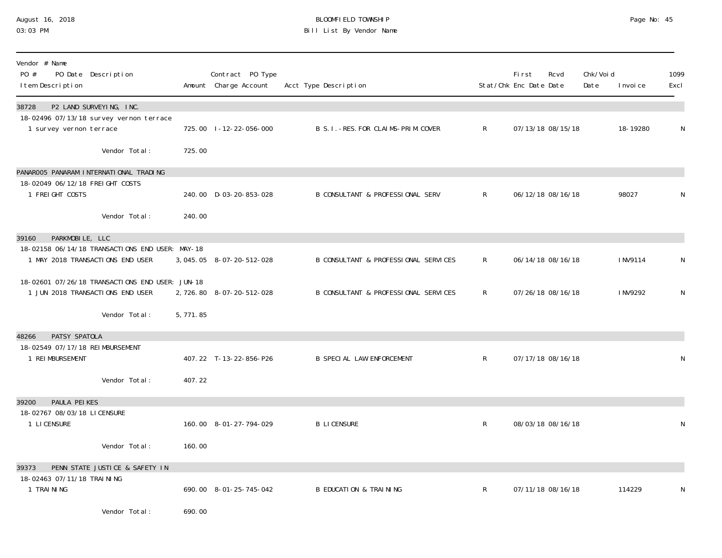# August 16, 2018 BLOOMFIELD TOWNSHIP Page No: 45 Bill List By Vendor Name

| Vendor # Name<br>PO #<br>PO Date Description<br>I tem Description                   |          | Contract PO Type<br>Amount Charge Account | Acct Type Description                       |              | <b>First</b><br>Stat/Chk Enc Date Date | Rcvd              | Chk/Void<br>Date | I nvoi ce | 1099<br>Excl |
|-------------------------------------------------------------------------------------|----------|-------------------------------------------|---------------------------------------------|--------------|----------------------------------------|-------------------|------------------|-----------|--------------|
| P2 LAND SURVEYING, INC.<br>38728<br>18-02496 07/13/18 survey vernon terrace         |          |                                           |                                             |              |                                        |                   |                  |           |              |
| 1 survey vernon terrace                                                             |          | 725.00 1-12-22-056-000                    | B S. I. - RES. FOR CLAIMS-PRIM. COVER       | $\mathsf{R}$ |                                        | 07/13/18 08/15/18 |                  | 18-19280  | N            |
| Vendor Total:                                                                       | 725.00   |                                           |                                             |              |                                        |                   |                  |           |              |
| PANAROO5 PANARAM INTERNATIONAL TRADING                                              |          |                                           |                                             |              |                                        |                   |                  |           |              |
| 18-02049 06/12/18 FREIGHT COSTS<br>1 FREIGHT COSTS                                  |          | 240.00 D-03-20-853-028                    | <b>B CONSULTANT &amp; PROFESSIONAL SERV</b> | $\mathsf{R}$ |                                        | 06/12/18 08/16/18 |                  | 98027     | N            |
| Vendor Total:                                                                       | 240.00   |                                           |                                             |              |                                        |                   |                  |           |              |
| PARKMOBILE, LLC<br>39160                                                            |          |                                           |                                             |              |                                        |                   |                  |           |              |
| 18-02158 06/14/18 TRANSACTIONS END USER: MAY-18<br>1 MAY 2018 TRANSACTIONS END USER |          | 3, 045. 05 8-07-20-512-028                | B CONSULTANT & PROFESSIONAL SERVICES        | $\mathsf{R}$ |                                        | 06/14/18 08/16/18 |                  | I NV9114  | N            |
| 18-02601 07/26/18 TRANSACTIONS END USER: JUN-18<br>1 JUN 2018 TRANSACTIONS END USER |          | 2,726.80 8-07-20-512-028                  | B CONSULTANT & PROFESSIONAL SERVICES        | R.           |                                        | 07/26/18 08/16/18 |                  | I NV9292  | N            |
| Vendor Total:                                                                       | 5,771.85 |                                           |                                             |              |                                        |                   |                  |           |              |
| PATSY SPATOLA<br>48266                                                              |          |                                           |                                             |              |                                        |                   |                  |           |              |
| 18-02549 07/17/18 REIMBURSEMENT<br>1 REIMBURSEMENT                                  |          | 407.22 T-13-22-856-P26                    | <b>B SPECIAL LAW ENFORCEMENT</b>            | $\mathsf{R}$ |                                        | 07/17/18 08/16/18 |                  |           | ${\sf N}$    |
| Vendor Total:                                                                       | 407.22   |                                           |                                             |              |                                        |                   |                  |           |              |
| PAULA PEIKES<br>39200                                                               |          |                                           |                                             |              |                                        |                   |                  |           |              |
| 18-02767 08/03/18 LICENSURE<br>1 LI CENSURE                                         |          | 160.00 8-01-27-794-029                    | <b>B LICENSURE</b>                          | R            |                                        | 08/03/18 08/16/18 |                  |           | N            |
| Vendor Total:                                                                       | 160.00   |                                           |                                             |              |                                        |                   |                  |           |              |
| 39373<br>PENN STATE JUSTICE & SAFETY IN                                             |          |                                           |                                             |              |                                        |                   |                  |           |              |
| 18-02463 07/11/18 TRAINING<br>1 TRAINING                                            |          | 690.00 8-01-25-745-042                    | <b>B EDUCATION &amp; TRAINING</b>           | $\mathsf{R}$ |                                        | 07/11/18 08/16/18 |                  | 114229    | N            |
| Vendor Total:                                                                       | 690.00   |                                           |                                             |              |                                        |                   |                  |           |              |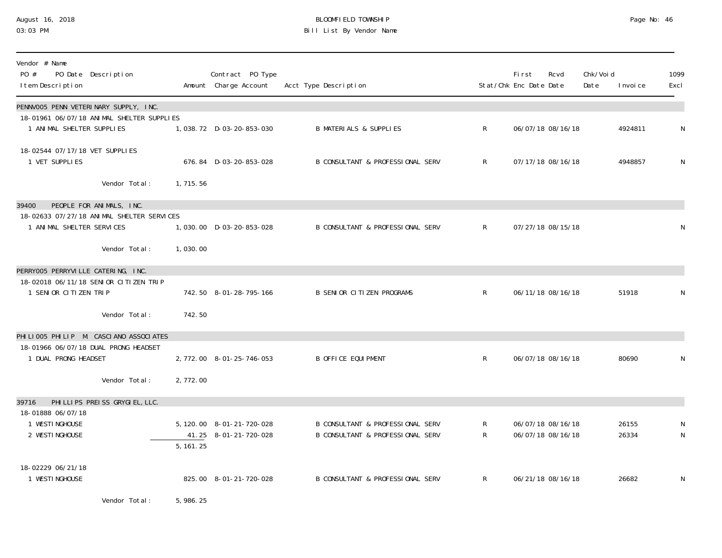### August 16, 2018 BLOOMFIELD TOWNSHIP Page No: 46 03:03 PM Bill List By Vendor Name

| Vendor # Name<br>PO #<br>PO Date Description<br>I tem Description      |            | Contract PO Type<br>Amount Charge Account          | Acct Type Description                                                           |                   | First<br>Stat/Chk Enc Date Date | Rcvd                                   | Chk/Voi d<br>Date | I nvoi ce      | 1099<br>Excl |
|------------------------------------------------------------------------|------------|----------------------------------------------------|---------------------------------------------------------------------------------|-------------------|---------------------------------|----------------------------------------|-------------------|----------------|--------------|
| PENNVOO5 PENN VETERINARY SUPPLY, INC.                                  |            |                                                    |                                                                                 |                   |                                 |                                        |                   |                |              |
| 18-01961 06/07/18 ANIMAL SHELTER SUPPLIES<br>1 ANIMAL SHELTER SUPPLIES |            | 1,038.72 D-03-20-853-030                           | <b>B MATERIALS &amp; SUPPLIES</b>                                               | $\mathsf{R}$      |                                 | 06/07/18 08/16/18                      |                   | 4924811        | N            |
| 18-02544 07/17/18 VET SUPPLIES<br>1 VET SUPPLIES                       |            | 676.84 D-03-20-853-028                             | <b>B CONSULTANT &amp; PROFESSIONAL SERV</b>                                     | $\mathsf{R}$      |                                 | 07/17/18 08/16/18                      |                   | 4948857        | N            |
| Vendor Total:                                                          | 1,715.56   |                                                    |                                                                                 |                   |                                 |                                        |                   |                |              |
| PEOPLE FOR ANIMALS, INC.<br>39400                                      |            |                                                    |                                                                                 |                   |                                 |                                        |                   |                |              |
| 18-02633 07/27/18 ANIMAL SHELTER SERVICES<br>1 ANIMAL SHELTER SERVICES |            | 1,030.00 D-03-20-853-028                           | <b>B CONSULTANT &amp; PROFESSIONAL SERV</b>                                     | $\mathsf{R}$      |                                 | 07/27/18 08/15/18                      |                   |                | N            |
| Vendor Total:                                                          | 1,030.00   |                                                    |                                                                                 |                   |                                 |                                        |                   |                |              |
| PERRYOO5 PERRYVILLE CATERING, INC.                                     |            |                                                    |                                                                                 |                   |                                 |                                        |                   |                |              |
| 18-02018 06/11/18 SENIOR CITIZEN TRIP<br>1 SENIOR CITIZEN TRIP         |            | 742.50 8-01-28-795-166                             | <b>B SENIOR CITIZEN PROGRAMS</b>                                                | $\mathsf{R}$      |                                 | 06/11/18 08/16/18                      |                   | 51918          | N            |
| Vendor Total:                                                          | 742.50     |                                                    |                                                                                 |                   |                                 |                                        |                   |                |              |
| PHILIOO5 PHILIP M. CASCIANO ASSOCIATES                                 |            |                                                    |                                                                                 |                   |                                 |                                        |                   |                |              |
| 18-01966 06/07/18 DUAL PRONG HEADSET<br>1 DUAL PRONG HEADSET           |            | 2, 772.00 8-01-25-746-053                          | <b>B OFFICE EQUIPMENT</b>                                                       | $\mathsf{R}$      |                                 | 06/07/18 08/16/18                      |                   | 80690          | N            |
| Vendor Total:                                                          | 2,772.00   |                                                    |                                                                                 |                   |                                 |                                        |                   |                |              |
| PHI LLI PS PREI SS GRYGI EL, LLC.<br>39716                             |            |                                                    |                                                                                 |                   |                                 |                                        |                   |                |              |
| 18-01888 06/07/18<br>1 WESTI NGHOUSE<br>2 WESTINGHOUSE                 | 5, 161. 25 | 5, 120.00 8-01-21-720-028<br>41.25 8-01-21-720-028 | <b>B CONSULTANT &amp; PROFESSIONAL SERV</b><br>B CONSULTANT & PROFESSIONAL SERV | R<br>$\mathsf{R}$ |                                 | 06/07/18 08/16/18<br>06/07/18 08/16/18 |                   | 26155<br>26334 | N<br>N       |
| 18-02229 06/21/18<br>1 WESTINGHOUSE                                    |            | 825.00 8-01-21-720-028                             | <b>B CONSULTANT &amp; PROFESSIONAL SERV</b>                                     | $R_{\parallel}$   |                                 | 06/21/18 08/16/18                      |                   | 26682          | N            |

Vendor Total: 5,986.25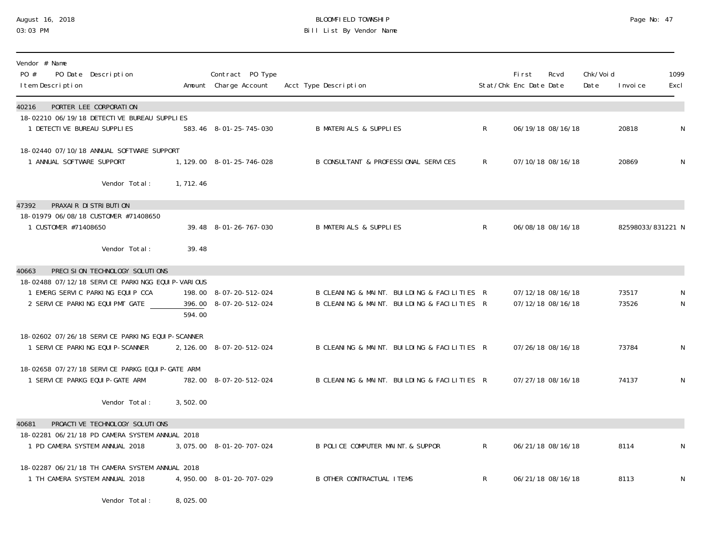## August 16, 2018 BLOOMFIELD TOWNSHIP Page No: 47 03:03 PM Bill List By Vendor Name

| Vendor # Name<br>PO #<br>PO Date Description<br>I tem Description                                                                                                 |          | Contract PO Type<br>Amount Charge Account        | Acct Type Description                                                                      |              | Fi rst<br>Stat/Chk Enc Date Date | Rcvd                                   | Chk/Voi d<br>Date | I nvoi ce         | 1099<br>Excl |
|-------------------------------------------------------------------------------------------------------------------------------------------------------------------|----------|--------------------------------------------------|--------------------------------------------------------------------------------------------|--------------|----------------------------------|----------------------------------------|-------------------|-------------------|--------------|
| PORTER LEE CORPORATION<br>40216<br>18-02210 06/19/18 DETECTIVE BUREAU SUPPLIES<br>1 DETECTIVE BUREAU SUPPLIES                                                     |          | 583.46 8-01-25-745-030                           | <b>B MATERIALS &amp; SUPPLIES</b>                                                          | $\mathsf{R}$ |                                  | 06/19/18 08/16/18                      |                   | 20818             | N            |
| 18-02440 07/10/18 ANNUAL SOFTWARE SUPPORT<br>1 ANNUAL SOFTWARE SUPPORT                                                                                            |          | 1, 129.00 8-01-25-746-028                        | B CONSULTANT & PROFESSIONAL SERVICES                                                       | $\mathsf{R}$ |                                  | 07/10/18 08/16/18                      |                   | 20869             | N            |
| Vendor Total:                                                                                                                                                     | 1,712.46 |                                                  |                                                                                            |              |                                  |                                        |                   |                   |              |
| PRAXAIR DISTRIBUTION<br>47392<br>18-01979 06/08/18 CUSTOMER #71408650<br>1 CUSTOMER #71408650<br>Vendor Total:                                                    | 39.48    | 39.48 8-01-26-767-030                            | <b>B MATERIALS &amp; SUPPLIES</b>                                                          | $\mathsf{R}$ |                                  | 06/08/18 08/16/18                      |                   | 82598033/831221 N |              |
| PRECISION TECHNOLOGY SOLUTIONS<br>40663<br>18-02488 07/12/18 SERVICE PARKINGG EQUIP-VARIOUS<br>1 EMERG SERVIC PARKING EQUIP CCA<br>2 SERVICE PARKING EQUIPMT GATE | 594.00   | 198.00 8-07-20-512-024<br>396.00 8-07-20-512-024 | B CLEANING & MAINT. BUILDING & FACILITIES R<br>B CLEANING & MAINT. BUILDING & FACILITIES R |              |                                  | 07/12/18 08/16/18<br>07/12/18 08/16/18 |                   | 73517<br>73526    | N<br>N       |
| 18-02602 07/26/18 SERVICE PARKING EQUIP-SCANNER<br>1 SERVICE PARKING EQUIP-SCANNER                                                                                |          | 2, 126.00 8-07-20-512-024                        | B CLEANING & MAINT. BUILDING & FACILITIES R                                                |              |                                  | 07/26/18 08/16/18                      |                   | 73784             | N            |
| 18-02658 07/27/18 SERVICE PARKG EQUIP-GATE ARM<br>1 SERVICE PARKG EQUIP-GATE ARM                                                                                  |          | 782.00 8-07-20-512-024                           | B CLEANING & MAINT. BUILDING & FACILITIES R                                                |              |                                  | 07/27/18 08/16/18                      |                   | 74137             | N            |
| Vendor Total:                                                                                                                                                     | 3,502.00 |                                                  |                                                                                            |              |                                  |                                        |                   |                   |              |
| PROACTIVE TECHNOLOGY SOLUTIONS<br>40681                                                                                                                           |          |                                                  |                                                                                            |              |                                  |                                        |                   |                   |              |
| 18-02281 06/21/18 PD CAMERA SYSTEM ANNUAL 2018<br>1 PD CAMERA SYSTEM ANNUAL 2018                                                                                  |          | 3,075.00 8-01-20-707-024                         | B POLICE COMPUTER MAINT & SUPPOR                                                           | $\mathsf{R}$ |                                  | 06/21/18 08/16/18                      |                   | 8114              | N            |
| 18-02287 06/21/18 TH CAMERA SYSTEM ANNUAL 2018<br>1 TH CAMERA SYSTEM ANNUAL 2018                                                                                  |          | 4, 950, 00 8-01-20-707-029                       | <b>B OTHER CONTRACTUAL ITEMS</b>                                                           | $\mathsf{R}$ |                                  | 06/21/18 08/16/18                      |                   | 8113              | N            |

Vendor Total: 8,025.00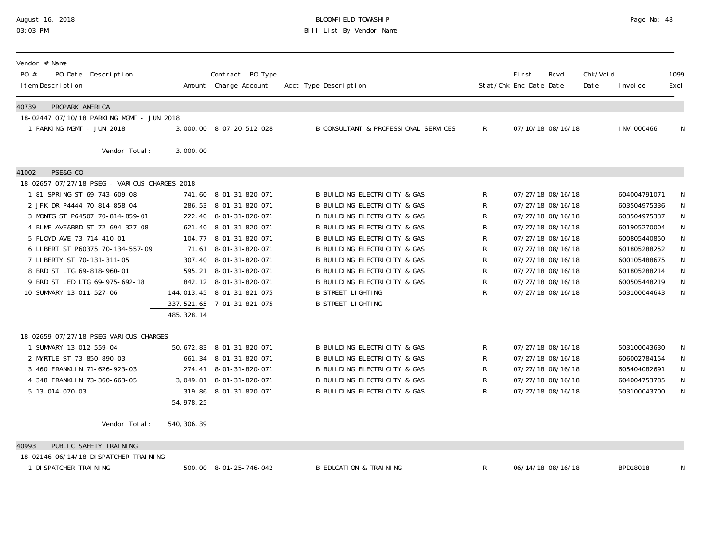### August 16, 2018 BLOOMFIELD TOWNSHIP Page No: 48 03:03 PM Bill List By Vendor Name

| Vendor # Name<br>PO #<br>PO Date<br>Description<br>I tem Description   |              | Contract PO Type<br>Amount Charge Account        | Acct Type Description                                                   |              | Fi rst<br>Stat/Chk Enc Date Date       | Rcvd | Chk/Voi d<br>Date | I nvoi ce                    | 1099<br>Excl   |
|------------------------------------------------------------------------|--------------|--------------------------------------------------|-------------------------------------------------------------------------|--------------|----------------------------------------|------|-------------------|------------------------------|----------------|
| PROPARK AMERICA<br>40739                                               |              |                                                  |                                                                         |              |                                        |      |                   |                              |                |
| 18-02447 07/10/18 PARKING MGMT - JUN 2018<br>1 PARKING MGMT - JUN 2018 |              |                                                  |                                                                         |              |                                        |      |                   |                              |                |
|                                                                        |              | 3,000.00 8-07-20-512-028                         | B CONSULTANT & PROFESSIONAL SERVICES                                    | $\mathsf{R}$ | 07/10/18 08/16/18                      |      |                   | I NV-000466                  | N              |
| Vendor Total:                                                          | 3,000.00     |                                                  |                                                                         |              |                                        |      |                   |                              |                |
| PSE&G CO<br>41002                                                      |              |                                                  |                                                                         |              |                                        |      |                   |                              |                |
| 18-02657 07/27/18 PSEG - VARIOUS CHARGES 2018                          |              |                                                  |                                                                         |              |                                        |      |                   |                              |                |
| 1 81 SPRING ST 69-743-609-08                                           |              | 741.60 8-01-31-820-071                           | <b>B BUILDING ELECTRICITY &amp; GAS</b>                                 | R            | 07/27/18 08/16/18                      |      |                   | 604004791071                 | N              |
| 2 JFK DR P4444 70-814-858-04                                           |              | 286.53 8-01-31-820-071                           | <b>B BUILDING ELECTRICITY &amp; GAS</b>                                 | R            | 07/27/18 08/16/18                      |      |                   | 603504975336                 | ${\sf N}$      |
| 3 MONTG ST P64507 70-814-859-01                                        |              | 222.40 8-01-31-820-071                           | B BUILDING ELECTRICITY & GAS                                            | R            | 07/27/18 08/16/18                      |      |                   | 603504975337                 | ${\sf N}$      |
| 4 BLMF AVE&BRD ST 72-694-327-08<br>5 FLOYD AVE 73-714-410-01           |              | 621.40 8-01-31-820-071<br>104.77 8-01-31-820-071 | <b>B BUILDING ELECTRICITY &amp; GAS</b><br>B BUILDING ELECTRICITY & GAS | R<br>R       | 07/27/18 08/16/18<br>07/27/18 08/16/18 |      |                   | 601905270004<br>600805440850 | ${\sf N}$<br>N |
| 6 LIBERT ST P60375 70-134-557-09                                       | 71.61        | 8-01-31-820-071                                  | B BUILDING ELECTRICITY & GAS                                            | R            | 07/27/18 08/16/18                      |      |                   | 601805288252                 | ${\sf N}$      |
| 7 LIBERTY ST 70-131-311-05                                             |              | 307.40 8-01-31-820-071                           | <b>B BUILDING ELECTRICITY &amp; GAS</b>                                 | R            | 07/27/18 08/16/18                      |      |                   | 600105488675                 | ${\sf N}$      |
| 8 BRD ST LTG 69-818-960-01                                             | 595.21       | 8-01-31-820-071                                  | <b>B BUILDING ELECTRICITY &amp; GAS</b>                                 | R            | 07/27/18 08/16/18                      |      |                   | 601805288214                 | ${\sf N}$      |
| 9 BRD ST LED LTG 69-975-692-18                                         |              | 842.12 8-01-31-820-071                           | B BUILDING ELECTRICITY & GAS                                            | R            | 07/27/18 08/16/18                      |      |                   | 600505448219                 | N              |
| 10 SUMMARY 13-011-527-06                                               |              | 144, 013. 45  8-01-31-821-075                    | <b>B STREET LIGHTING</b>                                                | R            | 07/27/18 08/16/18                      |      |                   | 503100044643                 | N              |
|                                                                        |              | 337, 521. 65 7-01-31-821-075                     | <b>B STREET LIGHTING</b>                                                |              |                                        |      |                   |                              |                |
|                                                                        | 485, 328. 14 |                                                  |                                                                         |              |                                        |      |                   |                              |                |
| 18-02659 07/27/18 PSEG VARIOUS CHARGES                                 |              |                                                  |                                                                         |              |                                        |      |                   |                              |                |
| 1 SUMMARY 13-012-559-04                                                |              | 50, 672. 83 8-01-31-820-071                      | <b>B BUILDING ELECTRICITY &amp; GAS</b>                                 | R            | 07/27/18 08/16/18                      |      |                   | 503100043630                 | N              |
| 2 MYRTLE ST 73-850-890-03                                              |              | 661.34 8-01-31-820-071                           | B BUILDING ELECTRICITY & GAS                                            | R            | 07/27/18 08/16/18                      |      |                   | 606002784154                 | N              |
| 3 460 FRANKLIN 71-626-923-03                                           | 274.41       | 8-01-31-820-071                                  | <b>B BUILDING ELECTRICITY &amp; GAS</b>                                 | R            | 07/27/18 08/16/18                      |      |                   | 605404082691                 | ${\sf N}$      |
| 4 348 FRANKLIN 73-360-663-05                                           | 3,049.81     | 8-01-31-820-071                                  | <b>B BUILDING ELECTRICITY &amp; GAS</b>                                 | R            | 07/27/18 08/16/18                      |      |                   | 604004753785                 | ${\sf N}$      |
| 5 13-014-070-03                                                        | 319.86       | 8-01-31-820-071                                  | <b>B BUILDING ELECTRICITY &amp; GAS</b>                                 | R            | 07/27/18 08/16/18                      |      |                   | 503100043700                 | $\mathsf{N}$   |
|                                                                        | 54,978.25    |                                                  |                                                                         |              |                                        |      |                   |                              |                |
| Vendor Total:                                                          | 540, 306. 39 |                                                  |                                                                         |              |                                        |      |                   |                              |                |
| PUBLIC SAFETY TRAINING<br>40993                                        |              |                                                  |                                                                         |              |                                        |      |                   |                              |                |
| 18-02146 06/14/18 DI SPATCHER TRAINING                                 |              |                                                  |                                                                         |              |                                        |      |                   |                              |                |
| 1 DI SPATCHER TRAINING                                                 |              | 500.00 8-01-25-746-042                           | <b>B EDUCATION &amp; TRAINING</b>                                       | R            | 06/14/18 08/16/18                      |      |                   | BPD18018                     | N              |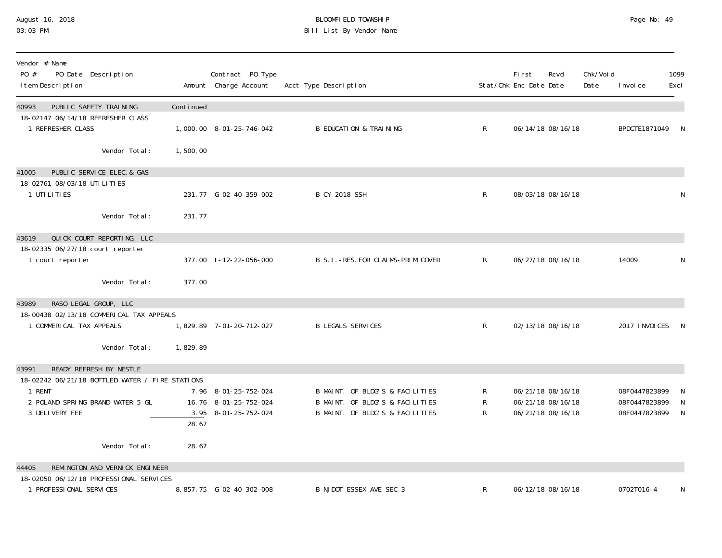#### August 16, 2018 BLOOMFIELD TOWNSHIP Page No: 49 03:03 PM Bill List By Vendor Name

| Vendor # Name<br>PO #<br>PO Date Description<br>I tem Description                                                                                   |           | Contract PO Type<br>Amount Charge Account                             | Acct Type Description                                                                                 |                | First<br>Stat/Chk Enc Date Date | Rcvd                                                        | Chk/Voi d<br>Date | I nvoi ce                                       | 1099<br>Excl |
|-----------------------------------------------------------------------------------------------------------------------------------------------------|-----------|-----------------------------------------------------------------------|-------------------------------------------------------------------------------------------------------|----------------|---------------------------------|-------------------------------------------------------------|-------------------|-------------------------------------------------|--------------|
| PUBLIC SAFETY TRAINING<br>40993<br>18-02147 06/14/18 REFRESHER CLASS<br>1 REFRESHER CLASS                                                           | Continued | 1,000.00 8-01-25-746-042                                              | <b>B EDUCATION &amp; TRAINING</b>                                                                     | $\mathsf{R}^-$ |                                 | 06/14/18 08/16/18                                           |                   | BPDCTE1871049                                   | - N          |
| Vendor Total:                                                                                                                                       | 1,500.00  |                                                                       |                                                                                                       |                |                                 |                                                             |                   |                                                 |              |
| PUBLIC SERVICE ELEC. & GAS<br>41005<br>18-02761 08/03/18 UTILITIES<br>1 UTI LI TI ES                                                                |           | 231.77 G-02-40-359-002                                                | <b>B CY 2018 SSH</b>                                                                                  | $\mathsf{R}^-$ |                                 | 08/03/18 08/16/18                                           |                   |                                                 | N            |
| Vendor Total:                                                                                                                                       | 231.77    |                                                                       |                                                                                                       |                |                                 |                                                             |                   |                                                 |              |
| QUICK COURT REPORTING, LLC<br>43619<br>18-02335 06/27/18 court reporter<br>1 court reporter                                                         |           | 377.00 1-12-22-056-000                                                | B S. I. - RES. FOR CLAIMS-PRIM. COVER                                                                 | $\mathsf{R}$   |                                 | 06/27/18 08/16/18                                           |                   | 14009                                           | N            |
| Vendor Total:                                                                                                                                       | 377.00    |                                                                       |                                                                                                       |                |                                 |                                                             |                   |                                                 |              |
| RASO LEGAL GROUP, LLC<br>43989<br>18-00438 02/13/18 COMMERICAL TAX APPEALS                                                                          |           |                                                                       |                                                                                                       |                |                                 |                                                             |                   |                                                 |              |
| 1 COMMERICAL TAX APPEALS                                                                                                                            |           | 1,829.89 7-01-20-712-027                                              | <b>B LEGALS SERVICES</b>                                                                              | $\mathsf{R}^-$ |                                 | 02/13/18 08/16/18                                           |                   | 2017 INVOICES                                   | $\mathbb N$  |
| Vendor Total:                                                                                                                                       | 1,829.89  |                                                                       |                                                                                                       |                |                                 |                                                             |                   |                                                 |              |
| READY REFRESH BY NESTLE<br>43991<br>18-02242 06/21/18 BOTTLED WATER / FIRE STATIONS<br>1 RENT<br>2 POLAND SPRING BRAND WATER 5 GL<br>3 DELIVERY FEE | 28.67     | 7.96 8-01-25-752-024<br>16.76 8-01-25-752-024<br>3.95 8-01-25-752-024 | B MAINT. OF BLDG'S & FACILITIES<br>B MAINT. OF BLDG'S & FACILITIES<br>B MAINT. OF BLDG'S & FACILITIES | R<br>R<br>R    |                                 | 06/21/18 08/16/18<br>06/21/18 08/16/18<br>06/21/18 08/16/18 |                   | 08F0447823899<br>08F0447823899<br>08F0447823899 | N<br>N<br>N  |
| Vendor Total:                                                                                                                                       | 28.67     |                                                                       |                                                                                                       |                |                                 |                                                             |                   |                                                 |              |
| REMINGTON AND VERNICK ENGINEER<br>44405<br>18-02050 06/12/18 PROFESSIONAL SERVICES                                                                  |           |                                                                       |                                                                                                       |                |                                 |                                                             |                   |                                                 |              |
| 1 PROFESSIONAL SERVICES                                                                                                                             |           |                                                                       | B NJDOT ESSEX AVE SEC 3                                                                               | R              |                                 | 06/12/18 08/16/18                                           |                   | 0702T016-4                                      | N            |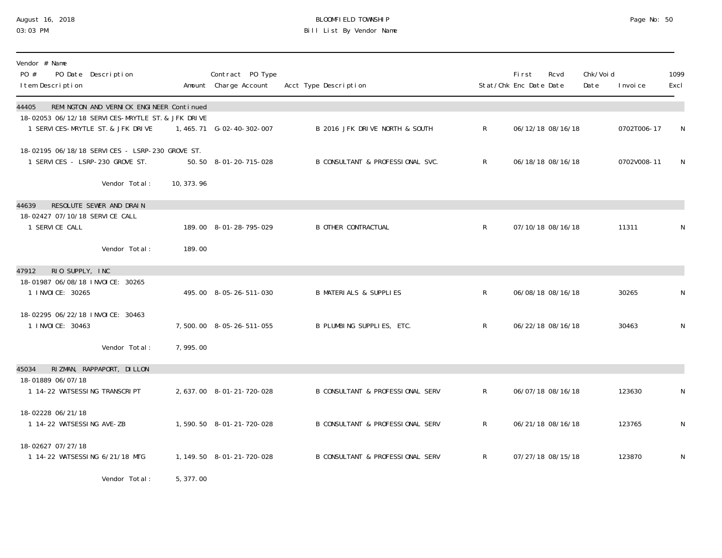### August 16, 2018 BLOOMFIELD TOWNSHIP Page No: 50 03:03 PM Bill List By Vendor Name

| Vendor # Name<br>PO #<br>PO Date Description<br>I tem Description                                                                           |             | Contract PO Type<br>Amount Charge Account | Acct Type Description             |              | Fi rst<br>Stat/Chk Enc Date Date | Rcvd              | Chk/Voi d<br>Date | I nvoi ce   | 1099<br>Excl |
|---------------------------------------------------------------------------------------------------------------------------------------------|-------------|-------------------------------------------|-----------------------------------|--------------|----------------------------------|-------------------|-------------------|-------------|--------------|
| REMINGTON AND VERNICK ENGINEER Continued<br>44405<br>18-02053 06/12/18 SERVICES-MRYTLE ST. & JFK DRIVE<br>1 SERVICES-MRYTLE ST. & JFK DRIVE |             | 1,465.71 G-02-40-302-007                  | B 2016 JFK DRIVE NORTH & SOUTH    | $\mathsf{R}$ |                                  | 06/12/18 08/16/18 |                   | 0702T006-17 | N            |
| 18-02195 06/18/18 SERVICES - LSRP-230 GROVE ST.<br>1 SERVICES - LSRP-230 GROVE ST.                                                          |             | 50.50 8-01-20-715-028                     | B CONSULTANT & PROFESSIONAL SVC.  | $\mathsf{R}$ |                                  | 06/18/18 08/16/18 |                   | 0702V008-11 | N            |
| Vendor Total:                                                                                                                               | 10, 373. 96 |                                           |                                   |              |                                  |                   |                   |             |              |
| RESOLUTE SEWER AND DRAIN<br>44639<br>18-02427 07/10/18 SERVICE CALL                                                                         |             |                                           |                                   |              |                                  |                   |                   |             |              |
| 1 SERVICE CALL                                                                                                                              |             | 189.00 8-01-28-795-029                    | <b>B OTHER CONTRACTUAL</b>        | $\mathsf{R}$ |                                  | 07/10/18 08/16/18 |                   | 11311       | N            |
| Vendor Total:                                                                                                                               | 189.00      |                                           |                                   |              |                                  |                   |                   |             |              |
| RIO SUPPLY, INC<br>47912<br>18-01987 06/08/18 INVOICE: 30265<br>1 INVOICE: 30265                                                            |             | 495.00 8-05-26-511-030                    | <b>B MATERIALS &amp; SUPPLIES</b> | R.           |                                  | 06/08/18 08/16/18 |                   | 30265       | N            |
| 18-02295 06/22/18 INVOICE: 30463<br>1 I NVOI CE: 30463                                                                                      |             | 7,500.00 8-05-26-511-055                  | B PLUMBING SUPPLIES, ETC.         | $\mathsf{R}$ |                                  | 06/22/18 08/16/18 |                   | 30463       | N            |
| Vendor Total:                                                                                                                               | 7,995.00    |                                           |                                   |              |                                  |                   |                   |             |              |
| RIZMAN, RAPPAPORT, DILLON<br>45034                                                                                                          |             |                                           |                                   |              |                                  |                   |                   |             |              |
| 18-01889 06/07/18<br>1 14-22 WATSESSING TRANSCRIPT                                                                                          |             | 2, 637.00 8-01-21-720-028                 | B CONSULTANT & PROFESSIONAL SERV  | $\mathsf{R}$ |                                  | 06/07/18 08/16/18 |                   | 123630      | N            |
| 18-02228 06/21/18<br>1 14-22 WATSESSING AVE-ZB                                                                                              |             | 1,590.50 8-01-21-720-028                  | B CONSULTANT & PROFESSIONAL SERV  | $\mathsf{R}$ |                                  | 06/21/18 08/16/18 |                   | 123765      | N            |
| 18-02627 07/27/18<br>1 14-22 WATSESSING 6/21/18 MTG                                                                                         |             | 1, 149. 50  8-01-21-720-028               | B CONSULTANT & PROFESSIONAL SERV  | $\mathsf{R}$ |                                  | 07/27/18 08/15/18 |                   | 123870      | N            |
|                                                                                                                                             | $   -$      |                                           |                                   |              |                                  |                   |                   |             |              |

Vendor Total: 5,377.00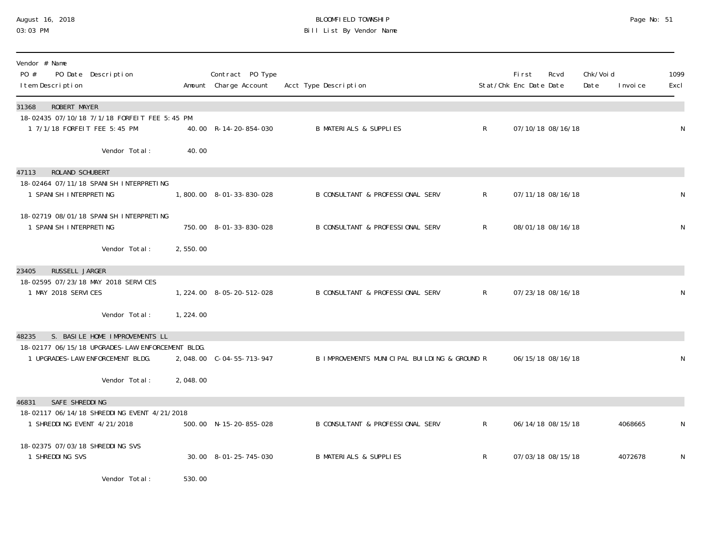## August 16, 2018 BLOOMFIELD TOWNSHIP Page No: 51 03:03 PM Bill List By Vendor Name

| Vendor # Name<br>$P0 \#$<br>PO Date Description<br>I tem Description                 |                | Contract PO Type<br>Amount Charge Account | Acct Type Description                        |              | <b>First</b><br>Rcvd<br>Stat/Chk Enc Date Date | Chk/Voi d<br>Date | I nvoi ce | 1099<br>Excl |
|--------------------------------------------------------------------------------------|----------------|-------------------------------------------|----------------------------------------------|--------------|------------------------------------------------|-------------------|-----------|--------------|
| ROBERT MAYER<br>31368<br>18-02435 07/10/18 7/1/18 FORFELT FEE 5:45 PM                |                |                                           |                                              |              |                                                |                   |           |              |
| 1 7/1/18 FORFEIT FEE 5:45 PM                                                         |                | 40.00 R-14-20-854-030                     | <b>B MATERIALS &amp; SUPPLIES</b>            | $\mathsf{R}$ | 07/10/18 08/16/18                              |                   |           | N            |
| Vendor Total:                                                                        | 40.00          |                                           |                                              |              |                                                |                   |           |              |
| 47113<br><b>ROLAND SCHUBERT</b>                                                      |                |                                           |                                              |              |                                                |                   |           |              |
| 18-02464 07/11/18 SPANI SH INTERPRETING<br>1 SPANI SH INTERPRETING                   |                | 1,800.00 8-01-33-830-028                  | <b>B CONSULTANT &amp; PROFESSIONAL SERV</b>  | $\mathsf{R}$ | 07/11/18 08/16/18                              |                   |           | N            |
| 18-02719 08/01/18 SPANI SH INTERPRETING<br>1 SPANI SH INTERPRETING                   |                | 750.00 8-01-33-830-028                    | B CONSULTANT & PROFESSIONAL SERV             | $\mathsf{R}$ | 08/01/18 08/16/18                              |                   |           | ${\sf N}$    |
| Vendor Total:                                                                        | 2,550.00       |                                           |                                              |              |                                                |                   |           |              |
| RUSSELL JARGER<br>23405                                                              |                |                                           |                                              |              |                                                |                   |           |              |
| 18-02595 07/23/18 MAY 2018 SERVICES<br>1 MAY 2018 SERVICES                           |                | 1, 224.00 8-05-20-512-028                 | <b>B CONSULTANT &amp; PROFESSIONAL SERV</b>  | $\mathsf{R}$ | 07/23/18 08/16/18                              |                   |           | N            |
| Vendor Total:                                                                        | 1, 224.00      |                                           |                                              |              |                                                |                   |           |              |
| S. BASILE HOME IMPROVEMENTS LL<br>48235                                              |                |                                           |                                              |              |                                                |                   |           |              |
| 18-02177 06/15/18 UPGRADES-LAW ENFORCEMENT BLDG.<br>1 UPGRADES-LAW ENFORCEMENT BLDG. |                |                                           | B IMPROVEMENTS MUNICIPAL BUILDING & GROUND R |              | 06/15/18 08/16/18                              |                   |           | N            |
| Vendor Total:                                                                        | 2,048.00       |                                           |                                              |              |                                                |                   |           |              |
| SAFE SHREDDING<br>46831                                                              |                |                                           |                                              |              |                                                |                   |           |              |
| 18-02117 06/14/18 SHREDDING EVENT 4/21/2018<br>1 SHREDDING EVENT 4/21/2018           |                | 500.00 N-15-20-855-028                    | B CONSULTANT & PROFESSIONAL SERV             | $\mathsf{R}$ | 06/14/18 08/15/18                              |                   | 4068665   | N            |
| 18-02375 07/03/18 SHREDDING SVS<br>1 SHREDDING SVS                                   |                | 30.00 8-01-25-745-030                     | <b>B MATERIALS &amp; SUPPLIES</b>            | R            | 07/03/18 08/15/18                              |                   | 4072678   | N            |
| $\mathbf{u}$ , and $\mathbf{v}$ and $\mathbf{v}$ and $\mathbf{v}$                    | $\overline{z}$ |                                           |                                              |              |                                                |                   |           |              |

Vendor Total: 530.00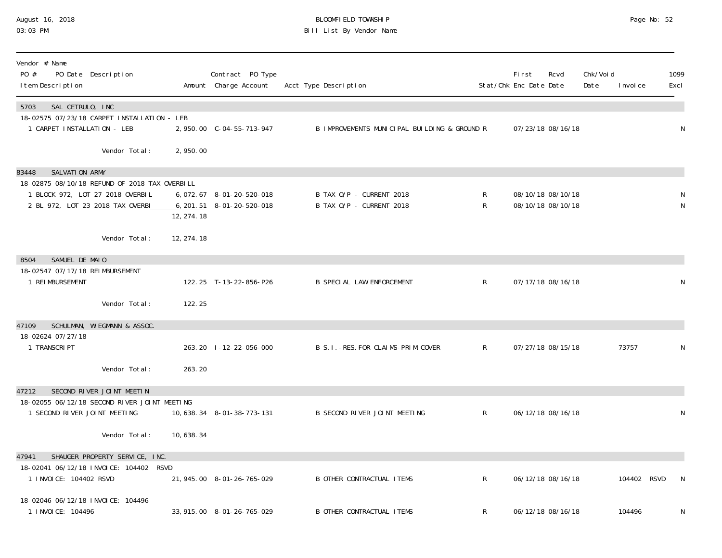## August 16, 2018 BLOOMFIELD TOWNSHIP Page No: 52 03:03 PM Bill List By Vendor Name

| Vendor # Name<br>PO #<br>PO Date Description<br>I tem Description                 |             | Contract PO Type<br>Amount Charge Account | Acct Type Description                        |              | First<br>Stat/Chk Enc Date Date | Rcvd              | Chk/Void<br>Date | I nvoi ce   | 1099<br>Excl |
|-----------------------------------------------------------------------------------|-------------|-------------------------------------------|----------------------------------------------|--------------|---------------------------------|-------------------|------------------|-------------|--------------|
| 5703<br>SAL CETRULO, INC<br>18-02575 07/23/18 CARPET INSTALLATION - LEB           |             |                                           |                                              |              |                                 |                   |                  |             |              |
| 1 CARPET INSTALLATION - LEB                                                       |             | 2,950.00 C-04-55-713-947                  | B IMPROVEMENTS MUNICIPAL BUILDING & GROUND R |              |                                 | 07/23/18 08/16/18 |                  |             | N            |
| Vendor Total:                                                                     | 2,950.00    |                                           |                                              |              |                                 |                   |                  |             |              |
| SALVATION ARMY<br>83448                                                           |             |                                           |                                              |              |                                 |                   |                  |             |              |
| 18-02875 08/10/18 REFUND OF 2018 TAX OVERBILL<br>1 BLOCK 972, LOT 27 2018 OVERBIL |             | 6, 072. 67 8-01-20-520-018                | B TAX O/P - CURRENT 2018                     | R            |                                 | 08/10/18 08/10/18 |                  |             |              |
| 2 BL 972, LOT 23 2018 TAX OVERBI                                                  | 12, 274.18  | 6, 201. 51 8-01-20-520-018                | B TAX O/P - CURRENT 2018                     | $\mathsf{R}$ |                                 | 08/10/18 08/10/18 |                  |             | N            |
| Vendor Total:                                                                     | 12, 274. 18 |                                           |                                              |              |                                 |                   |                  |             |              |
| SAMUEL DE MAIO<br>8504                                                            |             |                                           |                                              |              |                                 |                   |                  |             |              |
| 18-02547 07/17/18 REIMBURSEMENT<br>1 REIMBURSEMENT                                |             | 122.25 T-13-22-856-P26                    | <b>B SPECIAL LAW ENFORCEMENT</b>             | $\mathsf{R}$ |                                 | 07/17/18 08/16/18 |                  |             | N            |
| Vendor Total:                                                                     | 122.25      |                                           |                                              |              |                                 |                   |                  |             |              |
| SCHULMAN, WIEGMANN & ASSOC.<br>47109                                              |             |                                           |                                              |              |                                 |                   |                  |             |              |
| 18-02624 07/27/18<br>1 TRANSCRI PT                                                |             | 263.20 1-12-22-056-000                    | B S. I. - RES. FOR CLAIMS-PRIM. COVER        | $\mathsf{R}$ |                                 | 07/27/18 08/15/18 |                  | 73757       | ${\sf N}$    |
| Vendor Total:                                                                     | 263.20      |                                           |                                              |              |                                 |                   |                  |             |              |
| SECOND RIVER JOINT MEETIN<br>47212                                                |             |                                           |                                              |              |                                 |                   |                  |             |              |
| 18-02055 06/12/18 SECOND RIVER JOINT MEETING<br>1 SECOND RIVER JOINT MEETING      |             | 10, 638. 34 8-01-38-773-131               | B SECOND RIVER JOINT MEETING                 | $R_{\perp}$  |                                 | 06/12/18 08/16/18 |                  |             | N            |
| Vendor Total:                                                                     | 10,638.34   |                                           |                                              |              |                                 |                   |                  |             |              |
| SHAUGER PROPERTY SERVICE, INC.<br>47941                                           |             |                                           |                                              |              |                                 |                   |                  |             |              |
| 18-02041 06/12/18 INVOICE: 104402 RSVD<br>1 I NVOI CE: 104402 RSVD                |             | 21, 945.00 8-01-26-765-029                | <b>B OTHER CONTRACTUAL ITEMS</b>             | $R_{\perp}$  |                                 | 06/12/18 08/16/18 |                  | 104402 RSVD | N            |
| 18-02046 06/12/18 INVOICE: 104496<br>1 I NVOI CE: 104496                          |             | 33, 915.00 8-01-26-765-029                | <b>B OTHER CONTRACTUAL ITEMS</b>             | R            |                                 | 06/12/18 08/16/18 |                  | 104496      | N            |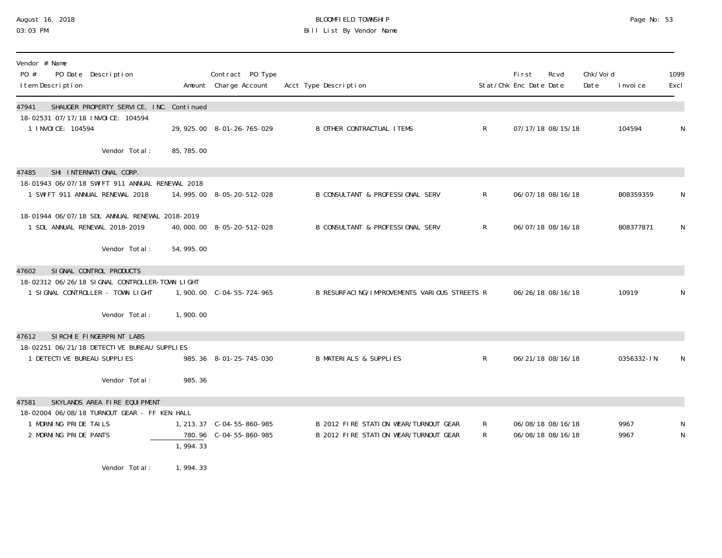# August 16, 2018 BLOOMFIELD TOWNSHIP Page No: 53 Bill List By Vendor Name

| Vendor # Name<br>PO #<br>PO Date Description<br>I tem Description                  |            | Contract PO Type<br>Amount Charge Account | Acct Type Description                        |    | <b>First</b><br>Stat/Chk Enc Date Date | Rcvd | Chk/Voi d<br>Date | I nvoi ce  | 1099<br>Excl |
|------------------------------------------------------------------------------------|------------|-------------------------------------------|----------------------------------------------|----|----------------------------------------|------|-------------------|------------|--------------|
| SHAUGER PROPERTY SERVICE, INC. Continued<br>47941                                  |            |                                           |                                              |    |                                        |      |                   |            |              |
| 18-02531 07/17/18 INVOICE: 104594<br>1 I NVOI CE: 104594                           |            | 29, 925.00 8-01-26-765-029                | <b>B OTHER CONTRACTUAL ITEMS</b>             | R  | 07/17/18 08/15/18                      |      |                   | 104594     | N            |
| Vendor Total:                                                                      | 85, 785.00 |                                           |                                              |    |                                        |      |                   |            |              |
| SHI INTERNATIONAL CORP.<br>47485                                                   |            |                                           |                                              |    |                                        |      |                   |            |              |
| 18-01943 06/07/18 SWIFT 911 ANNUAL RENEWAL 2018<br>1 SWIFT 911 ANNUAL RENEWAL 2018 |            | 14, 995. 00 8-05-20-512-028               | B CONSULTANT & PROFESSIONAL SERV             | R  | 06/07/18 08/16/18                      |      |                   | B08359359  | N            |
| 18-01944 06/07/18 SDL ANNUAL RENEWAL 2018-2019                                     |            |                                           |                                              |    |                                        |      |                   |            |              |
| 1 SDL ANNUAL RENEWAL 2018-2019                                                     |            | 40,000.00 8-05-20-512-028                 | B CONSULTANT & PROFESSIONAL SERV             | R. | 06/07/18 08/16/18                      |      |                   | B08377871  | N            |
| Vendor Total:                                                                      | 54, 995.00 |                                           |                                              |    |                                        |      |                   |            |              |
| SI GNAL CONTROL PRODUCTS<br>47602                                                  |            |                                           |                                              |    |                                        |      |                   |            |              |
| 18-02312 06/26/18 SIGNAL CONTROLLER-TOWN LIGHT<br>1 SIGNAL CONTROLLER - TOWN LIGHT |            |                                           | B RESURFACING/IMPROVEMENTS VARIOUS STREETS R |    | 06/26/18 08/16/18                      |      |                   | 10919      | N            |
| Vendor Total:                                                                      | 1,900.00   |                                           |                                              |    |                                        |      |                   |            |              |
| SIRCHIE FINGERPRINT LABS<br>47612                                                  |            |                                           |                                              |    |                                        |      |                   |            |              |
| 18-02251 06/21/18 DETECTIVE BUREAU SUPPLIES                                        |            |                                           |                                              |    |                                        |      |                   |            |              |
| 1 DETECTIVE BUREAU SUPPLIES                                                        |            | 985.36 8-01-25-745-030                    | <b>B MATERIALS &amp; SUPPLIES</b>            | R  | 06/21/18 08/16/18                      |      |                   | 0356332-IN | N            |
| Vendor Total:                                                                      | 985.36     |                                           |                                              |    |                                        |      |                   |            |              |
| SKYLANDS AREA FIRE EQUIPMENT<br>47581                                              |            |                                           |                                              |    |                                        |      |                   |            |              |
| 18-02004 06/08/18 TURNOUT GEAR - FF KEN HALL<br>1 MORNING PRIDE TAILS              |            |                                           | B 2012 FIRE STATION WEAR/TURNOUT GEAR        | R  | 06/08/18 08/16/18                      |      |                   | 9967       | N            |
| 2 MORNING PRIDE PANTS                                                              |            | 780.96 C-04-55-860-985                    | B 2012 FIRE STATION WEAR/TURNOUT GEAR        | R  | 06/08/18 08/16/18                      |      |                   | 9967       | ${\sf N}$    |
|                                                                                    | 1,994.33   |                                           |                                              |    |                                        |      |                   |            |              |
| Vendor Total:                                                                      | 1,994.33   |                                           |                                              |    |                                        |      |                   |            |              |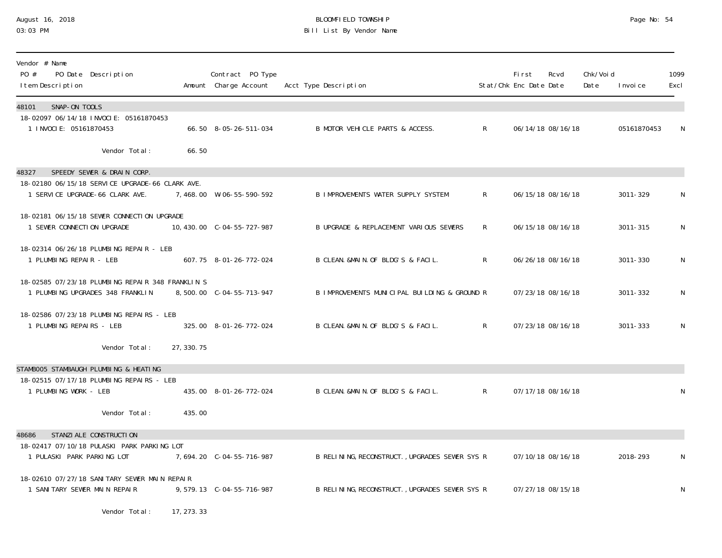## August 16, 2018 BLOOMFIELD TOWNSHIP Page No: 54 03:03 PM Bill List By Vendor Name

| Vendor # Name<br>PO #<br>PO Date Description<br>I tem Description                    |             | Contract PO Type<br>Amount Charge Account | Acct Type Description                          |              | <b>First</b><br>Stat/Chk Enc Date Date | Rcvd              | Chk/Voi d<br>Date | I nvoi ce   | 1099<br>Excl |
|--------------------------------------------------------------------------------------|-------------|-------------------------------------------|------------------------------------------------|--------------|----------------------------------------|-------------------|-------------------|-------------|--------------|
| SNAP-ON TOOLS<br>48101<br>18-02097 06/14/18 INVOCIE: 05161870453                     |             |                                           |                                                |              |                                        |                   |                   |             |              |
| 1 INVOCIE: 05161870453                                                               |             | 66.50 8-05-26-511-034                     | B MOTOR VEHICLE PARTS & ACCESS.                | $\mathsf{R}$ |                                        | 06/14/18 08/16/18 |                   | 05161870453 | N            |
| Vendor Total:                                                                        | 66.50       |                                           |                                                |              |                                        |                   |                   |             |              |
| SPEEDY SEWER & DRAIN CORP.<br>48327                                                  |             |                                           |                                                |              |                                        |                   |                   |             |              |
| 18-02180 06/15/18 SERVICE UPGRADE-66 CLARK AVE.<br>1 SERVICE UPGRADE-66 CLARK AVE.   |             | 7,468.00 W-06-55-590-592                  | B IMPROVEMENTS WATER SUPPLY SYSTEM             | $\mathsf{R}$ |                                        | 06/15/18 08/16/18 |                   | 3011-329    | N.           |
| 18-02181 06/15/18 SEWER CONNECTION UPGRADE<br>1 SEWER CONNECTION UPGRADE             |             |                                           | B UPGRADE & REPLACEMENT VARIOUS SEWERS         | $\mathsf{R}$ |                                        | 06/15/18 08/16/18 |                   | 3011-315    | N            |
| 18-02314 06/26/18 PLUMBING REPAIR - LEB<br>1 PLUMBING REPAIR - LEB                   |             | 607.75 8-01-26-772-024                    | B CLEAN. &MAIN. OF BLDG'S & FACIL.             | $\mathsf{R}$ |                                        | 06/26/18 08/16/18 |                   | 3011-330    | $\mathsf N$  |
| 18-02585 07/23/18 PLUMBING REPAIR 348 FRANKLIN S<br>1 PLUMBING UPGRADES 348 FRANKLIN |             |                                           | B IMPROVEMENTS MUNICIPAL BUILDING & GROUND R   |              |                                        | 07/23/18 08/16/18 |                   | 3011-332    | N            |
| 18-02586 07/23/18 PLUMBING REPAIRS - LEB<br>1 PLUMBING REPAIRS - LEB                 |             | 325.00 8-01-26-772-024                    | B CLEAN. &MAIN. OF BLDG'S & FACIL.             | $\mathsf{R}$ |                                        | 07/23/18 08/16/18 |                   | 3011-333    | N            |
| Vendor Total:                                                                        | 27, 330. 75 |                                           |                                                |              |                                        |                   |                   |             |              |
| STAMBOO5 STAMBAUGH PLUMBING & HEATING                                                |             |                                           |                                                |              |                                        |                   |                   |             |              |
| 18-02515 07/17/18 PLUMBING REPAIRS - LEB<br>1 PLUMBING WORK - LEB                    |             | 435.00 8-01-26-772-024                    | B CLEAN. &MAIN. OF BLDG'S & FACIL.             | $\mathsf{R}$ |                                        | 07/17/18 08/16/18 |                   |             | N            |
| Vendor Total:                                                                        | 435.00      |                                           |                                                |              |                                        |                   |                   |             |              |
| STANZI ALE CONSTRUCTI ON<br>48686                                                    |             |                                           |                                                |              |                                        |                   |                   |             |              |
| 18-02417 07/10/18 PULASKI PARK PARKING LOT<br>1 PULASKI PARK PARKING LOT             |             | 7,694.20 C-04-55-716-987                  | B RELINING, RECONSTRUCT., UPGRADES SEWER SYS R |              |                                        | 07/10/18 08/16/18 |                   | 2018-293    | N            |
| 18-02610 07/27/18 SANITARY SEWER MAIN REPAIR<br>1 SANITARY SEWER MAIN REPAIR         |             | 9,579.13 C-04-55-716-987                  | B RELINING, RECONSTRUCT., UPGRADES SEWER SYS R |              |                                        | 07/27/18 08/15/18 |                   |             | N            |
| Vendor Total:                                                                        | 17, 273, 33 |                                           |                                                |              |                                        |                   |                   |             |              |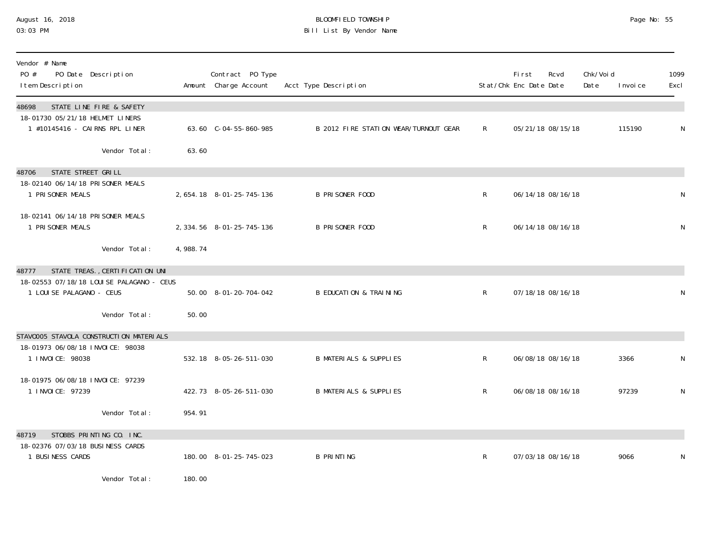#### August 16, 2018 BLOOMFIELD TOWNSHIP Page No: 55 03:03 PM Bill List By Vendor Name

| Vendor # Name<br>PO #<br>PO Date Description<br>I tem Description      |                     | Contract PO Type<br>Amount Charge Account | Acct Type Description                 |              | <b>First</b><br>Stat/Chk Enc Date Date | Rcvd              | Chk/Void<br>Date | I nvoi ce | 1099<br>Excl |
|------------------------------------------------------------------------|---------------------|-------------------------------------------|---------------------------------------|--------------|----------------------------------------|-------------------|------------------|-----------|--------------|
| 48698<br>STATE LINE FIRE & SAFETY<br>18-01730 05/21/18 HELMET LINERS   |                     |                                           |                                       |              |                                        |                   |                  |           |              |
| 1 #10145416 - CAIRNS RPL LINER                                         |                     | 63.60 C-04-55-860-985                     | B 2012 FIRE STATION WEAR/TURNOUT GEAR | R            |                                        | 05/21/18 08/15/18 |                  | 115190    | N            |
| Vendor Total:                                                          | 63.60               |                                           |                                       |              |                                        |                   |                  |           |              |
| STATE STREET GRILL<br>48706                                            |                     |                                           |                                       |              |                                        |                   |                  |           |              |
| 18-02140 06/14/18 PRISONER MEALS<br>1 PRI SONER MEALS                  |                     | 2, 654. 18 8-01-25-745-136                | <b>B PRISONER FOOD</b>                | $\mathsf{R}$ |                                        | 06/14/18 08/16/18 |                  |           | N            |
| 18-02141 06/14/18 PRISONER MEALS<br>1 PRI SONER MEALS                  |                     | 2, 334.56 8-01-25-745-136                 | <b>B PRISONER FOOD</b>                | R            |                                        | 06/14/18 08/16/18 |                  |           | N            |
| Vendor Total:                                                          | 4,988.74            |                                           |                                       |              |                                        |                   |                  |           |              |
| STATE TREAS., CERTI FI CATI ON UNI<br>48777                            |                     |                                           |                                       |              |                                        |                   |                  |           |              |
| 18-02553 07/18/18 LOUI SE PALAGANO - CEUS<br>1 LOUI SE PALAGANO - CEUS |                     | 50.00 8-01-20-704-042                     | <b>B EDUCATION &amp; TRAINING</b>     | $\mathsf{R}$ |                                        | 07/18/18 08/16/18 |                  |           | N            |
| Vendor Total:                                                          | 50.00               |                                           |                                       |              |                                        |                   |                  |           |              |
| STAV0005 STAVOLA CONSTRUCTION MATERIALS                                |                     |                                           |                                       |              |                                        |                   |                  |           |              |
| 18-01973 06/08/18 INVOICE: 98038<br>1 INVOICE: 98038                   |                     | 532.18 8-05-26-511-030                    | <b>B MATERIALS &amp; SUPPLIES</b>     | $\mathsf{R}$ |                                        | 06/08/18 08/16/18 |                  | 3366      | N            |
| 18-01975 06/08/18 INVOICE: 97239<br>1 I NVOI CE: 97239                 |                     | 422.73 8-05-26-511-030                    | <b>B MATERIALS &amp; SUPPLIES</b>     | $\mathsf{R}$ |                                        | 06/08/18 08/16/18 |                  | 97239     | $\mathsf{N}$ |
| Vendor Total:                                                          | 954.91              |                                           |                                       |              |                                        |                   |                  |           |              |
| STOBBS PRINTING CO. INC.<br>48719                                      |                     |                                           |                                       |              |                                        |                   |                  |           |              |
| 18-02376 07/03/18 BUSINESS CARDS<br>1 BUSINESS CARDS                   |                     | 180.00 8-01-25-745-023                    | <b>B PRINTING</b>                     | R            |                                        | 07/03/18 08/16/18 |                  | 9066      | N            |
| $\mathbf{u}$ , and $\mathbf{v}$ and $\mathbf{v}$                       | $\overline{100000}$ |                                           |                                       |              |                                        |                   |                  |           |              |

Vendor Total: 180.00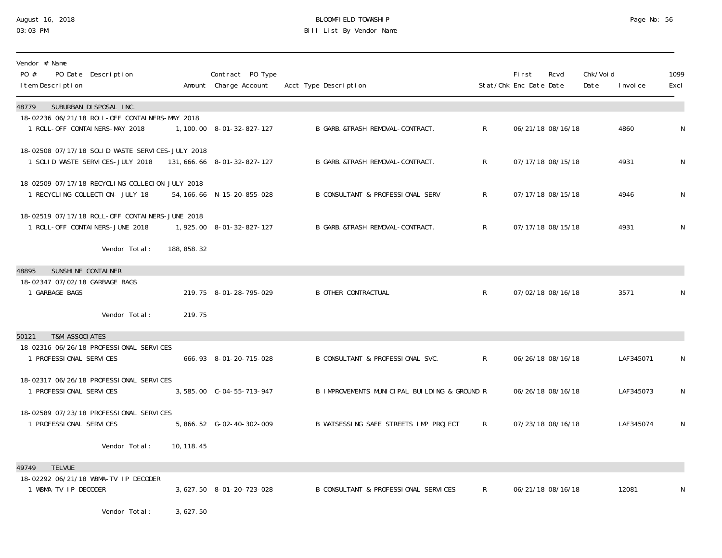## August 16, 2018 BLOOMFIELD TOWNSHIP Page No: 56 03:03 PM Bill List By Vendor Name

| Vendor # Name<br>PO #<br>I tem Description       | PO Date Description                                                                  |              | Contract PO Type<br>Amount Charge Account | Acct Type Description                        |                | <b>First</b><br>Stat/Chk Enc Date Date | Rcvd              | Chk/Voi d<br>Date | I nvoi ce | 1099<br>Excl |
|--------------------------------------------------|--------------------------------------------------------------------------------------|--------------|-------------------------------------------|----------------------------------------------|----------------|----------------------------------------|-------------------|-------------------|-----------|--------------|
| 48779                                            | SUBURBAN DI SPOSAL INC.                                                              |              |                                           |                                              |                |                                        |                   |                   |           |              |
|                                                  | 18-02236 06/21/18 ROLL-OFF CONTAINERS-MAY 2018<br>1 ROLL-OFF CONTAINERS-MAY 2018     |              | 1, 100. 00 8-01-32-827-127                | B GARB. &TRASH REMOVAL-CONTRACT.             | $\mathsf{R}^-$ |                                        | 06/21/18 08/16/18 |                   | 4860      | N            |
|                                                  | 18-02508 07/17/18 SOLID WASTE SERVICES-JULY 2018<br>1 SOLID WASTE SERVICES-JULY 2018 |              | 131, 666. 66 8-01-32-827-127              | B GARB. & TRASH REMOVAL-CONTRACT.            | R.             |                                        | 07/17/18 08/15/18 |                   | 4931      | N            |
|                                                  | 18-02509 07/17/18 RECYCLING COLLECION-JULY 2018<br>1 RECYCLING COLLECTION- JULY 18   |              | 54, 166. 66 N-15-20-855-028               | B CONSULTANT & PROFESSIONAL SERV             | R              |                                        | 07/17/18 08/15/18 |                   | 4946      | N            |
|                                                  | 18-02519 07/17/18 ROLL-OFF CONTAINERS-JUNE 2018<br>1 ROLL-OFF CONTAINERS-JUNE 2018   |              | 1,925.00 8-01-32-827-127                  | B GARB. & TRASH REMOVAL-CONTRACT.            | $\mathsf{R}^-$ |                                        | 07/17/18 08/15/18 |                   | 4931      | N            |
|                                                  | Vendor Total:                                                                        | 188, 858. 32 |                                           |                                              |                |                                        |                   |                   |           |              |
| 48895                                            | SUNSHINE CONTAINER                                                                   |              |                                           |                                              |                |                                        |                   |                   |           |              |
| 18-02347 07/02/18 GARBAGE BAGS<br>1 GARBAGE BAGS |                                                                                      |              | 219.75 8-01-28-795-029                    | <b>B OTHER CONTRACTUAL</b>                   | $\mathsf{R}$   |                                        | 07/02/18 08/16/18 |                   | 3571      | N            |
|                                                  | Vendor Total:                                                                        | 219.75       |                                           |                                              |                |                                        |                   |                   |           |              |
| <b>T&amp;M ASSOCIATES</b><br>50121               |                                                                                      |              |                                           |                                              |                |                                        |                   |                   |           |              |
| 1 PROFESSIONAL SERVICES                          | 18-02316 06/26/18 PROFESSIONAL SERVICES                                              |              | 666.93 8-01-20-715-028                    | B CONSULTANT & PROFESSIONAL SVC.             | $\mathsf{R}$   |                                        | 06/26/18 08/16/18 |                   | LAF345071 | N            |
| 1 PROFESSIONAL SERVICES                          | 18-02317 06/26/18 PROFESSIONAL SERVICES                                              |              |                                           | B IMPROVEMENTS MUNICIPAL BUILDING & GROUND R |                |                                        | 06/26/18 08/16/18 |                   | LAF345073 | N            |
| 1 PROFESSIONAL SERVICES                          | 18-02589 07/23/18 PROFESSIONAL SERVICES                                              |              | 5, 866. 52 G-02-40-302-009                | B WATSESSING SAFE STREETS IMP PROJECT        | $\mathsf{R}$   |                                        | 07/23/18 08/16/18 |                   | LAF345074 | N            |
|                                                  | Vendor Total:                                                                        | 10, 118. 45  |                                           |                                              |                |                                        |                   |                   |           |              |
| <b>TELVUE</b><br>49749                           |                                                                                      |              |                                           |                                              |                |                                        |                   |                   |           |              |
| 1 WBMA-TV IP DECODER                             | 18-02292 06/21/18 WBMA-TV IP DECODER                                                 |              | 3, 627.50 8-01-20-723-028                 | B CONSULTANT & PROFESSIONAL SERVICES         | $\mathsf{R}^-$ |                                        | 06/21/18 08/16/18 |                   | 12081     | N            |
|                                                  | Vendor Total:                                                                        | 3,627.50     |                                           |                                              |                |                                        |                   |                   |           |              |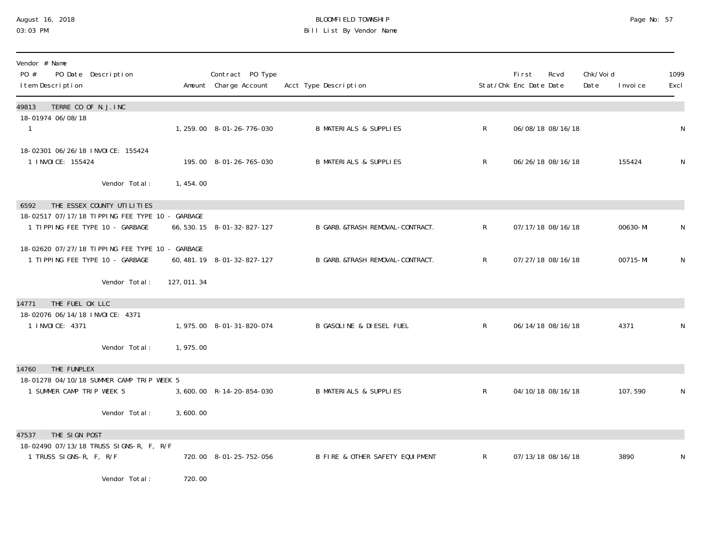# August 16, 2018 BLOOMFIELD TOWNSHIP Page No: 57 Bill List By Vendor Name

| Vendor # Name<br>PO #<br>PO Date Description<br>I tem Description                  |             | Contract PO Type<br>Amount Charge Account | Acct Type Description               |                | <b>First</b><br>Stat/Chk Enc Date Date | Rcvd | Chk/Void<br>Date | I nvoi ce | 1099<br>Excl |
|------------------------------------------------------------------------------------|-------------|-------------------------------------------|-------------------------------------|----------------|----------------------------------------|------|------------------|-----------|--------------|
| TERRE CO OF N.J. INC<br>49813                                                      |             |                                           |                                     |                |                                        |      |                  |           |              |
| 18-01974 06/08/18<br>1                                                             |             | 1, 259.00 8-01-26-776-030                 | <b>B MATERIALS &amp; SUPPLIES</b>   | $\mathsf{R}^-$ | 06/08/18 08/16/18                      |      |                  |           | N            |
| 18-02301 06/26/18 INVOICE: 155424<br>1 I NVOI CE: 155424                           |             | 195.00 8-01-26-765-030                    | <b>B MATERIALS &amp; SUPPLIES</b>   | $\mathsf{R}$   | 06/26/18 08/16/18                      |      |                  | 155424    | N            |
| Vendor Total:                                                                      | 1,454.00    |                                           |                                     |                |                                        |      |                  |           |              |
| THE ESSEX COUNTY UTILITIES<br>6592                                                 |             |                                           |                                     |                |                                        |      |                  |           |              |
| 18-02517 07/17/18 TIPPING FEE TYPE 10 - GARBAGE<br>1 TIPPING FEE TYPE 10 - GARBAGE |             | 66, 530. 15 8-01-32-827-127               | B GARB. &TRASH REMOVAL-CONTRACT.    | $\mathsf{R}$   | 07/17/18 08/16/18                      |      |                  | 00630-MI  | N            |
| 18-02620 07/27/18 TIPPING FEE TYPE 10 - GARBAGE<br>1 TIPPING FEE TYPE 10 - GARBAGE |             | 60, 481. 19 8-01-32-827-127               | B GARB. &TRASH REMOVAL-CONTRACT.    | $\mathsf{R}$   | 07/27/18 08/16/18                      |      |                  | 00715-MI  | N            |
| Vendor Total:                                                                      | 127, 011.34 |                                           |                                     |                |                                        |      |                  |           |              |
| THE FUEL OX LLC<br>14771                                                           |             |                                           |                                     |                |                                        |      |                  |           |              |
| 18-02076 06/14/18 INVOICE: 4371<br>1 INVOICE: 4371                                 |             | 1, 975.00 8-01-31-820-074                 | <b>B GASOLINE &amp; DIESEL FUEL</b> | $\mathsf{R}$   | 06/14/18 08/16/18                      |      |                  | 4371      | N            |
| Vendor Total:                                                                      | 1,975.00    |                                           |                                     |                |                                        |      |                  |           |              |
| THE FUNPLEX<br>14760                                                               |             |                                           |                                     |                |                                        |      |                  |           |              |
| 18-01278 04/10/18 SUMMER CAMP TRIP WEEK 5<br>1 SUMMER CAMP TRIP WEEK 5             |             | 3,600.00 R-14-20-854-030                  | <b>B MATERIALS &amp; SUPPLIES</b>   | $\mathsf{R}$   | 04/10/18 08/16/18                      |      |                  | 107,590   | N            |
| Vendor Total:                                                                      | 3,600.00    |                                           |                                     |                |                                        |      |                  |           |              |
| THE SIGN POST<br>47537                                                             |             |                                           |                                     |                |                                        |      |                  |           |              |
| 18-02490 07/13/18 TRUSS SIGNS-R, F, R/F<br>1 TRUSS SIGNS-R, F, R/F                 |             | 720.00 8-01-25-752-056                    | B FIRE & OTHER SAFETY EQUIPMENT     | $\mathsf{R}$   | 07/13/18 08/16/18                      |      |                  | 3890      | N            |
| Vendor Total:                                                                      | 720.00      |                                           |                                     |                |                                        |      |                  |           |              |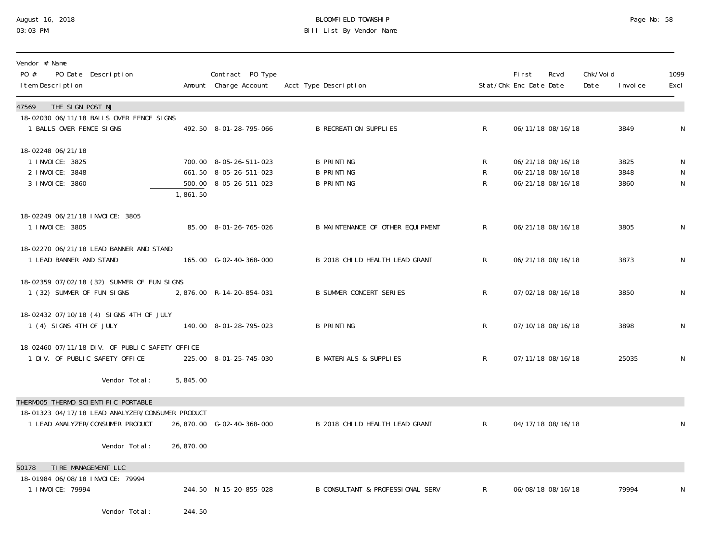## August 16, 2018 BLOOMFIELD TOWNSHIP Page No: 58 Bill List By Vendor Name

| Vendor # Name<br>PO #<br>PO Date Description<br>I tem Description                       |            | Contract PO Type<br>Amount Charge Account        | Acct Type Description                  |              | Fi rst<br>Stat/Chk Enc Date Date | Rcvd                                   | Chk/Voi d<br>Date | I nvoi ce    | 1099<br>Excl |
|-----------------------------------------------------------------------------------------|------------|--------------------------------------------------|----------------------------------------|--------------|----------------------------------|----------------------------------------|-------------------|--------------|--------------|
| THE SIGN POST NJ<br>47569<br>18-02030 06/11/18 BALLS OVER FENCE SIGNS                   |            |                                                  |                                        |              |                                  |                                        |                   |              |              |
| 1 BALLS OVER FENCE SIGNS                                                                |            | 492.50 8-01-28-795-066                           | <b>B RECREATION SUPPLIES</b>           | $\mathsf{R}$ |                                  | 06/11/18 08/16/18                      |                   | 3849         | N            |
| 18-02248 06/21/18<br>1 INVOICE: 3825                                                    |            | 700.00 8-05-26-511-023                           | <b>B PRINTING</b>                      | R            |                                  | 06/21/18 08/16/18                      |                   | 3825         |              |
| 2 I NVOI CE: 3848<br>3 I NVOI CE: 3860                                                  |            | 661.50 8-05-26-511-023<br>500.00 8-05-26-511-023 | <b>B PRINTING</b><br><b>B PRINTING</b> | R<br>R       |                                  | 06/21/18 08/16/18<br>06/21/18 08/16/18 |                   | 3848<br>3860 | N<br>N       |
|                                                                                         | 1,861.50   |                                                  |                                        |              |                                  |                                        |                   |              |              |
| 18-02249 06/21/18 INVOICE: 3805                                                         |            |                                                  |                                        |              |                                  |                                        |                   |              |              |
| 1 INVOICE: 3805                                                                         |            | 85.00 8-01-26-765-026                            | B MAINTENANCE OF OTHER EQUIPMENT       | R            |                                  | 06/21/18 08/16/18                      |                   | 3805         | N            |
| 18-02270 06/21/18 LEAD BANNER AND STAND<br>1 LEAD BANNER AND STAND                      |            | 165.00 G-02-40-368-000                           | B 2018 CHILD HEALTH LEAD GRANT         | R            |                                  | 06/21/18 08/16/18                      |                   | 3873         | ${\sf N}$    |
|                                                                                         |            |                                                  |                                        |              |                                  |                                        |                   |              |              |
| 18-02359 07/02/18 (32) SUMMER OF FUN SIGNS<br>1 (32) SUMMER OF FUN SIGNS                |            | 2,876.00 R-14-20-854-031                         | <b>B SUMMER CONCERT SERIES</b>         | $\mathsf{R}$ |                                  | 07/02/18 08/16/18                      |                   | 3850         | N            |
| 18-02432 07/10/18 (4) SIGNS 4TH OF JULY                                                 |            |                                                  |                                        |              |                                  |                                        |                   |              |              |
| 1 (4) SIGNS 4TH OF JULY                                                                 |            | 140.00 8-01-28-795-023                           | <b>B PRINTING</b>                      | $\mathsf{R}$ |                                  | 07/10/18 08/16/18                      |                   | 3898         | N            |
| 18-02460 07/11/18 DIV. OF PUBLIC SAFETY OFFICE<br>1 DIV. OF PUBLIC SAFETY OFFICE        |            | 225.00 8-01-25-745-030                           | <b>B MATERIALS &amp; SUPPLIES</b>      | R            |                                  | 07/11/18 08/16/18                      |                   | 25035        | N            |
|                                                                                         |            |                                                  |                                        |              |                                  |                                        |                   |              |              |
| Vendor Total:                                                                           | 5,845.00   |                                                  |                                        |              |                                  |                                        |                   |              |              |
| THERMOO5 THERMO SCIENTIFIC PORTABLE<br>18-01323 04/17/18 LEAD ANALYZER/CONSUMER PRODUCT |            |                                                  |                                        |              |                                  |                                        |                   |              |              |
| 1 LEAD ANALYZER/CONSUMER PRODUCT                                                        |            | 26,870.00 G-02-40-368-000                        | B 2018 CHILD HEALTH LEAD GRANT         | $\mathsf{R}$ |                                  | 04/17/18 08/16/18                      |                   |              |              |
| Vendor Total:                                                                           | 26, 870.00 |                                                  |                                        |              |                                  |                                        |                   |              |              |
| TIRE MANAGEMENT LLC<br>50178                                                            |            |                                                  |                                        |              |                                  |                                        |                   |              |              |
| 18-01984 06/08/18 INVOICE: 79994<br>1 I NVOI CE: 79994                                  |            | 244.50 N-15-20-855-028                           | B CONSULTANT & PROFESSIONAL SERV       | R            |                                  | 06/08/18 08/16/18                      |                   | 79994        | N            |
| Vendor Total:                                                                           | 244.50     |                                                  |                                        |              |                                  |                                        |                   |              |              |
|                                                                                         |            |                                                  |                                        |              |                                  |                                        |                   |              |              |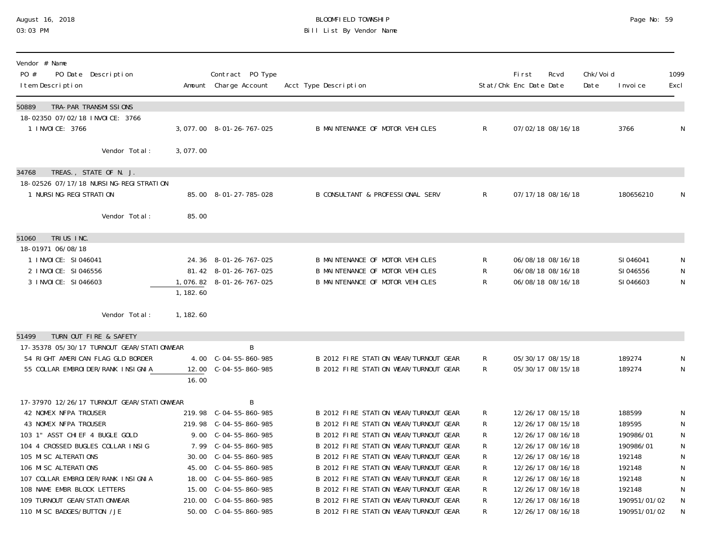## August 16, 2018 BLOOMFIELD TOWNSHIP Page No: 59 Bill List By Vendor Name

| Vendor # Name<br>PO #<br>PO Date Description<br>I tem Description   |           | Contract PO Type<br>Amount Charge Account | Acct Type Description                 |                | <b>First</b><br>Stat/Chk Enc Date Date | Rcvd              | Chk/Voi d<br>Date | I nvoi ce    | 1099<br>Excl |
|---------------------------------------------------------------------|-----------|-------------------------------------------|---------------------------------------|----------------|----------------------------------------|-------------------|-------------------|--------------|--------------|
| 50889<br>TRA-PAR TRANSMI SSIONS                                     |           |                                           |                                       |                |                                        |                   |                   |              |              |
| 18-02350 07/02/18 INVOICE: 3766<br>1 INVOICE: 3766                  |           | 3,077.00 8-01-26-767-025                  | B MAINTENANCE OF MOTOR VEHICLES       | $\mathsf{R}$   |                                        | 07/02/18 08/16/18 |                   | 3766         | N            |
| Vendor Total:                                                       | 3,077.00  |                                           |                                       |                |                                        |                   |                   |              |              |
| TREAS., STATE OF N. J.<br>34768                                     |           |                                           |                                       |                |                                        |                   |                   |              |              |
| 18-02526 07/17/18 NURSING-REGISTRATION<br>1 NURSI NG-REGI STRATI ON |           | 85.00 8-01-27-785-028                     | B CONSULTANT & PROFESSIONAL SERV      | $\mathsf{R}^-$ |                                        | 07/17/18 08/16/18 |                   | 180656210    | N            |
| Vendor Total:                                                       | 85.00     |                                           |                                       |                |                                        |                   |                   |              |              |
| TRIUS INC.<br>51060                                                 |           |                                           |                                       |                |                                        |                   |                   |              |              |
| 18-01971 06/08/18                                                   |           |                                           |                                       |                |                                        |                   |                   |              |              |
| 1 INVOICE: SI046041                                                 |           | 24.36 8-01-26-767-025                     | B MAINTENANCE OF MOTOR VEHICLES       | R              |                                        | 06/08/18 08/16/18 |                   | SI 046041    | N            |
| 2 INVOICE: SI046556                                                 |           | 81.42 8-01-26-767-025                     | B MAINTENANCE OF MOTOR VEHICLES       | R              |                                        | 06/08/18 08/16/18 |                   | SI 046556    | N            |
| 3 INVOICE: SI046603                                                 |           | 1,076.82 8-01-26-767-025                  | B MAINTENANCE OF MOTOR VEHICLES       | R              |                                        | 06/08/18 08/16/18 |                   | SI046603     | N            |
|                                                                     | 1, 182.60 |                                           |                                       |                |                                        |                   |                   |              |              |
| Vendor Total:                                                       | 1, 182.60 |                                           |                                       |                |                                        |                   |                   |              |              |
| TURN OUT FIRE & SAFETY<br>51499                                     |           |                                           |                                       |                |                                        |                   |                   |              |              |
| 17-35378 05/30/17 TURNOUT GEAR/STATI ONWEAR                         |           | B                                         |                                       |                |                                        |                   |                   |              |              |
| 54 RIGHT AMERICAN FLAG GLD BORDER                                   |           | 4.00 C-04-55-860-985                      | B 2012 FIRE STATION WEAR/TURNOUT GEAR | R              |                                        | 05/30/17 08/15/18 |                   | 189274       | N            |
| 55 COLLAR EMBROIDER/RANK INSIGNIA                                   |           | 12.00 C-04-55-860-985                     | B 2012 FIRE STATION WEAR/TURNOUT GEAR | R.             |                                        | 05/30/17 08/15/18 |                   | 189274       | N            |
|                                                                     | 16.00     |                                           |                                       |                |                                        |                   |                   |              |              |
| 17-37970 12/26/17 TURNOUT GEAR/STATIONWEAR                          |           | B                                         |                                       |                |                                        |                   |                   |              |              |
| 42 NOMEX NFPA TROUSER                                               |           | 219.98 C-04-55-860-985                    | B 2012 FIRE STATION WEAR/TURNOUT GEAR | R              |                                        | 12/26/17 08/15/18 |                   | 188599       | N            |
| 43 NOMEX NFPA TROUSER                                               |           | 219.98 C-04-55-860-985                    | B 2012 FIRE STATION WEAR/TURNOUT GEAR | R              |                                        | 12/26/17 08/15/18 |                   | 189595       | N            |
| 103 1" ASST CHIEF 4 BUGLE GOLD                                      |           | 9.00 C-04-55-860-985                      | B 2012 FIRE STATION WEAR/TURNOUT GEAR |                |                                        | 12/26/17 08/16/18 |                   | 190986/01    | ${\sf N}$    |
| 104 4 CROSSED BUGLES COLLAR INSIG                                   |           | 7.99 C-04-55-860-985                      | B 2012 FIRE STATION WEAR/TURNOUT GEAR | R              |                                        | 12/26/17 08/16/18 |                   | 190986/01    | N            |
| 105 MISC ALTERATIONS                                                |           | 30.00 C-04-55-860-985                     | B 2012 FIRE STATION WEAR/TURNOUT GEAR | R              |                                        | 12/26/17 08/16/18 |                   | 192148       | N            |
| 106 MISC ALTERATIONS                                                |           | 45.00 C-04-55-860-985                     | B 2012 FIRE STATION WEAR/TURNOUT GEAR | R              |                                        | 12/26/17 08/16/18 |                   | 192148       | N            |
| 107 COLLAR EMBROIDER/RANK INSIGNIA                                  |           | 18.00 C-04-55-860-985                     | B 2012 FIRE STATION WEAR/TURNOUT GEAR |                |                                        | 12/26/17 08/16/18 |                   | 192148       | ${\sf N}$    |
| 108 NAME EMBR BLOCK LETTERS                                         |           | 15.00 $C-04-55-860-985$                   | B 2012 FIRE STATION WEAR/TURNOUT GEAR | R              |                                        | 12/26/17 08/16/18 |                   | 192148       | N            |
| 109 TURNOUT GEAR/STATI ONWEAR                                       |           | 210.00 C-04-55-860-985                    | B 2012 FIRE STATION WEAR/TURNOUT GEAR | R              |                                        | 12/26/17 08/16/18 |                   | 190951/01/02 | ${\sf N}$    |
| 110 MI SC BADGES/BUTTON / JE                                        |           |                                           | B 2012 FIRE STATION WEAR/TURNOUT GEAR | R              |                                        | 12/26/17 08/16/18 |                   | 190951/01/02 | N            |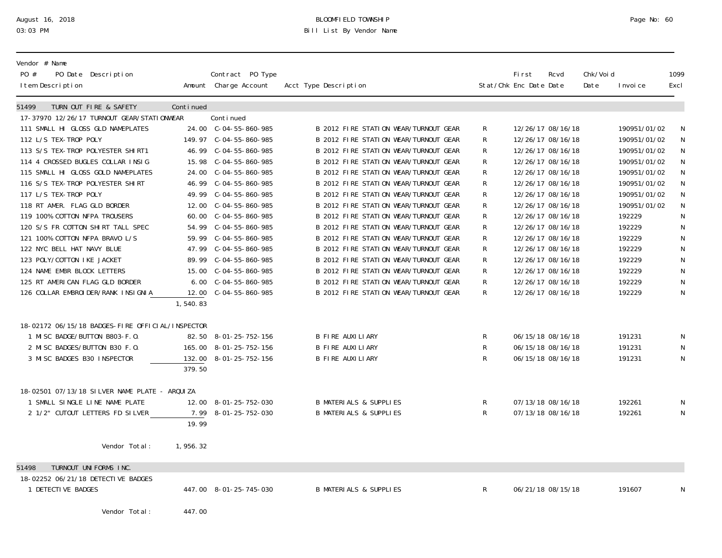## August 16, 2018 BLOOMFIELD TOWNSHIP Page No: 60 03:03 PM Bill List By Vendor Name

| Vendor # Name<br>PO #<br>PO Date Description<br>I tem Description |           | Contract PO Type<br>Amount Charge Account | Acct Type Description                 |             | First<br>Stat/Chk Enc Date Date | Rcvd              | Chk/Voi d<br>Date | I nvoi ce    | 1099<br>Excl |
|-------------------------------------------------------------------|-----------|-------------------------------------------|---------------------------------------|-------------|---------------------------------|-------------------|-------------------|--------------|--------------|
| 51499<br>TURN OUT FIRE & SAFETY                                   | Continued |                                           |                                       |             |                                 |                   |                   |              |              |
| 17-37970 12/26/17 TURNOUT GEAR/STATIONWEAR                        |           | Continued                                 |                                       |             |                                 |                   |                   |              |              |
| 111 SMALL HI GLOSS GLD NAMEPLATES                                 |           | 24.00 C-04-55-860-985                     | B 2012 FIRE STATION WEAR/TURNOUT GEAR | R           |                                 | 12/26/17 08/16/18 |                   | 190951/01/02 |              |
| 112 L/S TEX-TROP POLY                                             |           | 149.97 C-04-55-860-985                    | B 2012 FIRE STATION WEAR/TURNOUT GEAR | R           |                                 | 12/26/17 08/16/18 |                   | 190951/01/02 |              |
| 113 S/S TEX-TROP POLYESTER SHIRT1                                 |           |                                           | B 2012 FIRE STATION WEAR/TURNOUT GEAR | R           |                                 | 12/26/17 08/16/18 |                   | 190951/01/02 |              |
| 114 4 CROSSED BUGLES COLLAR INSIG                                 |           | 15.98 C-04-55-860-985                     | B 2012 FIRE STATION WEAR/TURNOUT GEAR | R           |                                 | 12/26/17 08/16/18 |                   | 190951/01/02 |              |
| 115 SMALL HI GLOSS GOLD NAMEPLATES                                |           | 24.00 C-04-55-860-985                     | B 2012 FIRE STATION WEAR/TURNOUT GEAR | R           |                                 | 12/26/17 08/16/18 |                   | 190951/01/02 |              |
| 116 S/S TEX-TROP POLYESTER SHIRT                                  |           | 46.99 C-04-55-860-985                     | B 2012 FIRE STATION WEAR/TURNOUT GEAR | R           |                                 | 12/26/17 08/16/18 |                   | 190951/01/02 |              |
| 117 L/S TEX-TROP POLY                                             |           | 49.99 C-04-55-860-985                     | B 2012 FIRE STATION WEAR/TURNOUT GEAR | R           |                                 | 12/26/17 08/16/18 |                   | 190951/01/02 |              |
| 118 RT AMER. FLAG GLD BORDER                                      |           | 12.00 C-04-55-860-985                     | B 2012 FIRE STATION WEAR/TURNOUT GEAR | R           |                                 | 12/26/17 08/16/18 |                   | 190951/01/02 |              |
| 119 100% COTTON NFPA TROUSERS                                     |           | 60.00 C-04-55-860-985                     | B 2012 FIRE STATION WEAR/TURNOUT GEAR | R           |                                 | 12/26/17 08/16/18 |                   | 192229       |              |
| 120 S/S FR COTTON SHIRT TALL SPEC                                 |           |                                           | B 2012 FIRE STATION WEAR/TURNOUT GEAR | R           |                                 | 12/26/17 08/16/18 |                   | 192229       |              |
| 121 100% COTTON NFPA BRAVO L/S                                    |           |                                           | B 2012 FIRE STATION WEAR/TURNOUT GEAR | R           |                                 | 12/26/17 08/16/18 |                   | 192229       |              |
| 122 NYC BELL HAT NAVY BLUE                                        |           |                                           | B 2012 FIRE STATION WEAR/TURNOUT GEAR | R           |                                 | 12/26/17 08/16/18 |                   | 192229       |              |
| 123 POLY/COTTON IKE JACKET                                        |           | 89.99 C-04-55-860-985                     | B 2012 FIRE STATION WEAR/TURNOUT GEAR | R           |                                 | 12/26/17 08/16/18 |                   | 192229       |              |
| 124 NAME EMBR BLOCK LETTERS                                       |           | 15.00 C-04-55-860-985                     | B 2012 FIRE STATION WEAR/TURNOUT GEAR | R           |                                 | 12/26/17 08/16/18 |                   | 192229       | ${\sf N}$    |
| 125 RT AMERICAN FLAG GLD BORDER                                   |           | 6.00 C-04-55-860-985                      | B 2012 FIRE STATION WEAR/TURNOUT GEAR | R           |                                 | 12/26/17 08/16/18 |                   | 192229       |              |
| 126 COLLAR EMBROI DER/RANK INSIGNIA                               |           | 12.00 C-04-55-860-985                     | B 2012 FIRE STATION WEAR/TURNOUT GEAR | R           |                                 | 12/26/17 08/16/18 |                   | 192229       | N            |
|                                                                   | 1, 540.83 |                                           |                                       |             |                                 |                   |                   |              |              |
| 18-02172 06/15/18 BADGES-FIRE OFFICIAL/INSPECTOR                  |           |                                           |                                       |             |                                 |                   |                   |              |              |
| 1 MISC BADGE/BUTTON B803-F.O.                                     |           | 82.50 8-01-25-752-156                     | <b>B FIRE AUXILIARY</b>               | R           |                                 | 06/15/18 08/16/18 |                   | 191231       |              |
| 2 MISC BADGES/BUTTON B30 F.O.                                     |           | 165.00 8-01-25-752-156                    | <b>B FIRE AUXILIARY</b>               | R           |                                 | 06/15/18 08/16/18 |                   | 191231       |              |
| 3 MISC BADGES B30 INSPECTOR                                       |           | 132.00 8-01-25-752-156                    | B FIRE AUXILIARY                      | R           |                                 | 06/15/18 08/16/18 |                   | 191231       | N            |
|                                                                   | 379.50    |                                           |                                       |             |                                 |                   |                   |              |              |
| 18-02501 07/13/18 SILVER NAME PLATE - ARQUIZA                     |           |                                           |                                       |             |                                 |                   |                   |              |              |
| 1 SMALL SINGLE LINE NAME PLATE                                    |           | 12.00 8-01-25-752-030                     | <b>B MATERIALS &amp; SUPPLIES</b>     | R           |                                 | 07/13/18 08/16/18 |                   | 192261       | N            |
| 2 1/2" CUTOUT LETTERS FD SILVER                                   |           | 7.99 8-01-25-752-030                      | <b>B MATERIALS &amp; SUPPLIES</b>     | $\mathsf R$ |                                 | 07/13/18 08/16/18 |                   | 192261       | N            |
|                                                                   | 19.99     |                                           |                                       |             |                                 |                   |                   |              |              |
| Vendor Total:                                                     | 1,956.32  |                                           |                                       |             |                                 |                   |                   |              |              |
|                                                                   |           |                                           |                                       |             |                                 |                   |                   |              |              |
| TURNOUT UNIFORMS INC.<br>51498                                    |           |                                           |                                       |             |                                 |                   |                   |              |              |
| 18-02252 06/21/18 DETECTIVE BADGES                                |           |                                           |                                       |             |                                 |                   |                   |              |              |
| 1 DETECTIVE BADGES                                                |           | 447.00 8-01-25-745-030                    | <b>B MATERIALS &amp; SUPPLIES</b>     | R           |                                 | 06/21/18 08/15/18 |                   | 191607       | N            |
|                                                                   | 447.00    |                                           |                                       |             |                                 |                   |                   |              |              |
| Vendor Total:                                                     |           |                                           |                                       |             |                                 |                   |                   |              |              |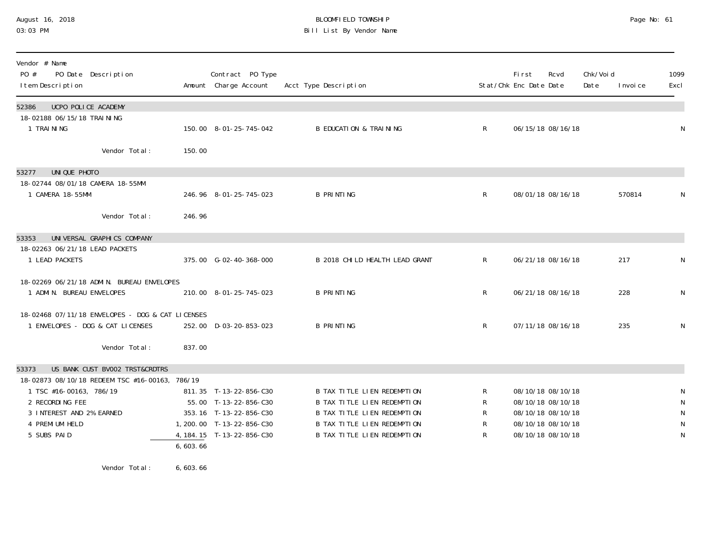### August 16, 2018 BLOOMFIELD TOWNSHIP Page No: 61 03:03 PM Bill List By Vendor Name

| Vendor # Name<br>PO #<br>I tem Description                                                                        | PO Date Description                                                                  |          | Contract PO Type<br>Amount Charge Account                                                                                            | Acct Type Description                                                                                                                                                        |                       | <b>First</b><br>Rcvd<br>Stat/Chk Enc Date Date                                                        | Chk/Voi d<br>Date | 1099<br>Excl<br>I nvoi ce |
|-------------------------------------------------------------------------------------------------------------------|--------------------------------------------------------------------------------------|----------|--------------------------------------------------------------------------------------------------------------------------------------|------------------------------------------------------------------------------------------------------------------------------------------------------------------------------|-----------------------|-------------------------------------------------------------------------------------------------------|-------------------|---------------------------|
| UCPO POLICE ACADEMY<br>52386<br>18-02188 06/15/18 TRAINING<br>1 TRAINING                                          |                                                                                      |          | 150.00 8-01-25-745-042                                                                                                               | <b>B EDUCATION &amp; TRAINING</b>                                                                                                                                            | $\mathsf{R}$          | 06/15/18 08/16/18                                                                                     |                   | N                         |
|                                                                                                                   | Vendor Total:                                                                        | 150.00   |                                                                                                                                      |                                                                                                                                                                              |                       |                                                                                                       |                   |                           |
| UNIQUE PHOTO<br>53277<br>18-02744 08/01/18 CAMERA 18-55MM                                                         |                                                                                      |          |                                                                                                                                      |                                                                                                                                                                              |                       |                                                                                                       |                   |                           |
| 1 CAMERA 18-55MM                                                                                                  |                                                                                      |          | 246.96 8-01-25-745-023                                                                                                               | <b>B PRINTING</b>                                                                                                                                                            | $\mathsf{R}$          | 08/01/18 08/16/18                                                                                     |                   | 570814<br>N               |
|                                                                                                                   | Vendor Total:                                                                        | 246.96   |                                                                                                                                      |                                                                                                                                                                              |                       |                                                                                                       |                   |                           |
| 53353                                                                                                             | UNIVERSAL GRAPHICS COMPANY                                                           |          |                                                                                                                                      |                                                                                                                                                                              |                       |                                                                                                       |                   |                           |
| 18-02263 06/21/18 LEAD PACKETS<br>1 LEAD PACKETS                                                                  |                                                                                      |          | 375.00 G-02-40-368-000                                                                                                               | B 2018 CHILD HEALTH LEAD GRANT                                                                                                                                               | $\mathsf{R}$          | 06/21/18 08/16/18                                                                                     |                   | 217<br>N                  |
| 1 ADMIN. BUREAU ENVELOPES                                                                                         | 18-02269 06/21/18 ADMIN. BUREAU ENVELOPES                                            |          | 210.00 8-01-25-745-023                                                                                                               | <b>B PRINTING</b>                                                                                                                                                            | $\mathsf{R}$          | 06/21/18 08/16/18                                                                                     |                   | 228<br>N                  |
|                                                                                                                   | 18-02468 07/11/18 ENVELOPES - DOG & CAT LICENSES<br>1 ENVELOPES - DOG & CAT LICENSES |          | 252.00 D-03-20-853-023                                                                                                               | <b>B PRINTING</b>                                                                                                                                                            | $\mathsf{R}$          | 07/11/18 08/16/18                                                                                     |                   | 235<br>N                  |
|                                                                                                                   | Vendor Total:                                                                        | 837.00   |                                                                                                                                      |                                                                                                                                                                              |                       |                                                                                                       |                   |                           |
| 53373<br>1 TSC #16-00163, 786/19<br>2 RECORDING FEE<br>3 INTEREST AND 2% EARNED<br>4 PREMI UM HELD<br>5 SUBS PAID | US BANK CUST BV002 TRST&CRDTRS<br>18-02873 08/10/18 REDEEM TSC #16-00163, 786/19     | 6,603.66 | 811.35 T-13-22-856-C30<br>55.00 T-13-22-856-C30<br>353.16 T-13-22-856-C30<br>1, 200.00 T-13-22-856-C30<br>4, 184. 15 T-13-22-856-C30 | B TAX TITLE LIEN REDEMPTION<br><b>B TAX TITLE LIEN REDEMPTION</b><br>B TAX TITLE LIEN REDEMPTION<br><b>B TAX TITLE LIEN REDEMPTION</b><br><b>B TAX TITLE LIEN REDEMPTION</b> | R<br>R<br>R<br>R<br>R | 08/10/18 08/10/18<br>08/10/18 08/10/18<br>08/10/18 08/10/18<br>08/10/18 08/10/18<br>08/10/18 08/10/18 |                   | N<br>N<br>N<br>N<br>N     |

Vendor Total: 6,603.66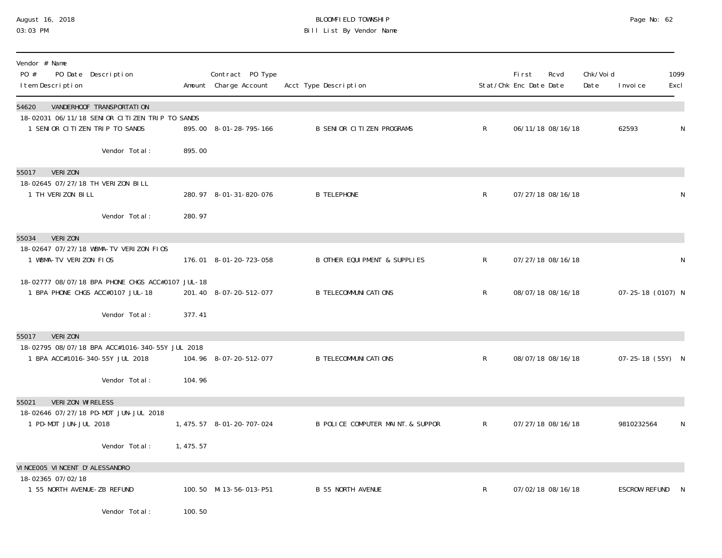## August 16, 2018 BLOOMFIELD TOWNSHIP Page No: 62 03:03 PM Bill List By Vendor Name

| Vendor # Name<br>PO #<br>PO Date Description<br>I tem Description                    |          | Contract PO Type<br>Amount Charge Account | Acct Type Description             |              | <b>First</b><br>Stat/Chk Enc Date Date | Rcvd              | Chk/Voi d<br>Date | I nvoi ce         | 1099<br>Excl |
|--------------------------------------------------------------------------------------|----------|-------------------------------------------|-----------------------------------|--------------|----------------------------------------|-------------------|-------------------|-------------------|--------------|
| 54620<br>VANDERHOOF TRANSPORTATION<br>18-02031 06/11/18 SENIOR CITIZEN TRIP TO SANDS |          |                                           |                                   |              |                                        |                   |                   |                   |              |
| 1 SENIOR CITIZEN TRIP TO SANDS                                                       |          | 895.00 8-01-28-795-166                    | <b>B SENIOR CITIZEN PROGRAMS</b>  | $\mathsf{R}$ |                                        | 06/11/18 08/16/18 |                   | 62593             | N            |
| Vendor Total:                                                                        | 895.00   |                                           |                                   |              |                                        |                   |                   |                   |              |
| VERI ZON<br>55017                                                                    |          |                                           |                                   |              |                                        |                   |                   |                   |              |
| 18-02645 07/27/18 TH VERIZON BILL<br>1 TH VERIZON BILL                               |          | 280.97 8-01-31-820-076                    | <b>B TELEPHONE</b>                | $\mathsf{R}$ |                                        | 07/27/18 08/16/18 |                   |                   | N            |
| Vendor Total:                                                                        | 280.97   |                                           |                                   |              |                                        |                   |                   |                   |              |
| <b>VERIZON</b><br>55034                                                              |          |                                           |                                   |              |                                        |                   |                   |                   |              |
| 18-02647 07/27/18 WBMA-TV VERIZON FIOS<br>1 WBMA-TV VERIZON FIOS                     |          | 176.01 8-01-20-723-058                    | B OTHER EQUI PMENT & SUPPLIES     | R            |                                        | 07/27/18 08/16/18 |                   |                   | ${\sf N}$    |
| 18-02777 08/07/18 BPA PHONE CHGS ACC#0107 JUL-18<br>1 BPA PHONE CHGS ACC#0107 JUL-18 |          |                                           | <b>B TELECOMMUNI CATIONS</b>      |              |                                        |                   |                   | 07-25-18 (0107) N |              |
|                                                                                      |          | 201.40 8-07-20-512-077                    |                                   | $\mathsf{R}$ |                                        | 08/07/18 08/16/18 |                   |                   |              |
| Vendor Total:                                                                        | 377.41   |                                           |                                   |              |                                        |                   |                   |                   |              |
| <b>VERIZON</b><br>55017<br>18-02795 08/07/18 BPA ACC#1016-340-55Y JUL 2018           |          |                                           |                                   |              |                                        |                   |                   |                   |              |
| 1 BPA ACC#1016-340-55Y JUL 2018                                                      |          | 104.96 8-07-20-512-077                    | <b>B TELECOMMUNI CATIONS</b>      | $\mathsf R$  |                                        | 08/07/18 08/16/18 |                   | 07-25-18 (55Y) N  |              |
| Vendor Total:                                                                        | 104.96   |                                           |                                   |              |                                        |                   |                   |                   |              |
| <b>VERIZON WIRELESS</b><br>55021<br>18-02646 07/27/18 PD-MDT JUN-JUL 2018            |          |                                           |                                   |              |                                        |                   |                   |                   |              |
| 1 PD-MDT JUN-JUL 2018                                                                |          | 1, 475. 57 8-01-20-707-024                | B POLICE COMPUTER MAINT. & SUPPOR | $\mathsf{R}$ |                                        | 07/27/18 08/16/18 |                   | 9810232564        | N            |
| Vendor Total:                                                                        | 1,475.57 |                                           |                                   |              |                                        |                   |                   |                   |              |
| VINCEOO5 VINCENT D'ALESSANDRO<br>18-02365 07/02/18                                   |          |                                           |                                   |              |                                        |                   |                   |                   |              |
| 1 55 NORTH AVENUE-ZB REFUND                                                          |          | 100.50 M-13-56-013-P51                    | <b>B 55 NORTH AVENUE</b>          | $\mathsf{R}$ |                                        | 07/02/18 08/16/18 |                   | ESCROW REFUND     | - N          |
| Vendor Total:                                                                        | 100.50   |                                           |                                   |              |                                        |                   |                   |                   |              |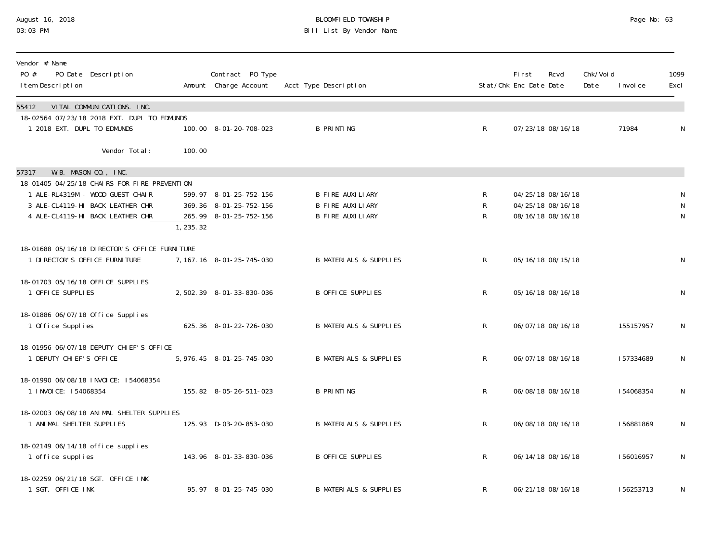## August 16, 2018 BLOOMFIELD TOWNSHIP Page No: 63 03:03 PM Bill List By Vendor Name

| Vendor # Name<br>PO #<br>PO Date Description<br>I tem Description                                                 |           | Contract PO Type<br>Amount Charge Account                                  | Acct Type Description                                                  |                                   | First<br>Stat/Chk Enc Date Date | Rcvd                                                        | Chk/Voi d<br>Date | I nvoi ce  | 1099<br>Excl                   |
|-------------------------------------------------------------------------------------------------------------------|-----------|----------------------------------------------------------------------------|------------------------------------------------------------------------|-----------------------------------|---------------------------------|-------------------------------------------------------------|-------------------|------------|--------------------------------|
| VITAL COMMUNICATIONS. INC.<br>55412<br>18-02564 07/23/18 2018 EXT. DUPL TO EDMUNDS<br>1 2018 EXT. DUPL TO EDMUNDS |           | 100.00 8-01-20-708-023                                                     | <b>B PRINTING</b>                                                      | $\mathsf{R}$                      |                                 | 07/23/18 08/16/18                                           |                   | 71984      | N                              |
| Vendor Total:                                                                                                     | 100.00    |                                                                            |                                                                        |                                   |                                 |                                                             |                   |            |                                |
| W.B. MASON CO., INC.<br>57317<br>18-01405 04/25/18 CHAIRS FOR FIRE PREVENTION                                     |           |                                                                            |                                                                        |                                   |                                 |                                                             |                   |            |                                |
| 1 ALE-RL4319M - WOOD GUEST CHAIR<br>3 ALE-CL4119-HI BACK LEATHER CHR<br>4 ALE-CL4119-HI BACK LEATHER CHR          | 1, 235.32 | 599.97 8-01-25-752-156<br>369.36 8-01-25-752-156<br>265.99 8-01-25-752-156 | B FIRE AUXILIARY<br><b>B FIRE AUXILIARY</b><br><b>B FIRE AUXILIARY</b> | $\mathsf{R}$<br>R<br>$\mathsf{R}$ |                                 | 04/25/18 08/16/18<br>04/25/18 08/16/18<br>08/16/18 08/16/18 |                   |            | N<br>${\sf N}$<br>$\mathsf{N}$ |
| 18-01688 05/16/18 DIRECTOR'S OFFICE FURNITURE<br>1 DI RECTOR'S OFFICE FURNI TURE                                  |           | 7, 167. 16 8-01-25-745-030                                                 | <b>B MATERIALS &amp; SUPPLIES</b>                                      | $\mathsf{R}$                      |                                 | 05/16/18 08/15/18                                           |                   |            | $\mathsf{N}$                   |
| 18-01703 05/16/18 OFFICE SUPPLIES<br>1 OFFICE SUPPLIES                                                            |           | 2, 502. 39 8-01-33-830-036                                                 | <b>B OFFICE SUPPLIES</b>                                               | $\mathsf{R}$                      |                                 | 05/16/18 08/16/18                                           |                   |            | $\mathsf{N}$                   |
| 18-01886 06/07/18 Office Supplies<br>1 Office Supplies                                                            |           | 625.36 8-01-22-726-030                                                     | <b>B MATERIALS &amp; SUPPLIES</b>                                      | R                                 |                                 | 06/07/18 08/16/18                                           |                   | 155157957  | N                              |
| 18-01956 06/07/18 DEPUTY CHI EF'S OFFICE<br>1 DEPUTY CHIEF'S OFFICE                                               |           | 5, 976. 45 8-01-25-745-030                                                 | <b>B MATERIALS &amp; SUPPLIES</b>                                      | R                                 |                                 | 06/07/18 08/16/18                                           |                   | 157334689  | ${\sf N}$                      |
| 18-01990 06/08/18 INVOICE: 154068354<br>1 INVOICE: 154068354                                                      |           | 155.82 8-05-26-511-023                                                     | <b>B PRINTING</b>                                                      | $\mathsf R$                       |                                 | 06/08/18 08/16/18                                           |                   | I 54068354 | $\mathsf{N}$                   |
| 18-02003 06/08/18 ANIMAL SHELTER SUPPLIES<br>1 ANIMAL SHELTER SUPPLIES                                            |           | 125.93 D-03-20-853-030                                                     | <b>B MATERIALS &amp; SUPPLIES</b>                                      | R                                 |                                 | 06/08/18 08/16/18                                           |                   | 156881869  | N                              |
| 18-02149 06/14/18 office supplies<br>1 office supplies                                                            |           | 143.96 8-01-33-830-036                                                     | <b>B OFFICE SUPPLIES</b>                                               | $\mathsf{R}$                      |                                 | 06/14/18 08/16/18                                           |                   | I 56016957 | $\mathsf N$                    |
| 18-02259 06/21/18 SGT. OFFICE INK<br>1 SGT. OFFICE INK                                                            |           | 95.97 8-01-25-745-030                                                      | <b>B MATERIALS &amp; SUPPLIES</b>                                      | R                                 |                                 | 06/21/18 08/16/18                                           |                   | 156253713  | N                              |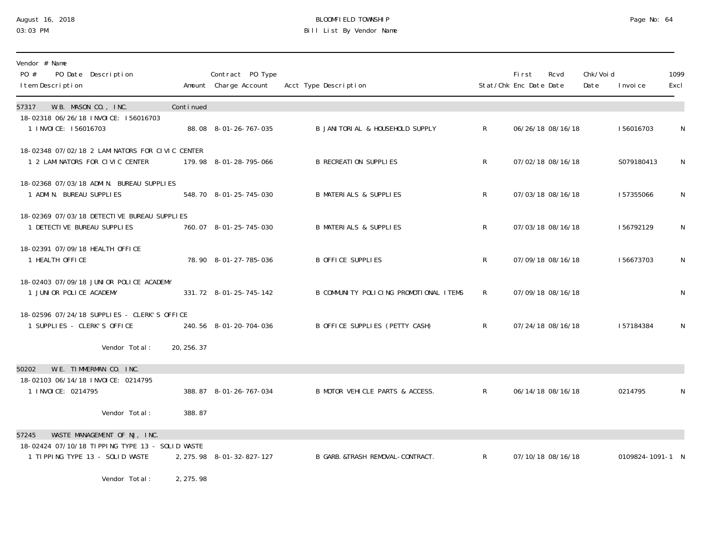### August 16, 2018 BLOOMFIELD TOWNSHIP Page No: 64 03:03 PM Bill List By Vendor Name

| Vendor # Name<br>PO #<br>PO Date Description<br>I tem Description                  |             | Contract PO Type<br>Amount Charge Account | Acct Type Description                  |                | <b>First</b><br>Stat/Chk Enc Date Date | Rcvd              | Chk/Voi d<br>Date | I nvoi ce        | 1099<br>Excl |
|------------------------------------------------------------------------------------|-------------|-------------------------------------------|----------------------------------------|----------------|----------------------------------------|-------------------|-------------------|------------------|--------------|
| W.B. MASON CO., INC.<br>57317                                                      | Continued   |                                           |                                        |                |                                        |                   |                   |                  |              |
| 18-02318 06/26/18 INVOICE: 156016703<br>1 INVOICE: 156016703                       |             | 88.08 8-01-26-767-035                     | B JANI TORI AL & HOUSEHOLD SUPPLY      | R.             |                                        | 06/26/18 08/16/18 |                   | 156016703        | N            |
| 18-02348 07/02/18 2 LAMINATORS FOR CIVIC CENTER<br>1 2 LAMINATORS FOR CIVIC CENTER |             | 179.98 8-01-28-795-066                    | <b>B RECREATION SUPPLIES</b>           | $\mathsf{R}$   |                                        | 07/02/18 08/16/18 |                   | S079180413       | N            |
| 18-02368 07/03/18 ADMIN. BUREAU SUPPLIES<br>1 ADMIN. BUREAU SUPPLIES               |             | 548.70 8-01-25-745-030                    | <b>B MATERIALS &amp; SUPPLIES</b>      | R              |                                        | 07/03/18 08/16/18 |                   | 157355066        | N            |
| 18-02369 07/03/18 DETECTIVE BUREAU SUPPLIES<br>1 DETECTIVE BUREAU SUPPLIES         |             | 760.07 8-01-25-745-030                    | <b>B MATERIALS &amp; SUPPLIES</b>      | $\mathsf{R}$   |                                        | 07/03/18 08/16/18 |                   | 156792129        | N            |
| 18-02391 07/09/18 HEALTH OFFICE<br>1 HEALTH OFFICE                                 |             | 78.90 8-01-27-785-036                     | <b>B OFFICE SUPPLIES</b>               | R              |                                        | 07/09/18 08/16/18 |                   | 156673703        | N            |
| 18-02403 07/09/18 JUNIOR POLICE ACADEMY<br>1 JUNIOR POLICE ACADEMY                 |             | 331.72 8-01-25-745-142                    | B COMMUNITY POLICING PROMOTIONAL ITEMS | R.             |                                        | 07/09/18 08/16/18 |                   |                  | N            |
| 18-02596 07/24/18 SUPPLIES - CLERK'S OFFICE<br>1 SUPPLIES - CLERK'S OFFICE         |             | 240.56 8-01-20-704-036                    | B OFFICE SUPPLIES (PETTY CASH)         | R.             |                                        | 07/24/18 08/16/18 |                   | 157184384        | N            |
| Vendor Total:                                                                      | 20, 256. 37 |                                           |                                        |                |                                        |                   |                   |                  |              |
| W.E. TIMMERMAN CO. INC.<br>50202                                                   |             |                                           |                                        |                |                                        |                   |                   |                  |              |
| 18-02103 06/14/18 INVOICE: 0214795<br>1 I NVOI CE: 0214795                         |             | 388.87 8-01-26-767-034                    | B MOTOR VEHICLE PARTS & ACCESS.        | $\mathsf{R}^-$ |                                        | 06/14/18 08/16/18 |                   | 0214795          | N            |
| Vendor Total:                                                                      | 388.87      |                                           |                                        |                |                                        |                   |                   |                  |              |
| WASTE MANAGEMENT OF NJ, INC.<br>57245                                              |             |                                           |                                        |                |                                        |                   |                   |                  |              |
| 18-02424 07/10/18 TIPPING TYPE 13 - SOLID WASTE<br>1 TIPPING TYPE 13 - SOLID WASTE |             | 2, 275. 98 8-01-32-827-127                | B GARB. &TRASH REMOVAL-CONTRACT.       | $\mathsf{R}$   |                                        | 07/10/18 08/16/18 |                   | 0109824-1091-1 N |              |
| Vendor Total:                                                                      | 2, 275.98   |                                           |                                        |                |                                        |                   |                   |                  |              |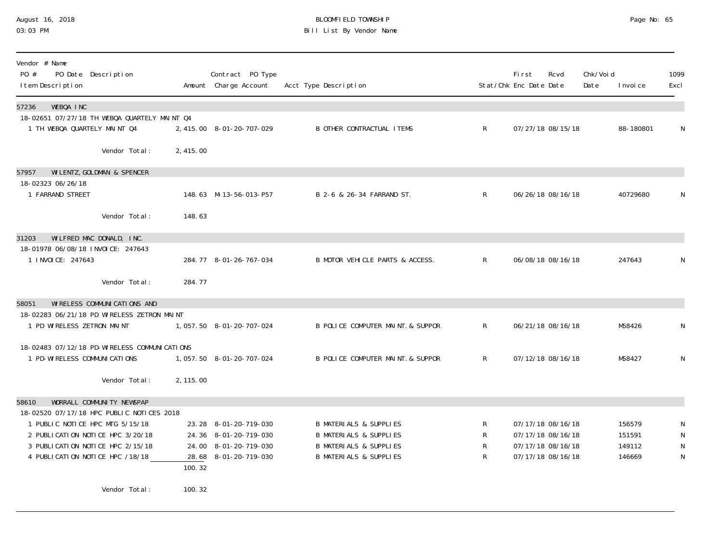## August 16, 2018 BLOOMFIELD TOWNSHIP Page No: 65 03:03 PM Bill List By Vendor Name

| Vendor # Name<br>PO #<br>PO Date Description<br>I tem Description                                  |           | Contract PO Type<br>Amount Charge Account | Acct Type Description             |              | First<br>Stat/Chk Enc Date Date | Rcvd              | Chk/Voi d<br>Date | I nvoi ce | 1099<br>Excl |
|----------------------------------------------------------------------------------------------------|-----------|-------------------------------------------|-----------------------------------|--------------|---------------------------------|-------------------|-------------------|-----------|--------------|
| WEBQA INC<br>57236<br>18-02651 07/27/18 TH WEBQA QUARTELY MAINT Q4<br>1 TH WEBQA QUARTELY MAINT Q4 |           | 2, 415.00 8-01-20-707-029                 | <b>B OTHER CONTRACTUAL ITEMS</b>  | $\mathsf{R}$ |                                 | 07/27/18 08/15/18 |                   | 88-180801 | N            |
| Vendor Total:                                                                                      | 2,415.00  |                                           |                                   |              |                                 |                   |                   |           |              |
| WILENTZ, GOLDMAN & SPENCER<br>57957                                                                |           |                                           |                                   |              |                                 |                   |                   |           |              |
| 18-02323 06/26/18<br>1 FARRAND STREET                                                              |           | 148.63 M-13-56-013-P57                    | B 2-6 & 26-34 FARRAND ST.         | $\mathsf{R}$ |                                 | 06/26/18 08/16/18 |                   | 40729680  | N            |
| Vendor Total:                                                                                      | 148.63    |                                           |                                   |              |                                 |                   |                   |           |              |
| WILFRED MAC DONALD, INC.<br>31203                                                                  |           |                                           |                                   |              |                                 |                   |                   |           |              |
| 18-01978 06/08/18 INVOICE: 247643<br>1 I NVOI CE: 247643                                           |           | 284.77 8-01-26-767-034                    | B MOTOR VEHICLE PARTS & ACCESS.   | $\mathsf{R}$ |                                 | 06/08/18 08/16/18 |                   | 247643    | N            |
| Vendor Total:                                                                                      | 284.77    |                                           |                                   |              |                                 |                   |                   |           |              |
| WI RELESS COMMUNI CATI ONS AND<br>58051                                                            |           |                                           |                                   |              |                                 |                   |                   |           |              |
| 18-02283 06/21/18 PD WIRELESS ZETRON MAINT<br>1 PD WIRELESS ZETRON MAINT                           |           | 1, 057.50 8-01-20-707-024                 | B POLICE COMPUTER MAINT. & SUPPOR | R            |                                 | 06/21/18 08/16/18 |                   | M58426    | N            |
| 18-02483 07/12/18 PD-WI RELESS COMMUNI CATIONS                                                     |           |                                           |                                   |              |                                 |                   |                   |           |              |
| 1 PD-WI RELESS COMMUNI CATIONS                                                                     |           | 1,057.50 8-01-20-707-024                  | B POLICE COMPUTER MAINT. & SUPPOR | $\mathsf{R}$ |                                 | 07/12/18 08/16/18 |                   | M58427    | N            |
| Vendor Total:                                                                                      | 2, 115.00 |                                           |                                   |              |                                 |                   |                   |           |              |
| WORRALL COMMUNITY NEWSPAP<br>58610                                                                 |           |                                           |                                   |              |                                 |                   |                   |           |              |
| 18-02520 07/17/18 HPC PUBLIC NOTICES 2018<br>1 PUBLIC NOTICE HPC MTG 5/15/18                       |           | 23.28 8-01-20-719-030                     | <b>B MATERIALS &amp; SUPPLIES</b> | R            |                                 | 07/17/18 08/16/18 |                   | 156579    | N            |
| 2 PUBLICATION NOTICE HPC 3/20/18                                                                   |           | 24.36 8-01-20-719-030                     | <b>B MATERIALS &amp; SUPPLIES</b> | R            |                                 | 07/17/18 08/16/18 |                   | 151591    | N            |
| 3 PUBLICATION NOTICE HPC 2/15/18                                                                   |           | 24.00 8-01-20-719-030                     | <b>B MATERIALS &amp; SUPPLIES</b> | $\mathsf{R}$ |                                 | 07/17/18 08/16/18 |                   | 149112    | ${\sf N}$    |
| 4 PUBLICATION NOTICE HPC /18/18                                                                    | 100.32    | 28.68 8-01-20-719-030                     | <b>B MATERIALS &amp; SUPPLIES</b> | R            |                                 | 07/17/18 08/16/18 |                   | 146669    | N            |
| Vendor Total:                                                                                      | 100.32    |                                           |                                   |              |                                 |                   |                   |           |              |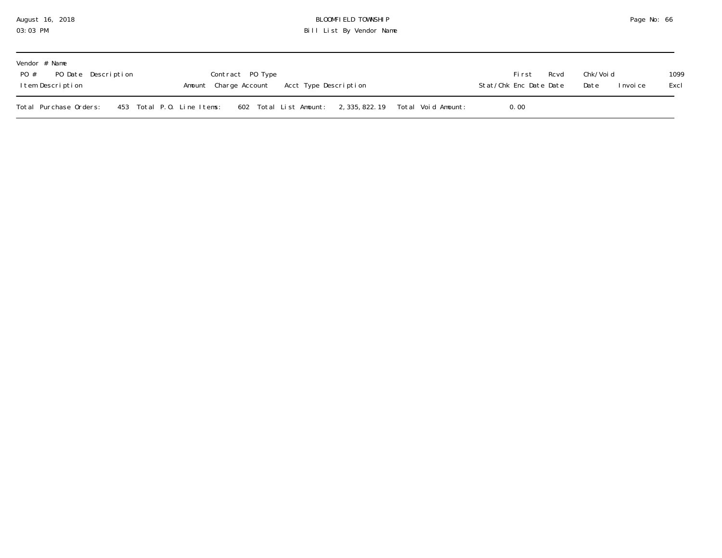### August 16, 2018 BLOOMFIELD TOWNSHIP Page No: 66 03:03 PM Bill List By Vendor Name

| Vendor # Name<br>PO # PO Date Description<br>Item Description | Rcvd<br>Fi rst<br>Stat/Chk Enc Date Date | Chk/Voi d<br>Date<br>I nvoi ce | 1099<br>Excl |  |
|---------------------------------------------------------------|------------------------------------------|--------------------------------|--------------|--|
| Total Purchase Orders:<br>453 Total P.O. Line Items:          | 602 Total List Amount:                   | 0.00                           |              |  |